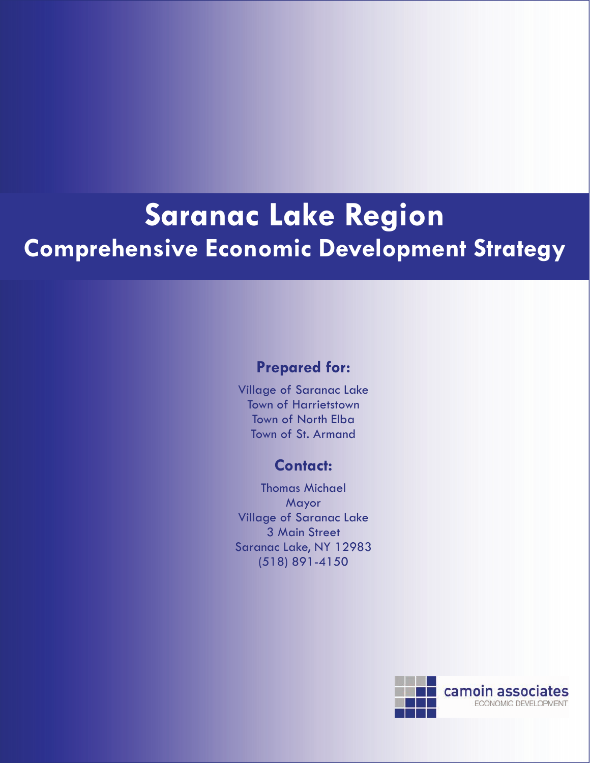# **Saranac Lake Region Comprehensive Economic Development Strategy**

### **Prepared for:**

Village of Saranac Lake Town of Harrietstown Town of North Elba Town of St. Armand

### **Contact:**

Thomas Michael Mayor Village of Saranac Lake 3 Main Street Saranac Lake, NY 12983 (518) 891-4150

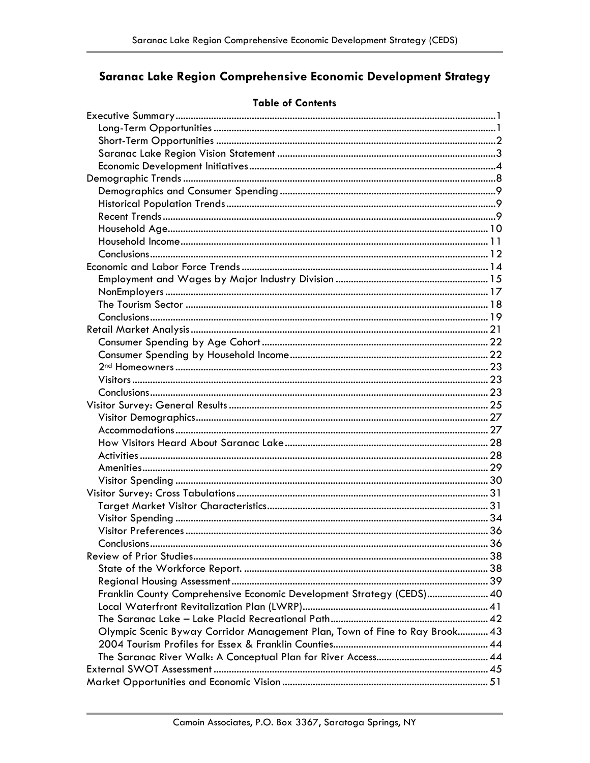## Saranac Lake Region Comprehensive Economic Development Strategy

| Franklin County Comprehensive Economic Development Strategy (CEDS) 40       |  |
|-----------------------------------------------------------------------------|--|
|                                                                             |  |
|                                                                             |  |
| Olympic Scenic Byway Corridor Management Plan, Town of Fine to Ray Brook 43 |  |
|                                                                             |  |
|                                                                             |  |
|                                                                             |  |
|                                                                             |  |

### **Table of Contents**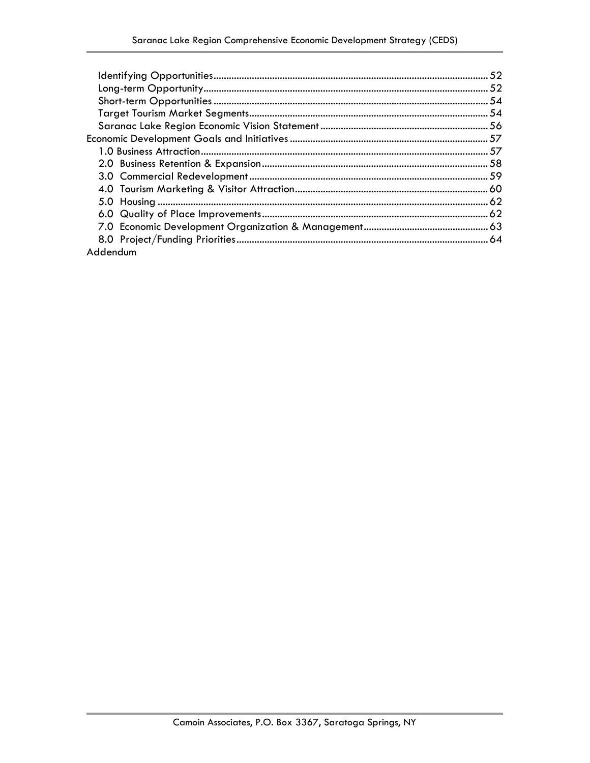| Addendum |  |
|----------|--|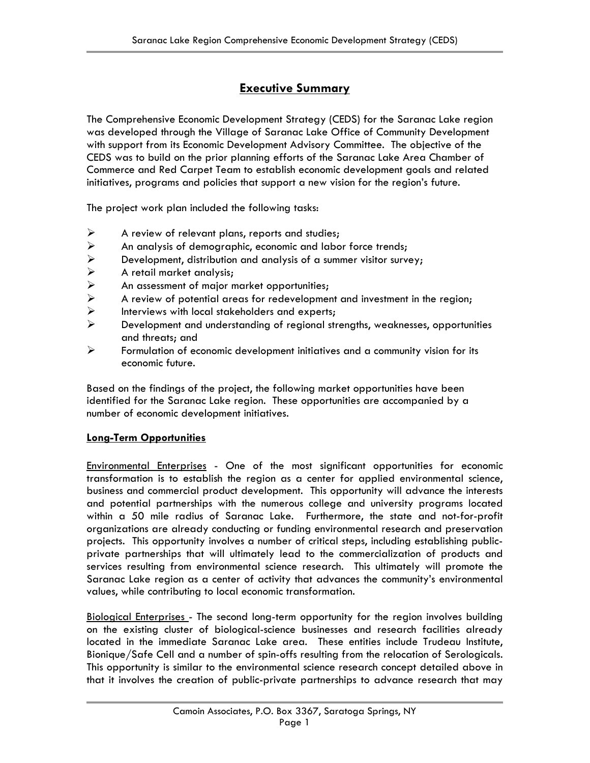### **Executive Summary**

The Comprehensive Economic Development Strategy (CEDS) for the Saranac Lake region was developed through the Village of Saranac Lake Office of Community Development with support from its Economic Development Advisory Committee. The objective of the CEDS was to build on the prior planning efforts of the Saranac Lake Area Chamber of Commerce and Red Carpet Team to establish economic development goals and related initiatives, programs and policies that support a new vision for the region's future.

The project work plan included the following tasks:

- $\triangleright$  A review of relevant plans, reports and studies;
- 
- <ul>\n<li>▶ An analysis of demographic, economic and labor force trends;</li>\n<li>▶ Development, distribution and analysis of a summer visitor survey</li>\n<li>▶ A retail market analysis;</li>\n<li>▶ An assessment of major market opportunities;</li>\n<li>▶ A review of potential areas for redevelopment and investment</li>\n</ul> Development, distribution and analysis of a summer visitor survey;
- ¾ A retail market analysis;
- An assessment of major market opportunities;
- $\triangleright$  A review of potential areas for redevelopment and investment in the region;<br>
Interviews with local stakeholders and experts;
- $\triangleright$  Interviews with local stakeholders and experts;<br>  $\triangleright$  Development and understanding of regional str
- Development and understanding of regional strengths, weaknesses, opportunities and threats; and
- $\triangleright$  Formulation of economic development initiatives and a community vision for its economic future.

Based on the findings of the project, the following market opportunities have been identified for the Saranac Lake region. These opportunities are accompanied by a number of economic development initiatives.

### **Long-Term Opportunities**

Environmental Enterprises - One of the most significant opportunities for economic transformation is to establish the region as a center for applied environmental science, business and commercial product development. This opportunity will advance the interests and potential partnerships with the numerous college and university programs located within a 50 mile radius of Saranac Lake. Furthermore, the state and not-for-profit organizations are already conducting or funding environmental research and preservation projects. This opportunity involves a number of critical steps, including establishing publicprivate partnerships that will ultimately lead to the commercialization of products and services resulting from environmental science research. This ultimately will promote the Saranac Lake region as a center of activity that advances the community's environmental values, while contributing to local economic transformation.

Biological Enterprises - The second long-term opportunity for the region involves building on the existing cluster of biological-science businesses and research facilities already located in the immediate Saranac Lake area. These entities include Trudeau Institute, Bionique/Safe Cell and a number of spin-offs resulting from the relocation of Serologicals. This opportunity is similar to the environmental science research concept detailed above in that it involves the creation of public-private partnerships to advance research that may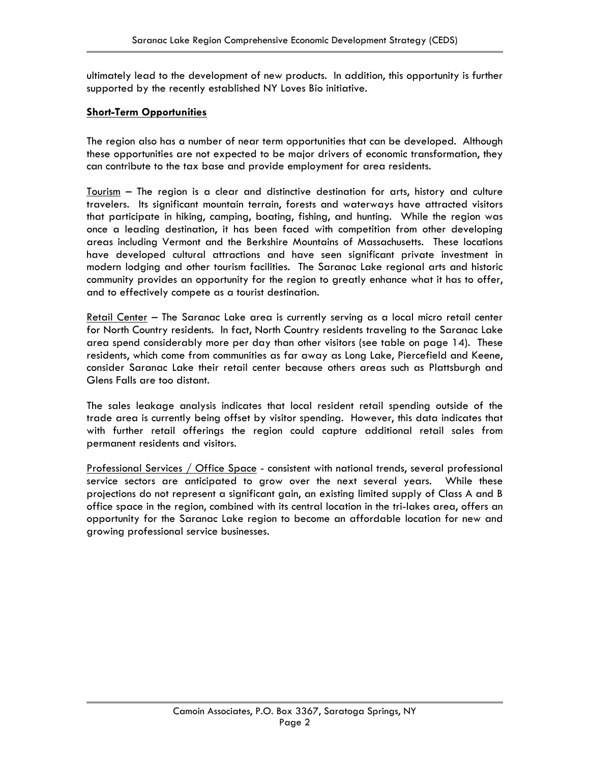ultimately lead to the development of new products. In addition, this opportunity is further supported by the recently established NY Loves Bio initiative.

#### **Short-Term Opportunities**

The region also has a number of near term opportunities that can be developed. Although these opportunities are not expected to be major drivers of economic transformation, they can contribute to the tax base and provide employment for area residents.

Tourism – The region is a clear and distinctive destination for arts, history and culture travelers. Its significant mountain terrain, forests and waterways have attracted visitors that participate in hiking, camping, boating, fishing, and hunting. While the region was once a leading destination, it has been faced with competition from other developing areas including Vermont and the Berkshire Mountains of Massachusetts. These locations have developed cultural attractions and have seen significant private investment in modern lodging and other tourism facilities. The Saranac Lake regional arts and historic community provides an opportunity for the region to greatly enhance what it has to offer, and to effectively compete as a tourist destination.

Retail Center - The Saranac Lake area is currently serving as a local micro retail center for North Country residents. In fact, North Country residents traveling to the Saranac Lake area spend considerably more per day than other visitors (see table on page 14). These residents, which come from communities as far away as Long Lake, Piercefield and Keene, consider Saranac Lake their retail center because others areas such as Plattsburgh and Glens Falls are too distant.

The sales leakage analysis indicates that local resident retail spending outside of the trade area is currently being offset by visitor spending. However, this data indicates that with further retail offerings the region could capture additional retail sales from permanent residents and visitors.

Professional Services / Office Space - consistent with national trends, several professional service sectors are anticipated to grow over the next several years. While these projections do not represent a significant gain, an existing limited supply of Class A and B office space in the region, combined with its central location in the tri-lakes area, offers an opportunity for the Saranac Lake region to become an affordable location for new and growing professional service businesses.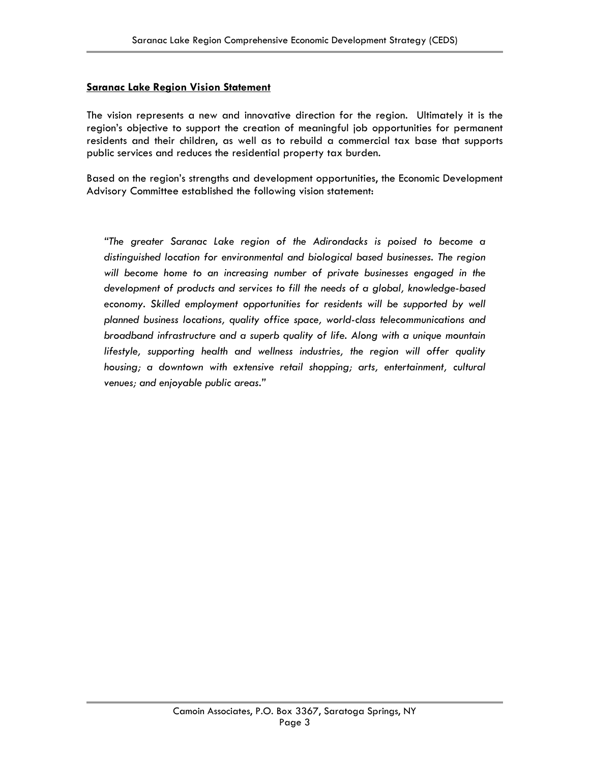### **Saranac Lake Region Vision Statement**

The vision represents a new and innovative direction for the region. Ultimately it is the region's objective to support the creation of meaningful job opportunities for permanent residents and their children, as well as to rebuild a commercial tax base that supports public services and reduces the residential property tax burden.

Based on the region's strengths and development opportunities, the Economic Development Advisory Committee established the following vision statement:

*"The greater Saranac Lake region of the Adirondacks is poised to become a distinguished location for environmental and biological based businesses. The region will become home to an increasing number of private businesses engaged in the development of products and services to fill the needs of a global, knowledge-based*  economy. Skilled employment opportunities for residents will be supported by well *planned business locations, quality office space, world-class telecommunications and broadband infrastructure and a superb quality of life. Along with a unique mountain lifestyle, supporting health and wellness industries, the region will offer quality housing; a downtown with extensive retail shopping; arts, entertainment, cultural venues; and enjoyable public areas."*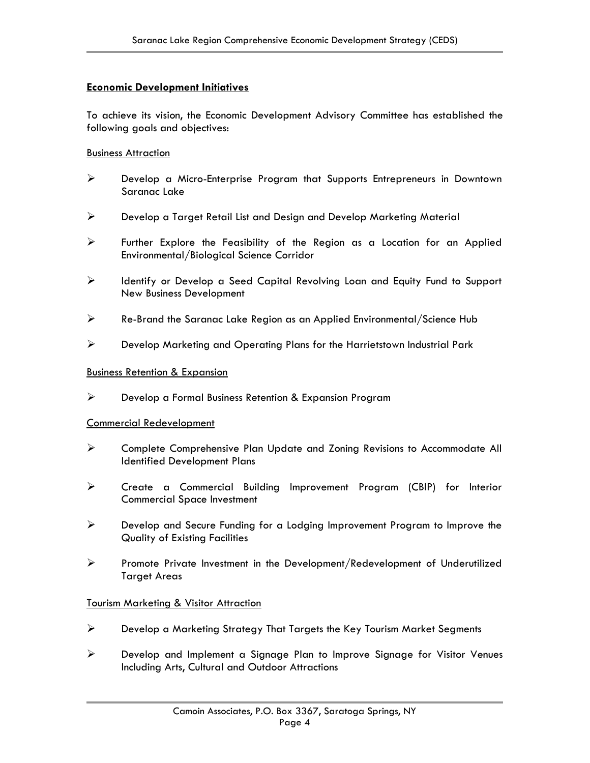### **Economic Development Initiatives**

To achieve its vision, the Economic Development Advisory Committee has established the following goals and objectives:

#### **Business Attraction**

- ¾ Develop a Micro-Enterprise Program that Supports Entrepreneurs in Downtown Saranac Lake
- ¾ Develop a Target Retail List and Design and Develop Marketing Material
- $\triangleright$  Further Explore the Feasibility of the Region as a Location for an Applied Environmental/Biological Science Corridor
- ¾ Identify or Develop a Seed Capital Revolving Loan and Equity Fund to Support New Business Development
- ¾ Re-Brand the Saranac Lake Region as an Applied Environmental/Science Hub
- ¾ Develop Marketing and Operating Plans for the Harrietstown Industrial Park

### Business Retention & Expansion

¾ Develop a Formal Business Retention & Expansion Program

### Commercial Redevelopment

- ¾ Complete Comprehensive Plan Update and Zoning Revisions to Accommodate All Identified Development Plans
- ¾ Create a Commercial Building Improvement Program (CBIP) for Interior Commercial Space Investment
- ¾ Develop and Secure Funding for a Lodging Improvement Program to Improve the Quality of Existing Facilities
- ¾ Promote Private Investment in the Development/Redevelopment of Underutilized Target Areas

### **Tourism Marketing & Visitor Attraction**

- ¾ Develop a Marketing Strategy That Targets the Key Tourism Market Segments
- ¾ Develop and Implement a Signage Plan to Improve Signage for Visitor Venues Including Arts, Cultural and Outdoor Attractions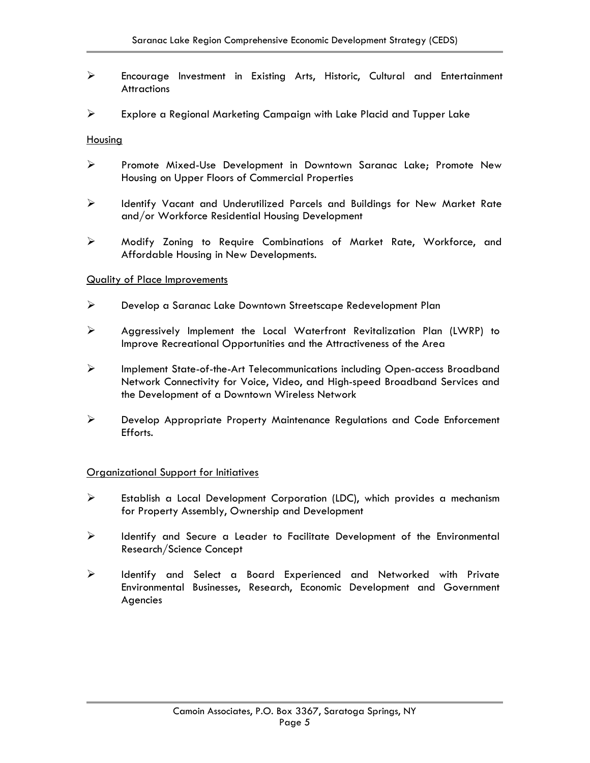- ¾ Encourage Investment in Existing Arts, Historic, Cultural and Entertainment **Attractions**
- $\triangleright$  Explore a Regional Marketing Campaign with Lake Placid and Tupper Lake

### Housing

- ¾ Promote Mixed-Use Development in Downtown Saranac Lake; Promote New Housing on Upper Floors of Commercial Properties
- ¾ Identify Vacant and Underutilized Parcels and Buildings for New Market Rate and/or Workforce Residential Housing Development
- ¾ Modify Zoning to Require Combinations of Market Rate, Workforce, and Affordable Housing in New Developments.

#### Quality of Place Improvements

- ¾ Develop a Saranac Lake Downtown Streetscape Redevelopment Plan
- ¾ Aggressively Implement the Local Waterfront Revitalization Plan (LWRP) to Improve Recreational Opportunities and the Attractiveness of the Area
- ¾ Implement State-of-the-Art Telecommunications including Open-access Broadband Network Connectivity for Voice, Video, and High-speed Broadband Services and the Development of a Downtown Wireless Network
- ¾ Develop Appropriate Property Maintenance Regulations and Code Enforcement Efforts.

#### Organizational Support for Initiatives

- ¾ Establish a Local Development Corporation (LDC), which provides a mechanism for Property Assembly, Ownership and Development
- ¾ Identify and Secure a Leader to Facilitate Development of the Environmental Research/Science Concept
- ¾ Identify and Select a Board Experienced and Networked with Private Environmental Businesses, Research, Economic Development and Government Agencies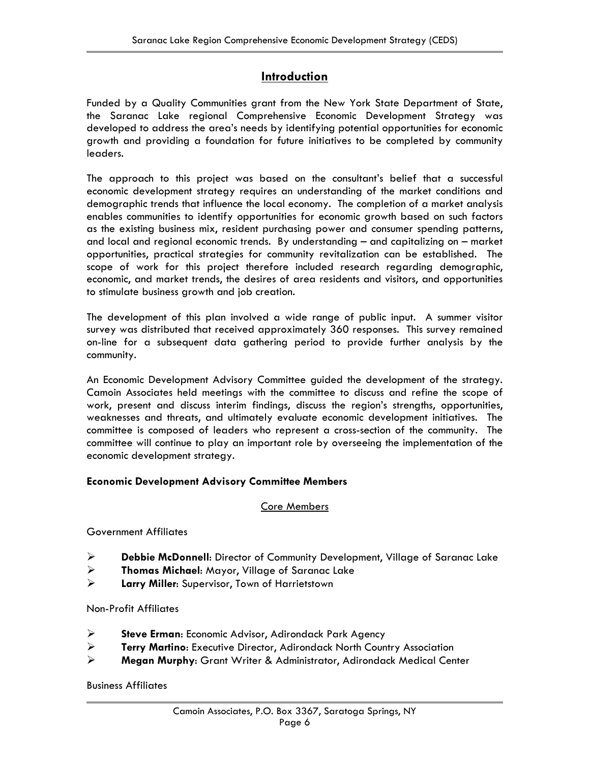### **Introduction**

Funded by a Quality Communities grant from the New York State Department of State, the Saranac Lake regional Comprehensive Economic Development Strategy was developed to address the area's needs by identifying potential opportunities for economic growth and providing a foundation for future initiatives to be completed by community leaders.

The approach to this project was based on the consultant's belief that a successful economic development strategy requires an understanding of the market conditions and demographic trends that influence the local economy. The completion of a market analysis enables communities to identify opportunities for economic growth based on such factors as the existing business mix, resident purchasing power and consumer spending patterns, and local and regional economic trends. By understanding – and capitalizing on – market opportunities, practical strategies for community revitalization can be established. The scope of work for this project therefore included research regarding demographic, economic, and market trends, the desires of area residents and visitors, and opportunities to stimulate business growth and job creation.

The development of this plan involved a wide range of public input. A summer visitor survey was distributed that received approximately 360 responses. This survey remained on-line for a subsequent data gathering period to provide further analysis by the community.

An Economic Development Advisory Committee guided the development of the strategy. Camoin Associates held meetings with the committee to discuss and refine the scope of work, present and discuss interim findings, discuss the region's strengths, opportunities, weaknesses and threats, and ultimately evaluate economic development initiatives. The committee is composed of leaders who represent a cross-section of the community. The committee will continue to play an important role by overseeing the implementation of the economic development strategy.

### **Economic Development Advisory Committee Members**

### Core Members

### Government Affiliates

- ¾ **Debbie McDonnell**: Director of Community Development, Village of Saranac Lake
- ¾ **Thomas Michael**: Mayor, Village of Saranac Lake
- ¾ **Larry Miller**: Supervisor, Town of Harrietstown

### Non-Profit Affiliates

- ¾ **Steve Erman**: Economic Advisor, Adirondack Park Agency
- ¾ **Terry Martino**: Executive Director, Adirondack North Country Association
- ¾ **Megan Murphy**: Grant Writer & Administrator, Adirondack Medical Center

### Business Affiliates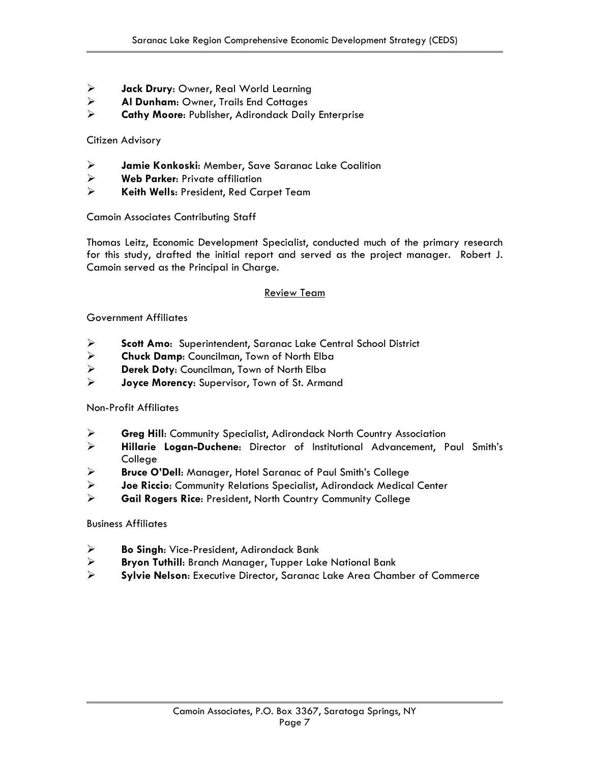- ¾ **Jack Drury**: Owner, Real World Learning
- ¾ **Al Dunham**: Owner, Trails End Cottages
- ¾ **Cathy Moore**: Publisher, Adirondack Daily Enterprise

Citizen Advisory

- ¾ **Jamie Konkoski**: Member, Save Saranac Lake Coalition
- ¾ **Web Parker**: Private affiliation
- ¾ **Keith Wells**: President, Red Carpet Team

Camoin Associates Contributing Staff

Thomas Leitz, Economic Development Specialist, conducted much of the primary research for this study, drafted the initial report and served as the project manager. Robert J. Camoin served as the Principal in Charge.

### Review Team

### Government Affiliates

- ¾ **Scott Amo**: Superintendent, Saranac Lake Central School District
- ¾ **Chuck Damp**: Councilman, Town of North Elba
- ¾ **Derek Doty**: Councilman, Town of North Elba
- ¾ **Joyce Morency**: Supervisor, Town of St. Armand

### Non-Profit Affiliates

- ¾ **Greg Hill**: Community Specialist, Adirondack North Country Association
- ¾ **Hillarie Logan-Duchene**: Director of Institutional Advancement, Paul Smith's College
- ¾ **Bruce O'Dell**: Manager, Hotel Saranac of Paul Smith's College
- ¾ **Joe Riccio**: Community Relations Specialist, Adirondack Medical Center
- ¾ **Gail Rogers Rice**: President, North Country Community College

### Business Affiliates

- ¾ **Bo Singh**: Vice-President, Adirondack Bank
- ¾ **Bryon Tuthill**: Branch Manager, Tupper Lake National Bank
- ¾ **Sylvie Nelson**: Executive Director, Saranac Lake Area Chamber of Commerce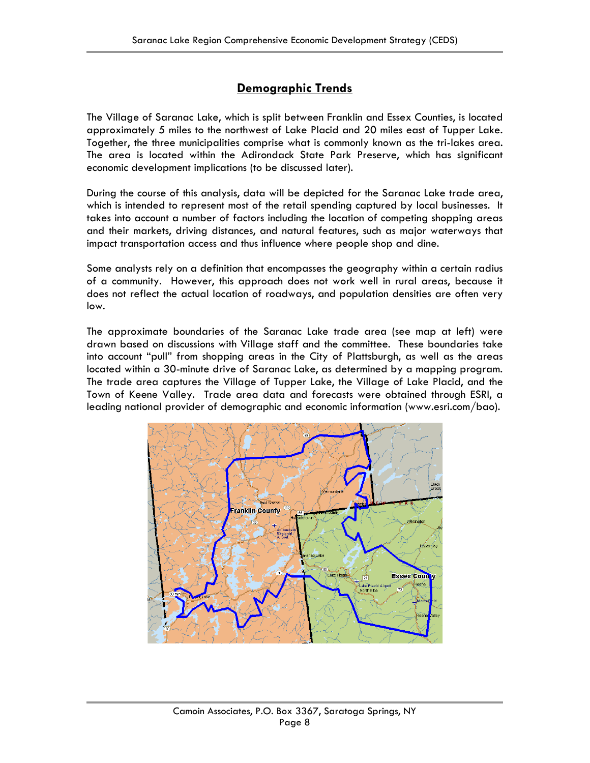### **Demographic Trends**

The Village of Saranac Lake, which is split between Franklin and Essex Counties, is located approximately 5 miles to the northwest of Lake Placid and 20 miles east of Tupper Lake. Together, the three municipalities comprise what is commonly known as the tri-lakes area. The area is located within the Adirondack State Park Preserve, which has significant economic development implications (to be discussed later).

During the course of this analysis, data will be depicted for the Saranac Lake trade area, which is intended to represent most of the retail spending captured by local businesses. It takes into account a number of factors including the location of competing shopping areas and their markets, driving distances, and natural features, such as major waterways that impact transportation access and thus influence where people shop and dine.

Some analysts rely on a definition that encompasses the geography within a certain radius of a community. However, this approach does not work well in rural areas, because it does not reflect the actual location of roadways, and population densities are often very low.

The approximate boundaries of the Saranac Lake trade area (see map at left) were drawn based on discussions with Village staff and the committee. These boundaries take into account "pull" from shopping areas in the City of Plattsburgh, as well as the areas located within a 30-minute drive of Saranac Lake, as determined by a mapping program. The trade area captures the Village of Tupper Lake, the Village of Lake Placid, and the Town of Keene Valley. Trade area data and forecasts were obtained through ESRI, a leading national provider of demographic and economic information (www.esri.com/bao).

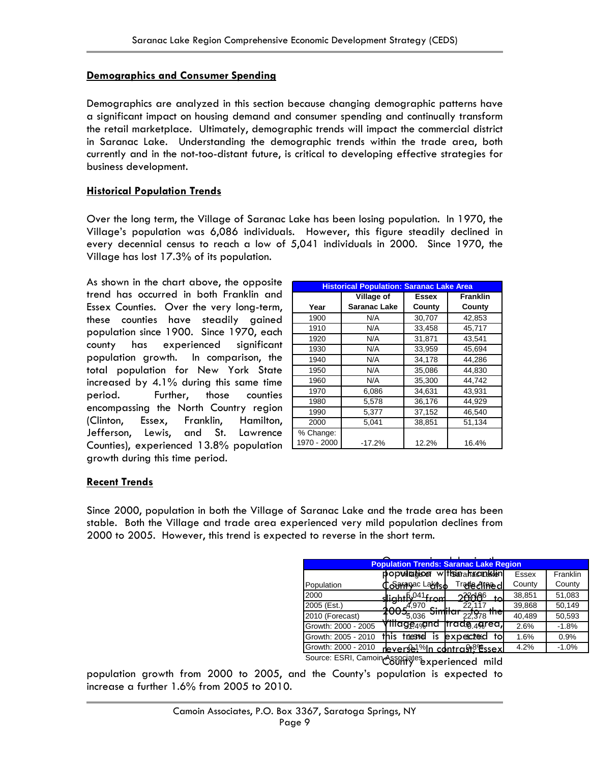### **Demographics and Consumer Spending**

Demographics are analyzed in this section because changing demographic patterns have a significant impact on housing demand and consumer spending and continually transform the retail marketplace. Ultimately, demographic trends will impact the commercial district in Saranac Lake. Understanding the demographic trends within the trade area, both currently and in the not-too-distant future, is critical to developing effective strategies for business development.

### **Historical Population Trends**

Over the long term, the Village of Saranac Lake has been losing population. In 1970, the Village's population was 6,086 individuals. However, this figure steadily declined in every decennial census to reach a low of 5,041 individuals in 2000. Since 1970, the Village has lost 17.3% of its population.

As shown in the chart above, the opposite trend has occurred in both Franklin and Essex Counties. Over the very long-term, these counties have steadily gained population since 1900. Since 1970, each county has experienced significant population growth. In comparison, the total population for New York State increased by 4.1% during this same time period. Further, those counties encompassing the North Country region (Clinton, Essex, Franklin, Hamilton, Jefferson, Lewis, and St. Lawrence Counties), experienced 13.8% population growth during this time period.

| <b>Historical Population: Saranac Lake Area</b> |                     |              |                 |  |  |
|-------------------------------------------------|---------------------|--------------|-----------------|--|--|
|                                                 | Village of          | <b>Essex</b> | <b>Franklin</b> |  |  |
| Year                                            | <b>Saranac Lake</b> | County       | County          |  |  |
| 1900                                            | N/A                 | 30,707       | 42,853          |  |  |
| 1910                                            | N/A                 | 33.458       | 45.717          |  |  |
| 1920                                            | N/A                 | 31,871       | 43,541          |  |  |
| 1930                                            | N/A                 | 33,959       | 45.694          |  |  |
| 1940                                            | N/A                 | 34,178       | 44.286          |  |  |
| 1950                                            | N/A                 | 35,086       | 44.830          |  |  |
| 1960                                            | N/A                 | 35,300       | 44,742          |  |  |
| 1970                                            | 6,086               | 34,631       | 43.931          |  |  |
| 1980                                            | 5.578               | 36,176       | 44.929          |  |  |
| 1990                                            | 5,377               | 37,152       | 46,540          |  |  |
| 2000                                            | 5.041               | 38,851       | 51,134          |  |  |
| % Change:                                       |                     |              |                 |  |  |
| 1970 - 2000                                     | $-17.2%$            | 12.2%        | 16.4%           |  |  |

### **Recent Trends**

Since 2000, population in both the Village of Saranac Lake and the trade area has been stable. Both the Village and trade area experienced very mild population declines from 2000 to 2005. However, this trend is expected to reverse in the short term.

|                     | <b>Population Trends: Saranac Lake Region</b> |                           |        |          |
|---------------------|-----------------------------------------------|---------------------------|--------|----------|
|                     | $p$ opullation withsinafac $n$ klin           |                           | Essex  | Franklin |
| Population          | Cosamanac Lagitso                             | <b>Tradeclined</b>        | County | County   |
| 2000                | $di$ cht $f\sqrt{6}$ <sup>041</sup> from      | 286186<br>$t_{\Omega}$    | 38,851 | 51,083   |
| 2005 (Est.)         | $h_0$ $r^{4,970}$                             | 22,117                    | 39,868 | 50,149   |
| 2010 (Forecast)     | 5.036                                         | пте<br>22.378             | 40,489 | 50,593   |
| Growth: 2000 - 2005 | γπιαge <sub>4%</sub> and                      | Trade <sub>49</sub> grea, | 2.6%   | $-1.8%$  |
| Growth: 2005 - 2010 | this<br>triesnol<br>IS                        | expected<br>tol           | 1.6%   | 0.9%     |
| Growth: 2000 - 2010 | <u>nleverse!%In contrast%%ssexl</u>           |                           | 4.2%   | $-1.0%$  |

C88Mf<sup>yes</sup>experienced mild Source: ESRI, Camoin Associates

population growth from 2000 to 2005, and the County's population is expected to increase a further 1.6% from 2005 to 2010.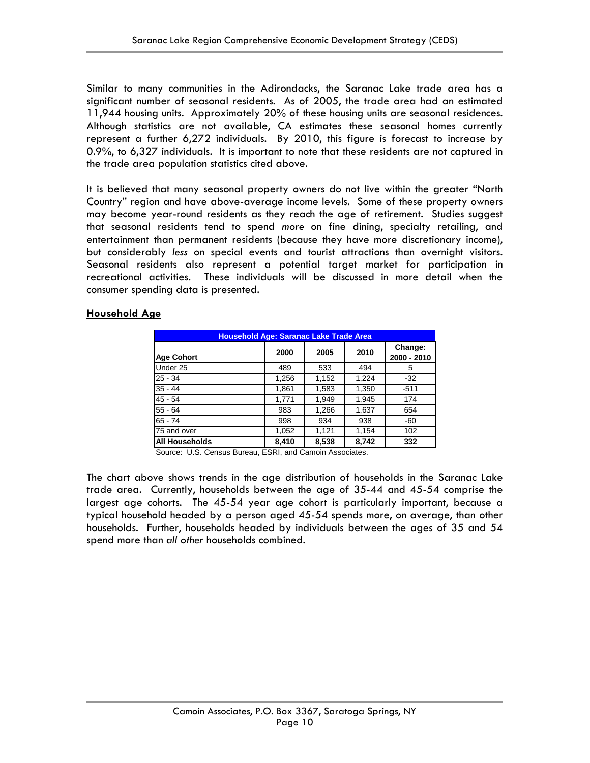Similar to many communities in the Adirondacks, the Saranac Lake trade area has a significant number of seasonal residents. As of 2005, the trade area had an estimated 11,944 housing units. Approximately 20% of these housing units are seasonal residences. Although statistics are not available, CA estimates these seasonal homes currently represent a further 6,272 individuals. By 2010, this figure is forecast to increase by 0.9%, to 6,327 individuals. It is important to note that these residents are not captured in the trade area population statistics cited above.

It is believed that many seasonal property owners do not live within the greater "North Country" region and have above-average income levels. Some of these property owners may become year-round residents as they reach the age of retirement. Studies suggest that seasonal residents tend to spend *more* on fine dining, specialty retailing, and entertainment than permanent residents (because they have more discretionary income), but considerably *less* on special events and tourist attractions than overnight visitors. Seasonal residents also represent a potential target market for participation in recreational activities. These individuals will be discussed in more detail when the consumer spending data is presented.

### **Household Age**

| <b>Household Age: Saranac Lake Trade Area</b> |       |       |       |                        |  |  |
|-----------------------------------------------|-------|-------|-------|------------------------|--|--|
| <b>Age Cohort</b>                             | 2000  | 2005  | 2010  | Change:<br>2000 - 2010 |  |  |
| Under 25                                      | 489   | 533   | 494   | 5                      |  |  |
| $25 - 34$                                     | 1,256 | 1,152 | 1,224 | $-32$                  |  |  |
| $35 - 44$                                     | 1,861 | 1,583 | 1,350 | $-511$                 |  |  |
| $45 - 54$                                     | 1,771 | 1,949 | 1,945 | 174                    |  |  |
| $55 - 64$                                     | 983   | 1,266 | 1,637 | 654                    |  |  |
| $65 - 74$                                     | 998   | 934   | 938   | -60                    |  |  |
| 75 and over                                   | 1,052 | 1,121 | 1,154 | 102                    |  |  |
| <b>All Households</b>                         | 8,410 | 8,538 | 8,742 | 332                    |  |  |

Source: U.S. Census Bureau, ESRI, and Camoin Associates.

The chart above shows trends in the age distribution of households in the Saranac Lake trade area. Currently, households between the age of 35-44 and 45-54 comprise the largest age cohorts. The 45-54 year age cohort is particularly important, because a typical household headed by a person aged 45-54 spends more, on average, than other households. Further, households headed by individuals between the ages of 35 and 54 spend more than *all other* households combined.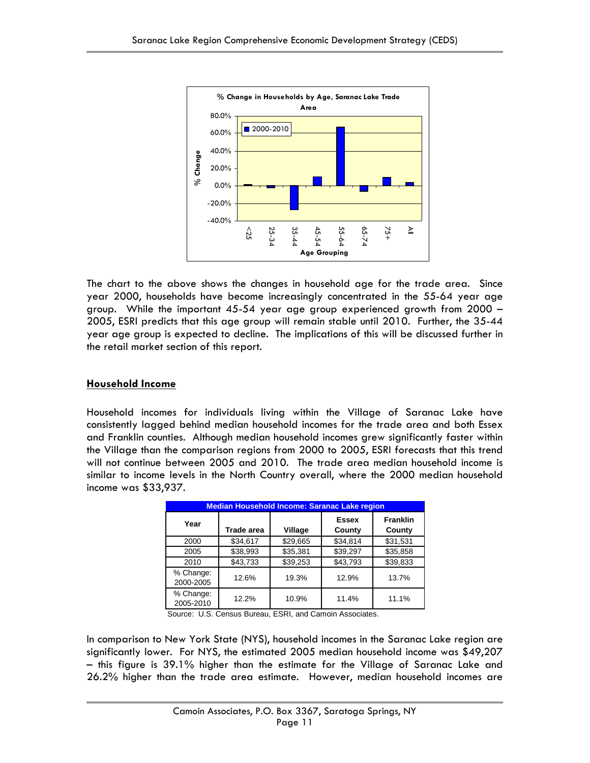

The chart to the above shows the changes in household age for the trade area. Since year 2000, households have become increasingly concentrated in the 55-64 year age group. While the important 45-54 year age group experienced growth from 2000 – 2005, ESRI predicts that this age group will remain stable until 2010. Further, the 35-44 year age group is expected to decline. The implications of this will be discussed further in the retail market section of this report.

### **Household Income**

Household incomes for individuals living within the Village of Saranac Lake have consistently lagged behind median household incomes for the trade area and both Essex and Franklin counties. Although median household incomes grew significantly faster within the Village than the comparison regions from 2000 to 2005, ESRI forecasts that this trend will not continue between 2005 and 2010. The trade area median household income is similar to income levels in the North Country overall, where the 2000 median household income was \$33,937.

| <b>Median Household Income: Saranac Lake region</b> |            |          |                        |                           |  |  |
|-----------------------------------------------------|------------|----------|------------------------|---------------------------|--|--|
| Year                                                | Trade area | Village  | <b>Essex</b><br>County | <b>Franklin</b><br>County |  |  |
| 2000                                                | \$34,617   | \$29,665 | \$34,814               | \$31,531                  |  |  |
| 2005                                                | \$38,993   | \$35,381 | \$39,297               | \$35,858                  |  |  |
| 2010                                                | \$43,733   | \$39,253 | \$43,793               | \$39,833                  |  |  |
| % Change:<br>2000-2005                              | 12.6%      | 19.3%    | 12.9%                  | 13.7%                     |  |  |
| % Change:<br>2005-2010                              | 12.2%      | 10.9%    | 11.4%                  | 11.1%                     |  |  |

Source: U.S. Census Bureau, ESRI, and Camoin Associates.

In comparison to New York State (NYS), household incomes in the Saranac Lake region are significantly lower. For NYS, the estimated 2005 median household income was \$49,207 – this figure is 39.1% higher than the estimate for the Village of Saranac Lake and 26.2% higher than the trade area estimate. However, median household incomes are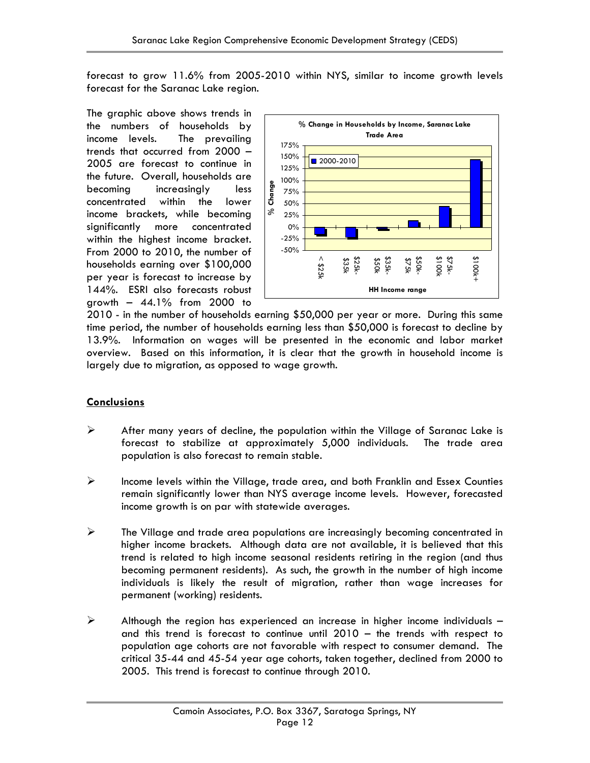forecast to grow 11.6% from 2005-2010 within NYS, similar to income growth levels forecast for the Saranac Lake region.

The graphic above shows trends in the numbers of households by income levels. The prevailing trends that occurred from 2000 – 2005 are forecast to continue in the future. Overall, households are becoming increasingly less concentrated within the lower income brackets, while becoming significantly more concentrated within the highest income bracket. From 2000 to 2010, the number of households earning over \$100,000 per year is forecast to increase by 144%. ESRI also forecasts robust growth  $-44.1\%$  from 2000 to



2010 - in the number of households earning \$50,000 per year or more. During this same time period, the number of households earning less than \$50,000 is forecast to decline by 13.9%. Information on wages will be presented in the economic and labor market overview. Based on this information, it is clear that the growth in household income is largely due to migration, as opposed to wage growth.

### **Conclusions**

- $\triangleright$  After many years of decline, the population within the Village of Saranac Lake is forecast to stabilize at approximately 5,000 individuals. The trade area population is also forecast to remain stable.
- $\triangleright$  Income levels within the Village, trade area, and both Franklin and Essex Counties remain significantly lower than NYS average income levels. However, forecasted income growth is on par with statewide averages.
- $\triangleright$  The Village and trade area populations are increasingly becoming concentrated in higher income brackets. Although data are not available, it is believed that this trend is related to high income seasonal residents retiring in the region (and thus becoming permanent residents). As such, the growth in the number of high income individuals is likely the result of migration, rather than wage increases for permanent (working) residents.
- $\triangleright$  Although the region has experienced an increase in higher income individuals and this trend is forecast to continue until 2010 – the trends with respect to population age cohorts are not favorable with respect to consumer demand. The critical 35-44 and 45-54 year age cohorts, taken together, declined from 2000 to 2005. This trend is forecast to continue through 2010.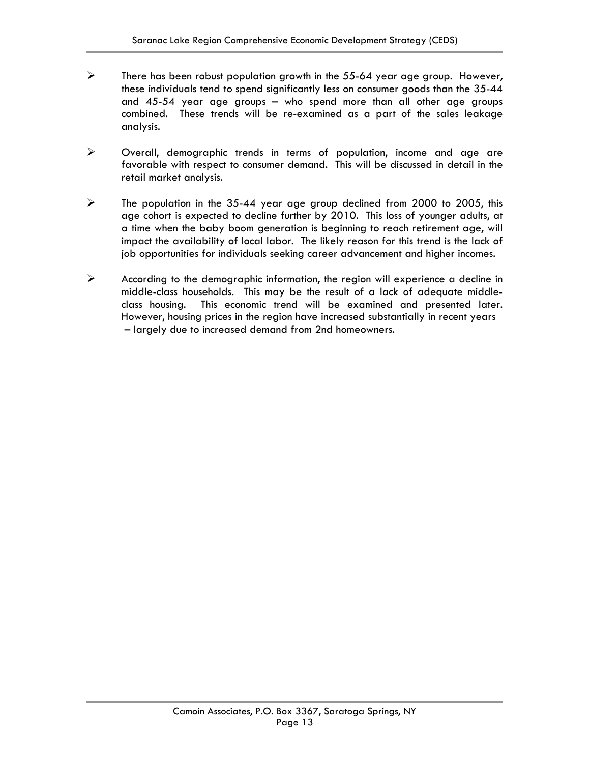- $\triangleright$  There has been robust population growth in the 55-64 year age group. However, these individuals tend to spend significantly less on consumer goods than the 35-44 and 45-54 year age groups – who spend more than all other age groups combined. These trends will be re-examined as a part of the sales leakage analysis.
- ¾ Overall, demographic trends in terms of population, income and age are favorable with respect to consumer demand. This will be discussed in detail in the retail market analysis.
- $\triangleright$  The population in the 35-44 year age group declined from 2000 to 2005, this age cohort is expected to decline further by 2010. This loss of younger adults, at a time when the baby boom generation is beginning to reach retirement age, will impact the availability of local labor. The likely reason for this trend is the lack of job opportunities for individuals seeking career advancement and higher incomes.
- $\triangleright$  According to the demographic information, the region will experience a decline in middle-class households. This may be the result of a lack of adequate middleclass housing. This economic trend will be examined and presented later. However, housing prices in the region have increased substantially in recent years – largely due to increased demand from 2nd homeowners.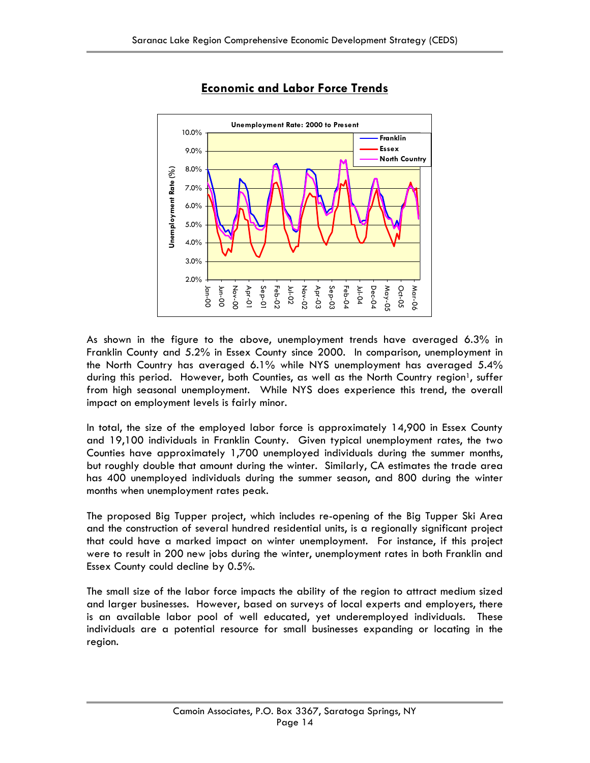

### **Economic and Labor Force Trends**

As shown in the figure to the above, unemployment trends have averaged 6.3% in Franklin County and 5.2% in Essex County since 2000. In comparison, unemployment in the North Country has averaged 6.1% while NYS unemployment has averaged 5.4% during this period. However, both Counties, as well as the North Country region<sup>1</sup>, suffer from high seasonal unemployment. While NYS does experience this trend, the overall impact on employment levels is fairly minor.

In total, the size of the employed labor force is approximately 14,900 in Essex County and 19,100 individuals in Franklin County. Given typical unemployment rates, the two Counties have approximately 1,700 unemployed individuals during the summer months, but roughly double that amount during the winter. Similarly, CA estimates the trade area has 400 unemployed individuals during the summer season, and 800 during the winter months when unemployment rates peak.

The proposed Big Tupper project, which includes re-opening of the Big Tupper Ski Area and the construction of several hundred residential units, is a regionally significant project that could have a marked impact on winter unemployment. For instance, if this project were to result in 200 new jobs during the winter, unemployment rates in both Franklin and Essex County could decline by 0.5%.

The small size of the labor force impacts the ability of the region to attract medium sized and larger businesses. However, based on surveys of local experts and employers, there is an available labor pool of well educated, yet underemployed individuals. These individuals are a potential resource for small businesses expanding or locating in the region.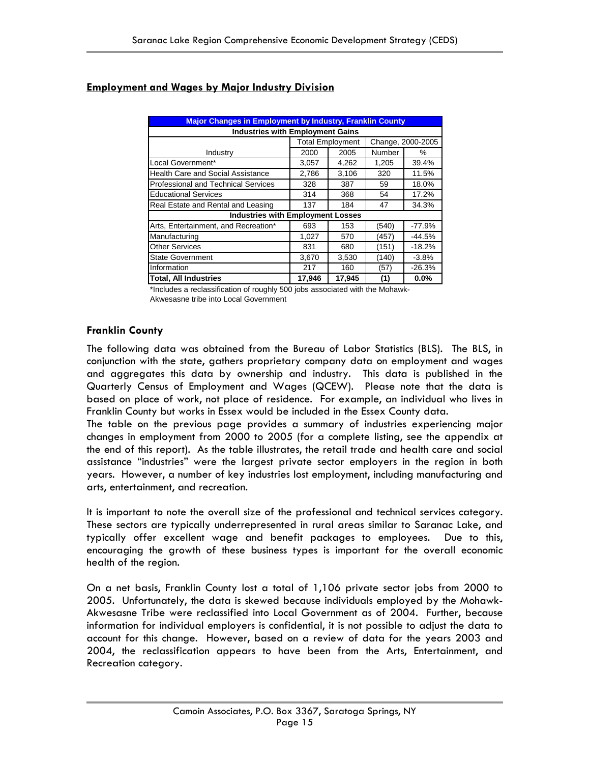| <b>Major Changes in Employment by Industry, Franklin County</b> |        |                         |        |                   |  |  |
|-----------------------------------------------------------------|--------|-------------------------|--------|-------------------|--|--|
| <b>Industries with Employment Gains</b>                         |        |                         |        |                   |  |  |
|                                                                 |        | <b>Total Employment</b> |        | Change, 2000-2005 |  |  |
| Industry                                                        | 2000   | 2005                    | Number | ℅                 |  |  |
| Local Government*                                               | 3.057  | 4,262                   | 1,205  | 39.4%             |  |  |
| <b>Health Care and Social Assistance</b>                        | 2,786  | 3,106                   | 320    | 11.5%             |  |  |
| Professional and Technical Services                             | 328    | 387                     | 59     | 18.0%             |  |  |
| <b>Educational Services</b>                                     | 314    | 368                     | 54     | 17.2%             |  |  |
| Real Estate and Rental and Leasing                              | 137    | 184                     | 47     | 34.3%             |  |  |
| <b>Industries with Employment Losses</b>                        |        |                         |        |                   |  |  |
| Arts, Entertainment, and Recreation*                            | 693    | 153                     | (540)  | $-77.9%$          |  |  |
| Manufacturing                                                   | 1,027  | 570                     | (457)  | -44.5%            |  |  |
| <b>Other Services</b>                                           | 831    | 680                     | (151)  | $-18.2%$          |  |  |
| <b>State Government</b>                                         | 3,670  | 3,530                   | (140)  | $-3.8%$           |  |  |
| Information                                                     | 217    | 160                     | (57)   | $-26.3%$          |  |  |
| <b>Total, All Industries</b>                                    | 17,946 | 17,945                  | (1)    | $0.0\%$           |  |  |

### **Employment and Wages by Major Industry Division**

\*Includes a reclassification of roughly 500 jobs associated with the Mohawk-Akwesasne tribe into Local Government

### **Franklin County**

The following data was obtained from the Bureau of Labor Statistics (BLS). The BLS, in conjunction with the state, gathers proprietary company data on employment and wages and aggregates this data by ownership and industry. This data is published in the Quarterly Census of Employment and Wages (QCEW). Please note that the data is based on place of work, not place of residence. For example, an individual who lives in Franklin County but works in Essex would be included in the Essex County data.

The table on the previous page provides a summary of industries experiencing major changes in employment from 2000 to 2005 (for a complete listing, see the appendix at the end of this report). As the table illustrates, the retail trade and health care and social assistance "industries" were the largest private sector employers in the region in both years. However, a number of key industries lost employment, including manufacturing and arts, entertainment, and recreation.

It is important to note the overall size of the professional and technical services category. These sectors are typically underrepresented in rural areas similar to Saranac Lake, and typically offer excellent wage and benefit packages to employees. Due to this, encouraging the growth of these business types is important for the overall economic health of the region.

On a net basis, Franklin County lost a total of 1,106 private sector jobs from 2000 to 2005. Unfortunately, the data is skewed because individuals employed by the Mohawk-Akwesasne Tribe were reclassified into Local Government as of 2004. Further, because information for individual employers is confidential, it is not possible to adjust the data to account for this change. However, based on a review of data for the years 2003 and 2004, the reclassification appears to have been from the Arts, Entertainment, and Recreation category.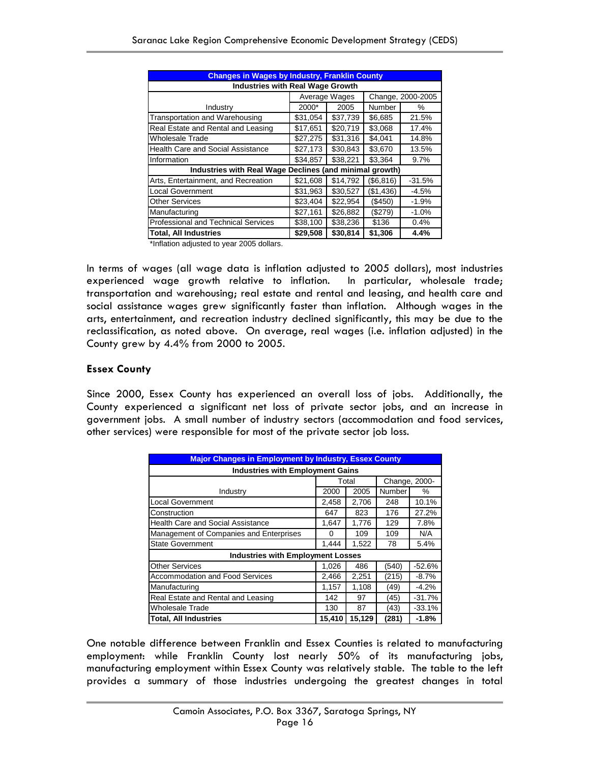| <b>Changes in Wages by Industry, Franklin County</b>    |                                         |               |            |                   |  |  |  |
|---------------------------------------------------------|-----------------------------------------|---------------|------------|-------------------|--|--|--|
|                                                         | <b>Industries with Real Wage Growth</b> |               |            |                   |  |  |  |
|                                                         |                                         | Average Wages |            | Change, 2000-2005 |  |  |  |
| Industry                                                | 2000*                                   | 2005          | Number     | ℅                 |  |  |  |
| Transportation and Warehousing                          | \$31,054                                | \$37,739      | \$6,685    | 21.5%             |  |  |  |
| Real Estate and Rental and Leasing                      | \$17,651                                | \$20,719      | \$3,068    | 17.4%             |  |  |  |
| Wholesale Trade                                         | \$27,275                                | \$31,316      | \$4,041    | 14.8%             |  |  |  |
| <b>Health Care and Social Assistance</b>                | \$27,173                                | \$30,843      | \$3,670    | 13.5%             |  |  |  |
| Information                                             | \$34,857                                | \$38,221      | \$3,364    | 9.7%              |  |  |  |
| Industries with Real Wage Declines (and minimal growth) |                                         |               |            |                   |  |  |  |
| Arts, Entertainment, and Recreation                     | \$21,608                                | \$14,792      | (\$6, 816) | $-31.5%$          |  |  |  |
| <b>Local Government</b>                                 | \$31,963                                | \$30,527      | (\$1,436)  | $-4.5%$           |  |  |  |
| <b>Other Services</b>                                   | \$23,404                                | \$22,954      | (\$450)    | $-1.9%$           |  |  |  |
| Manufacturing                                           | \$27,161                                | \$26,882      | (\$279)    | $-1.0\%$          |  |  |  |
| Professional and Technical Services                     | \$38,100                                | \$38,236      | \$136      | 0.4%              |  |  |  |
| <b>Total, All Industries</b>                            | \$29,508                                | \$30,814      | \$1,306    | 4.4%              |  |  |  |

\*Inflation adjusted to year 2005 dollars.

In terms of wages (all wage data is inflation adjusted to 2005 dollars), most industries experienced wage growth relative to inflation. In particular, wholesale trade; transportation and warehousing; real estate and rental and leasing, and health care and social assistance wages grew significantly faster than inflation. Although wages in the arts, entertainment, and recreation industry declined significantly, this may be due to the reclassification, as noted above. On average, real wages (i.e. inflation adjusted) in the County grew by 4.4% from 2000 to 2005.

### **Essex County**

Since 2000, Essex County has experienced an overall loss of jobs. Additionally, the County experienced a significant net loss of private sector jobs, and an increase in government jobs. A small number of industry sectors (accommodation and food services, other services) were responsible for most of the private sector job loss.

| <b>Major Changes in Employment by Industry, Essex County</b> |        |        |        |          |  |  |
|--------------------------------------------------------------|--------|--------|--------|----------|--|--|
| <b>Industries with Employment Gains</b>                      |        |        |        |          |  |  |
| Total<br>Change, 2000-                                       |        |        |        |          |  |  |
| Industry                                                     | 2000   | 2005   | Number | %        |  |  |
| <b>Local Government</b>                                      | 2,458  | 2,706  | 248    | 10.1%    |  |  |
| Construction                                                 | 647    | 823    | 176    | 27.2%    |  |  |
| Health Care and Social Assistance                            | 1,647  | 1,776  | 129    | 7.8%     |  |  |
| Management of Companies and Enterprises                      | 0      | 109    | 109    | N/A      |  |  |
| <b>State Government</b>                                      | 1,444  | 1,522  | 78     | 5.4%     |  |  |
| <b>Industries with Employment Losses</b>                     |        |        |        |          |  |  |
| <b>Other Services</b>                                        | 1,026  | 486    | (540)  | $-52.6%$ |  |  |
| <b>Accommodation and Food Services</b>                       | 2,466  | 2,251  | (215)  | $-8.7%$  |  |  |
| Manufacturing                                                | 1,157  | 1,108  | (49)   | $-4.2%$  |  |  |
| Real Estate and Rental and Leasing                           | 142    | 97     | (45)   | $-31.7%$ |  |  |
| <b>Wholesale Trade</b>                                       | 130    | 87     | (43)   | $-33.1%$ |  |  |
| <b>Total, All Industries</b>                                 | 15,410 | 15,129 | (281)  | -1.8%    |  |  |

One notable difference between Franklin and Essex Counties is related to manufacturing employment: while Franklin County lost nearly 50% of its manufacturing jobs, manufacturing employment within Essex County was relatively stable. The table to the left provides a summary of those industries undergoing the greatest changes in total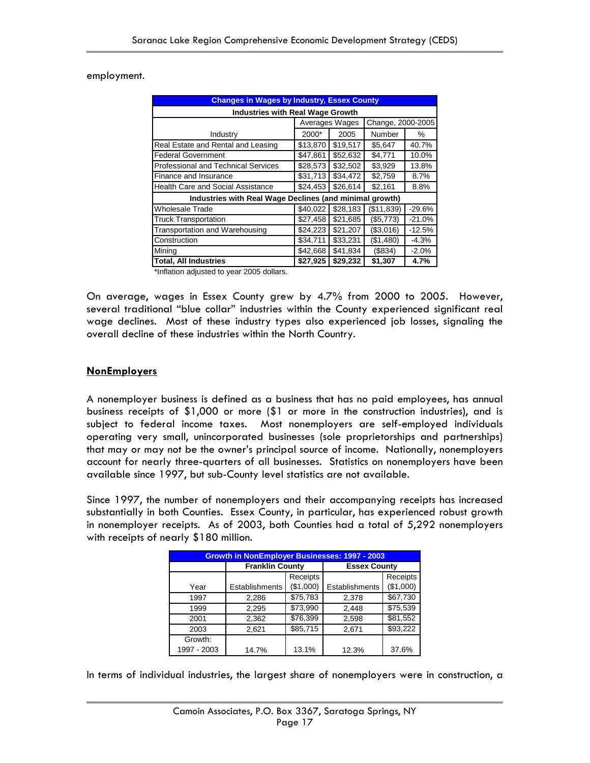employment.

| <b>Changes in Wages by Industry, Essex County</b>                       |          |                |                   |          |  |  |  |
|-------------------------------------------------------------------------|----------|----------------|-------------------|----------|--|--|--|
| <b>Industries with Real Wage Growth</b>                                 |          |                |                   |          |  |  |  |
|                                                                         |          | Averages Wages | Change, 2000-2005 |          |  |  |  |
| Industry                                                                | 2000*    | 2005           | Number            | $\%$     |  |  |  |
| Real Estate and Rental and Leasing                                      | \$13,870 | \$19.517       | \$5,647           | 40.7%    |  |  |  |
| <b>Federal Government</b>                                               | \$47,861 | \$52,632       | \$4,771           | 10.0%    |  |  |  |
| <b>Professional and Technical Services</b>                              | \$28,573 | \$32,502       | \$3,929           | 13.8%    |  |  |  |
| Finance and Insurance                                                   | \$31,713 | \$34,472       | \$2,759           | 8.7%     |  |  |  |
| <b>Health Care and Social Assistance</b>                                | \$24,453 | \$26,614       | \$2,161           | 8.8%     |  |  |  |
| Industries with Real Wage Declines (and minimal growth)                 |          |                |                   |          |  |  |  |
| <b>Wholesale Trade</b>                                                  | \$40.022 | \$28.183       | (\$11,839)        | $-29.6%$ |  |  |  |
| <b>Truck Transportation</b>                                             | \$27,458 | \$21,685       | (\$5,773)         | $-21.0%$ |  |  |  |
| Transportation and Warehousing                                          | \$24,223 | \$21,207       | (\$3,016)         | $-12.5%$ |  |  |  |
| Construction                                                            | \$34,711 | \$33,231       | (\$1,480)         | $-4.3%$  |  |  |  |
| Mining                                                                  | \$42,668 | \$41,834       | (\$834)           | $-2.0%$  |  |  |  |
| \$29,232<br>\$27,925<br><b>Total, All Industries</b><br>\$1,307<br>4.7% |          |                |                   |          |  |  |  |

\*Inflation adjusted to year 2005 dollars.

On average, wages in Essex County grew by 4.7% from 2000 to 2005. However, several traditional "blue collar" industries within the County experienced significant real wage declines. Most of these industry types also experienced job losses, signaling the overall decline of these industries within the North Country.

### **NonEmployers**

A nonemployer business is defined as a business that has no paid employees, has annual business receipts of \$1,000 or more (\$1 or more in the construction industries), and is subject to federal income taxes. Most nonemployers are self-employed individuals operating very small, unincorporated businesses (sole proprietorships and partnerships) that may or may not be the owner's principal source of income. Nationally, nonemployers account for nearly three-quarters of all businesses. Statistics on nonemployers have been available since 1997, but sub-County level statistics are not available.

Since 1997, the number of nonemployers and their accompanying receipts has increased substantially in both Counties. Essex County, in particular, has experienced robust growth in nonemployer receipts. As of 2003, both Counties had a total of 5,292 nonemployers with receipts of nearly \$180 million.

| <b>Growth in NonEmployer Businesses: 1997 - 2003</b> |                        |           |                     |           |  |
|------------------------------------------------------|------------------------|-----------|---------------------|-----------|--|
|                                                      | <b>Franklin County</b> |           | <b>Essex County</b> |           |  |
|                                                      |                        | Receipts  |                     | Receipts  |  |
| Year                                                 | Establishments         | (\$1,000) | Establishments      | (\$1,000) |  |
| 1997                                                 | 2,286                  | \$75,783  | 2,378               | \$67,730  |  |
| 1999                                                 | 2,295                  | \$73,990  | 2,448               | \$75,539  |  |
| 2001                                                 | 2,362                  | \$76,399  | 2,598               | \$81,552  |  |
| 2003                                                 | 2,621                  | \$85,715  | 2,671               | \$93,222  |  |
| Growth:                                              |                        |           |                     |           |  |
| 1997 - 2003                                          | 14.7%                  | 13.1%     | 12.3%               | 37.6%     |  |

In terms of individual industries, the largest share of nonemployers were in construction, a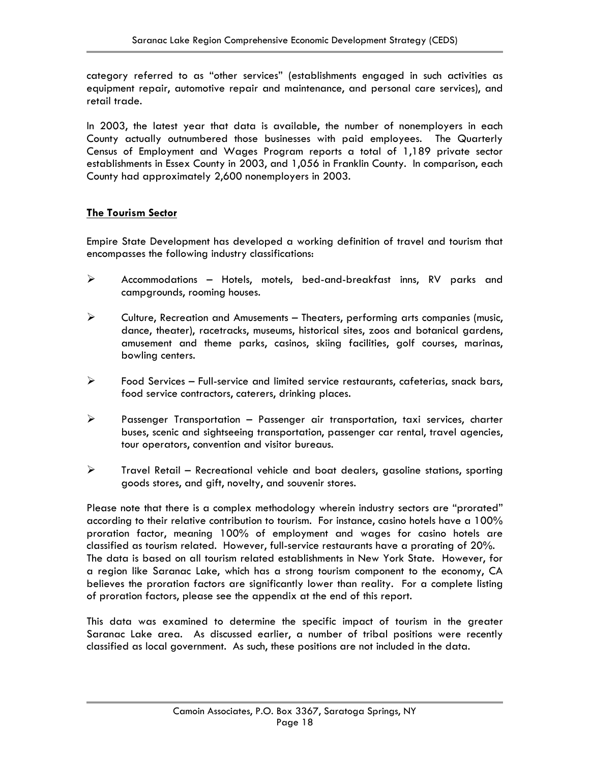category referred to as "other services" (establishments engaged in such activities as equipment repair, automotive repair and maintenance, and personal care services), and retail trade.

In 2003, the latest year that data is available, the number of nonemployers in each County actually outnumbered those businesses with paid employees. The Quarterly Census of Employment and Wages Program reports a total of 1,189 private sector establishments in Essex County in 2003, and 1,056 in Franklin County. In comparison, each County had approximately 2,600 nonemployers in 2003.

### **The Tourism Sector**

Empire State Development has developed a working definition of travel and tourism that encompasses the following industry classifications:

- $\triangleright$  Accommodations Hotels, motels, bed-and-breakfast inns, RV parks and campgrounds, rooming houses.
- $\triangleright$  Culture, Recreation and Amusements Theaters, performing arts companies (music, dance, theater), racetracks, museums, historical sites, zoos and botanical gardens, amusement and theme parks, casinos, skiing facilities, golf courses, marinas, bowling centers.
- $\triangleright$  Food Services Full-service and limited service restaurants, cafeterias, snack bars, food service contractors, caterers, drinking places.
- $\triangleright$  Passenger Transportation Passenger air transportation, taxi services, charter buses, scenic and sightseeing transportation, passenger car rental, travel agencies, tour operators, convention and visitor bureaus.
- $\triangleright$  Travel Retail Recreational vehicle and boat dealers, gasoline stations, sporting goods stores, and gift, novelty, and souvenir stores.

Please note that there is a complex methodology wherein industry sectors are "prorated" according to their relative contribution to tourism. For instance, casino hotels have a 100% proration factor, meaning 100% of employment and wages for casino hotels are classified as tourism related. However, full-service restaurants have a prorating of 20%. The data is based on all tourism related establishments in New York State. However, for a region like Saranac Lake, which has a strong tourism component to the economy, CA believes the proration factors are significantly lower than reality. For a complete listing of proration factors, please see the appendix at the end of this report.

This data was examined to determine the specific impact of tourism in the greater Saranac Lake area. As discussed earlier, a number of tribal positions were recently classified as local government. As such, these positions are not included in the data.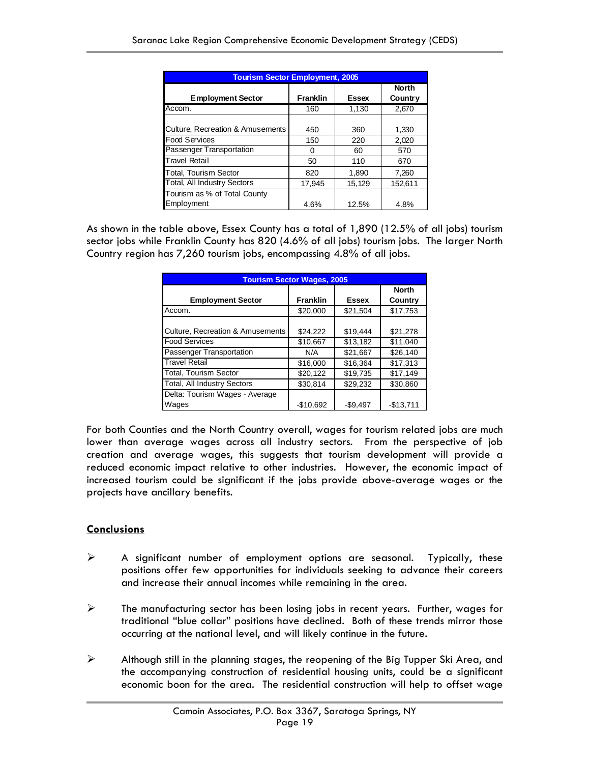| <b>Tourism Sector Employment, 2005</b>     |                 |              |                                |  |  |  |
|--------------------------------------------|-----------------|--------------|--------------------------------|--|--|--|
| <b>Employment Sector</b>                   | <b>Franklin</b> | <b>Essex</b> | <b>North</b><br><b>Country</b> |  |  |  |
| Accom.                                     | 160             | 1,130        | 2,670                          |  |  |  |
| Culture, Recreation & Amusements           | 450             | 360          | 1,330                          |  |  |  |
| <b>Food Services</b>                       | 150             | 220          | 2,020                          |  |  |  |
| Passenger Transportation                   | 0               | 60           | 570                            |  |  |  |
| <b>Travel Retail</b>                       | 50              | 110          | 670                            |  |  |  |
| <b>Total, Tourism Sector</b>               | 820             | 1,890        | 7,260                          |  |  |  |
| <b>Total, All Industry Sectors</b>         | 17,945          | 15,129       | 152,611                        |  |  |  |
| Tourism as % of Total County<br>Employment | 4.6%            | 12.5%        | 4.8%                           |  |  |  |

As shown in the table above, Essex County has a total of 1,890 (12.5% of all jobs) tourism sector jobs while Franklin County has 820 (4.6% of all jobs) tourism jobs. The larger North Country region has 7,260 tourism jobs, encompassing 4.8% of all jobs.

| <b>Tourism Sector Wages, 2005</b>       |                 |              |                         |  |  |
|-----------------------------------------|-----------------|--------------|-------------------------|--|--|
| <b>Employment Sector</b>                | <b>Franklin</b> | <b>Essex</b> | <b>North</b><br>Country |  |  |
| Accom.                                  | \$20,000        | \$21,504     | \$17,753                |  |  |
| Culture, Recreation & Amusements        | \$24,222        | \$19,444     | \$21,278                |  |  |
| <b>Food Services</b>                    | \$10,667        | \$13,182     | \$11,040                |  |  |
| Passenger Transportation                | N/A             | \$21.667     | \$26,140                |  |  |
| <b>Travel Retail</b>                    | \$16,000        | \$16,364     | \$17.313                |  |  |
| <b>Total, Tourism Sector</b>            | \$20.122        | \$19.735     | \$17.149                |  |  |
| Total, All Industry Sectors             | \$30,814        | \$29.232     | \$30,860                |  |  |
| Delta: Tourism Wages - Average<br>Wages | $-$10.692$      | $-$9.497$    | $-$13.711$              |  |  |

For both Counties and the North Country overall, wages for tourism related jobs are much lower than average wages across all industry sectors. From the perspective of job creation and average wages, this suggests that tourism development will provide a reduced economic impact relative to other industries. However, the economic impact of increased tourism could be significant if the jobs provide above-average wages or the projects have ancillary benefits.

### **Conclusions**

- $\triangleright$  A significant number of employment options are seasonal. Typically, these positions offer few opportunities for individuals seeking to advance their careers and increase their annual incomes while remaining in the area.
- $\triangleright$  The manufacturing sector has been losing jobs in recent years. Further, wages for traditional "blue collar" positions have declined. Both of these trends mirror those occurring at the national level, and will likely continue in the future.
- $\triangleright$  Although still in the planning stages, the reopening of the Big Tupper Ski Area, and the accompanying construction of residential housing units, could be a significant economic boon for the area. The residential construction will help to offset wage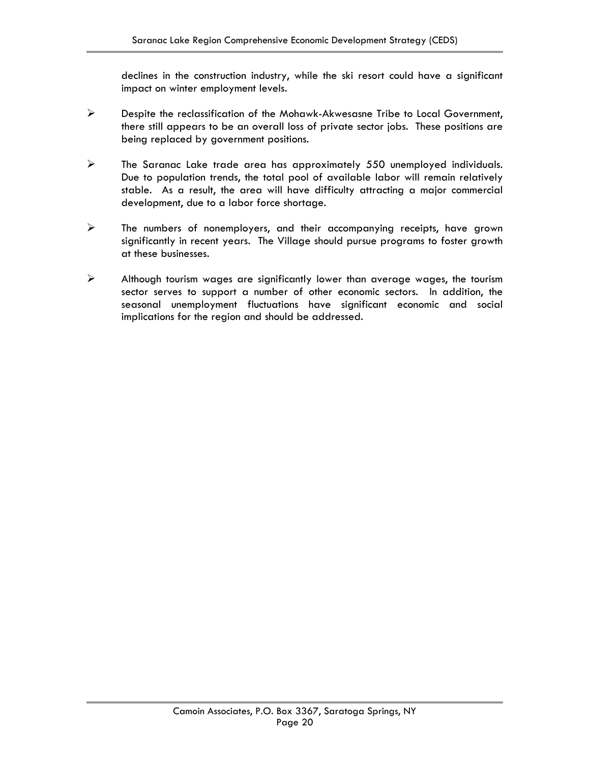declines in the construction industry, while the ski resort could have a significant impact on winter employment levels.

- ¾ Despite the reclassification of the Mohawk-Akwesasne Tribe to Local Government, there still appears to be an overall loss of private sector jobs. These positions are being replaced by government positions.
- $\triangleright$  The Saranac Lake trade area has approximately 550 unemployed individuals. Due to population trends, the total pool of available labor will remain relatively stable. As a result, the area will have difficulty attracting a major commercial development, due to a labor force shortage.
- $\triangleright$  The numbers of nonemployers, and their accompanying receipts, have grown significantly in recent years. The Village should pursue programs to foster growth at these businesses.
- $\triangleright$  Although tourism wages are significantly lower than average wages, the tourism sector serves to support a number of other economic sectors. In addition, the seasonal unemployment fluctuations have significant economic and social implications for the region and should be addressed.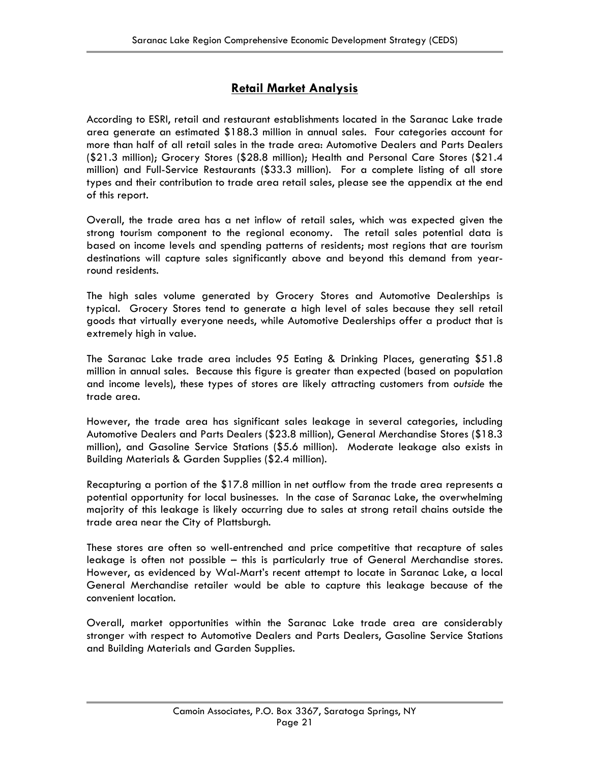### **Retail Market Analysis**

According to ESRI, retail and restaurant establishments located in the Saranac Lake trade area generate an estimated \$188.3 million in annual sales. Four categories account for more than half of all retail sales in the trade area: Automotive Dealers and Parts Dealers (\$21.3 million); Grocery Stores (\$28.8 million); Health and Personal Care Stores (\$21.4 million) and Full-Service Restaurants (\$33.3 million). For a complete listing of all store types and their contribution to trade area retail sales, please see the appendix at the end of this report.

Overall, the trade area has a net inflow of retail sales, which was expected given the strong tourism component to the regional economy. The retail sales potential data is based on income levels and spending patterns of residents; most regions that are tourism destinations will capture sales significantly above and beyond this demand from yearround residents.

The high sales volume generated by Grocery Stores and Automotive Dealerships is typical. Grocery Stores tend to generate a high level of sales because they sell retail goods that virtually everyone needs, while Automotive Dealerships offer a product that is extremely high in value.

The Saranac Lake trade area includes 95 Eating & Drinking Places, generating \$51.8 million in annual sales. Because this figure is greater than expected (based on population and income levels), these types of stores are likely attracting customers from *outside* the trade area.

However, the trade area has significant sales leakage in several categories, including Automotive Dealers and Parts Dealers (\$23.8 million), General Merchandise Stores (\$18.3 million), and Gasoline Service Stations (\$5.6 million). Moderate leakage also exists in Building Materials & Garden Supplies (\$2.4 million).

Recapturing a portion of the \$17.8 million in net outflow from the trade area represents a potential opportunity for local businesses. In the case of Saranac Lake, the overwhelming majority of this leakage is likely occurring due to sales at strong retail chains outside the trade area near the City of Plattsburgh.

These stores are often so well-entrenched and price competitive that recapture of sales leakage is often not possible – this is particularly true of General Merchandise stores. However, as evidenced by Wal-Mart's recent attempt to locate in Saranac Lake, a local General Merchandise retailer would be able to capture this leakage because of the convenient location.

Overall, market opportunities within the Saranac Lake trade area are considerably stronger with respect to Automotive Dealers and Parts Dealers, Gasoline Service Stations and Building Materials and Garden Supplies.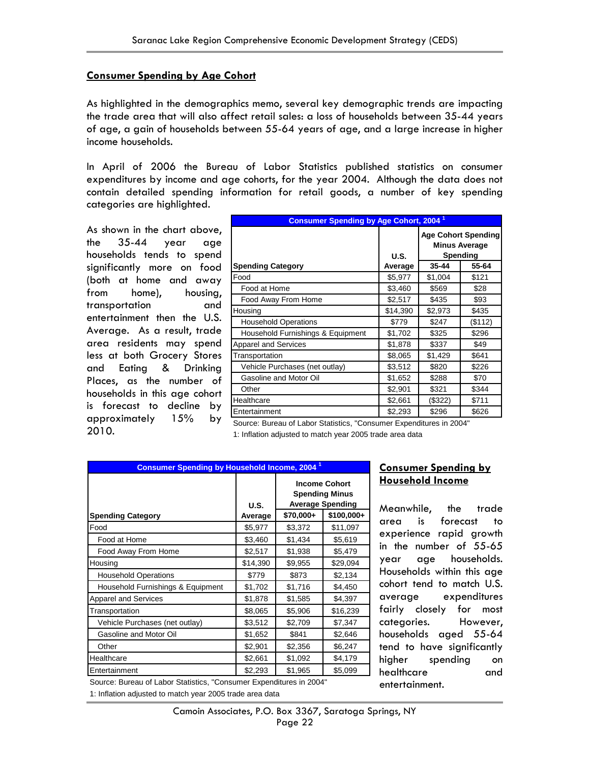### **Consumer Spending by Age Cohort**

As highlighted in the demographics memo, several key demographic trends are impacting the trade area that will also affect retail sales: a loss of households between 35-44 years of age, a gain of households between 55-64 years of age, and a large increase in higher income households.

In April of 2006 the Bureau of Labor Statistics published statistics on consumer expenditures by income and age cohorts, for the year 2004. Although the data does not contain detailed spending information for retail goods, a number of key spending categories are highlighted.

As shown in the chart above, the 35-44 year age households tends to spend significantly more on food (both at home and away from home), housing, transportation and entertainment then the U.S. Average. As a result, trade area residents may spend less at both Grocery Stores and Eating & Drinking Places, as the number of households in this age cohort is forecast to decline by approximately 15% by 2010.

| <b>Consumer Spending by Age Cohort, 2004<sup>1</sup></b> |             |                                                                |         |
|----------------------------------------------------------|-------------|----------------------------------------------------------------|---------|
|                                                          | <b>U.S.</b> | <b>Age Cohort Spending</b><br><b>Minus Average</b><br>Spending |         |
| <b>Spending Category</b>                                 | Average     | 35-44                                                          | 55-64   |
| Food                                                     | \$5,977     | \$1,004                                                        | \$121   |
| Food at Home                                             | \$3,460     | \$569                                                          | \$28    |
| Food Away From Home                                      | \$2,517     | \$435                                                          | \$93    |
| Housing                                                  | \$14,390    | \$2,973                                                        | \$435   |
| <b>Household Operations</b>                              | \$779       | \$247                                                          | (\$112) |
| Household Furnishings & Equipment                        | \$1,702     | \$325                                                          | \$296   |
| <b>Apparel and Services</b>                              | \$1,878     | \$337                                                          | \$49    |
| Transportation                                           | \$8,065     | \$1,429                                                        | \$641   |
| Vehicle Purchases (net outlay)                           | \$3,512     | \$820                                                          | \$226   |
| Gasoline and Motor Oil                                   | \$1,652     | \$288                                                          | \$70    |
| Other                                                    | \$2,901     | \$321                                                          | \$344   |
| Healthcare                                               | \$2,661     | (\$322)                                                        | \$711   |
| Entertainment                                            | \$2,293     | \$296                                                          | \$626   |

Source: Bureau of Labor Statistics, "Consumer Expenditures in 2004" 1: Inflation adjusted to match year 2005 trade area data

| <b>Income Cohort</b><br><b>Spending Minus</b><br><b>Average Spending</b><br><b>U.S.</b><br>\$70,000+<br>\$100,000+<br><b>Spending Category</b><br>Average<br>Food<br>\$5,977<br>\$3,372<br>\$11,097<br>\$3,460<br>\$1,434<br>Food at Home<br>\$5,619<br>\$2,517<br>\$1,938<br>Food Away From Home<br>\$5,479<br>\$14,390<br>\$9,955<br>\$29,094<br>Housing<br>\$779<br>\$873<br>\$2,134<br><b>Household Operations</b><br>\$1,702<br>\$1,716<br>Household Furnishings & Equipment<br>\$4,450<br><b>Apparel and Services</b><br>\$1,878<br>\$1,585<br>\$4,397<br>\$8,065<br>\$5,906<br>\$16,239<br>Transportation<br>\$3,512<br>\$2,709<br>\$7,347<br>Vehicle Purchases (net outlay)<br>\$1,652<br>\$841<br>Gasoline and Motor Oil<br>\$2,646<br>\$2,901<br>\$2,356<br>\$6,247<br>Other | <b>Consumer Spending by Household Income, 2004<sup>1</sup></b> |         |         |         |  |
|----------------------------------------------------------------------------------------------------------------------------------------------------------------------------------------------------------------------------------------------------------------------------------------------------------------------------------------------------------------------------------------------------------------------------------------------------------------------------------------------------------------------------------------------------------------------------------------------------------------------------------------------------------------------------------------------------------------------------------------------------------------------------------------|----------------------------------------------------------------|---------|---------|---------|--|
|                                                                                                                                                                                                                                                                                                                                                                                                                                                                                                                                                                                                                                                                                                                                                                                        |                                                                |         |         |         |  |
|                                                                                                                                                                                                                                                                                                                                                                                                                                                                                                                                                                                                                                                                                                                                                                                        |                                                                |         |         |         |  |
|                                                                                                                                                                                                                                                                                                                                                                                                                                                                                                                                                                                                                                                                                                                                                                                        |                                                                |         |         |         |  |
|                                                                                                                                                                                                                                                                                                                                                                                                                                                                                                                                                                                                                                                                                                                                                                                        |                                                                |         |         |         |  |
|                                                                                                                                                                                                                                                                                                                                                                                                                                                                                                                                                                                                                                                                                                                                                                                        |                                                                |         |         |         |  |
|                                                                                                                                                                                                                                                                                                                                                                                                                                                                                                                                                                                                                                                                                                                                                                                        |                                                                |         |         |         |  |
|                                                                                                                                                                                                                                                                                                                                                                                                                                                                                                                                                                                                                                                                                                                                                                                        |                                                                |         |         |         |  |
|                                                                                                                                                                                                                                                                                                                                                                                                                                                                                                                                                                                                                                                                                                                                                                                        |                                                                |         |         |         |  |
|                                                                                                                                                                                                                                                                                                                                                                                                                                                                                                                                                                                                                                                                                                                                                                                        |                                                                |         |         |         |  |
|                                                                                                                                                                                                                                                                                                                                                                                                                                                                                                                                                                                                                                                                                                                                                                                        |                                                                |         |         |         |  |
|                                                                                                                                                                                                                                                                                                                                                                                                                                                                                                                                                                                                                                                                                                                                                                                        |                                                                |         |         |         |  |
|                                                                                                                                                                                                                                                                                                                                                                                                                                                                                                                                                                                                                                                                                                                                                                                        |                                                                |         |         |         |  |
|                                                                                                                                                                                                                                                                                                                                                                                                                                                                                                                                                                                                                                                                                                                                                                                        |                                                                |         |         |         |  |
|                                                                                                                                                                                                                                                                                                                                                                                                                                                                                                                                                                                                                                                                                                                                                                                        | Healthcare                                                     | \$2,661 | \$1,092 | \$4,179 |  |
| \$1,965<br>\$5,099<br>Entertainment<br>\$2,293                                                                                                                                                                                                                                                                                                                                                                                                                                                                                                                                                                                                                                                                                                                                         |                                                                |         |         |         |  |

### **Consumer Spending by Household Income**

Meanwhile, the trade area is forecast to experience rapid growth in the number of 55-65 year age households. Households within this age cohort tend to match U.S. average expenditures fairly closely for most categories. However, households aged 55-64 tend to have significantly higher spending on healthcare and entertainment.

Source: Bureau of Labor Statistics, "Consumer Expenditures in 2004" 1: Inflation adjusted to match year 2005 trade area data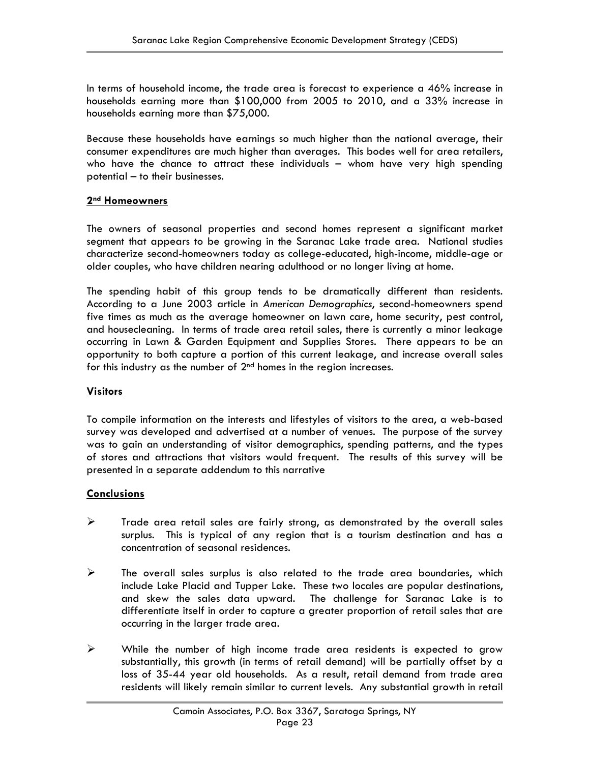In terms of household income, the trade area is forecast to experience a  $46\%$  increase in households earning more than \$100,000 from 2005 to 2010, and a 33% increase in households earning more than \$75,000.

Because these households have earnings so much higher than the national average, their consumer expenditures are much higher than averages. This bodes well for area retailers, who have the chance to attract these individuals – whom have very high spending potential – to their businesses.

### **2nd Homeowners**

The owners of seasonal properties and second homes represent a significant market segment that appears to be growing in the Saranac Lake trade area. National studies characterize second-homeowners today as college-educated, high-income, middle-age or older couples, who have children nearing adulthood or no longer living at home.

The spending habit of this group tends to be dramatically different than residents. According to a June 2003 article in *American Demographics*, second-homeowners spend five times as much as the average homeowner on lawn care, home security, pest control, and housecleaning. In terms of trade area retail sales, there is currently a minor leakage occurring in Lawn & Garden Equipment and Supplies Stores. There appears to be an opportunity to both capture a portion of this current leakage, and increase overall sales for this industry as the number of  $2<sup>nd</sup>$  homes in the region increases.

### **Visitors**

To compile information on the interests and lifestyles of visitors to the area, a web-based survey was developed and advertised at a number of venues. The purpose of the survey was to gain an understanding of visitor demographics, spending patterns, and the types of stores and attractions that visitors would frequent. The results of this survey will be presented in a separate addendum to this narrative

### **Conclusions**

- $\triangleright$  Trade area retail sales are fairly strong, as demonstrated by the overall sales surplus. This is typical of any region that is a tourism destination and has a concentration of seasonal residences.
- $\triangleright$  The overall sales surplus is also related to the trade area boundaries, which include Lake Placid and Tupper Lake. These two locales are popular destinations, and skew the sales data upward. The challenge for Saranac Lake is to differentiate itself in order to capture a greater proportion of retail sales that are occurring in the larger trade area.
- $\triangleright$  While the number of high income trade area residents is expected to grow substantially, this growth (in terms of retail demand) will be partially offset by a loss of 35-44 year old households. As a result, retail demand from trade area residents will likely remain similar to current levels. Any substantial growth in retail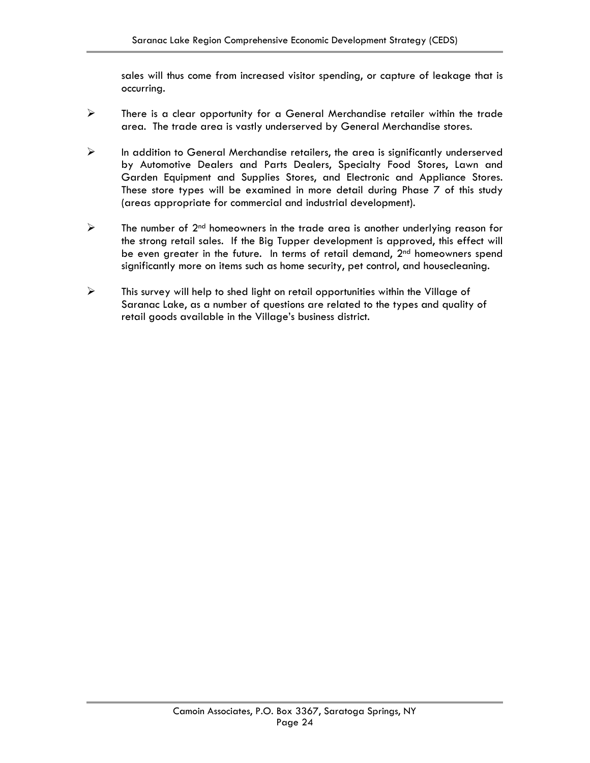sales will thus come from increased visitor spending, or capture of leakage that is occurring.

- $\triangleright$  There is a clear opportunity for a General Merchandise retailer within the trade area. The trade area is vastly underserved by General Merchandise stores.
- $\triangleright$  In addition to General Merchandise retailers, the area is significantly underserved by Automotive Dealers and Parts Dealers, Specialty Food Stores, Lawn and Garden Equipment and Supplies Stores, and Electronic and Appliance Stores. These store types will be examined in more detail during Phase 7 of this study (areas appropriate for commercial and industrial development).
- $\triangleright$  The number of  $2^{nd}$  homeowners in the trade area is another underlying reason for the strong retail sales. If the Big Tupper development is approved, this effect will be even greater in the future. In terms of retail demand,  $2<sup>nd</sup>$  homeowners spend significantly more on items such as home security, pet control, and housecleaning.
- $\triangleright$  This survey will help to shed light on retail opportunities within the Village of Saranac Lake, as a number of questions are related to the types and quality of retail goods available in the Village's business district.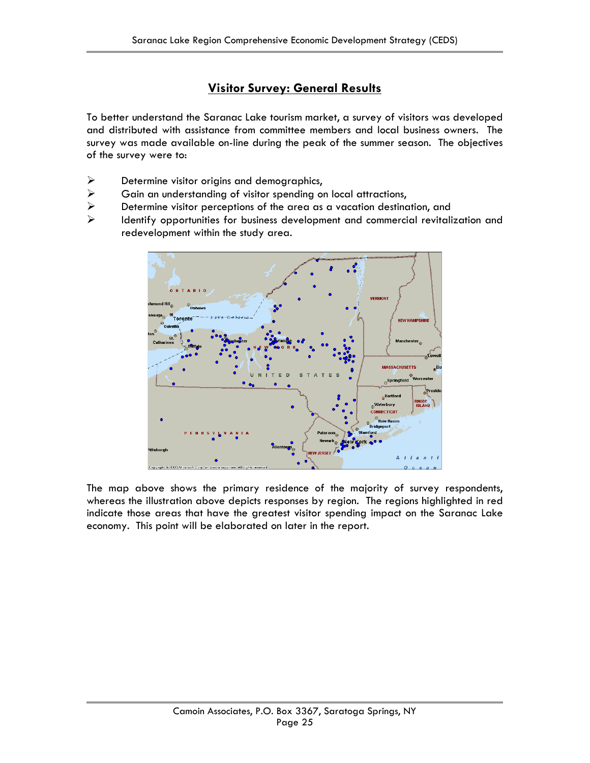### **Visitor Survey: General Results**

To better understand the Saranac Lake tourism market, a survey of visitors was developed and distributed with assistance from committee members and local business owners. The survey was made available on-line during the peak of the summer season. The objectives of the survey were to:

- $\triangleright$  Determine visitor origins and demographics,
- $\triangleright$  Gain an understanding of visitor spending on local attractions,
- ¾ Determine visitor perceptions of the area as a vacation destination, and
- ¾ Identify opportunities for business development and commercial revitalization and redevelopment within the study area.



The map above shows the primary residence of the majority of survey respondents, whereas the illustration above depicts responses by region. The regions highlighted in red indicate those areas that have the greatest visitor spending impact on the Saranac Lake economy. This point will be elaborated on later in the report.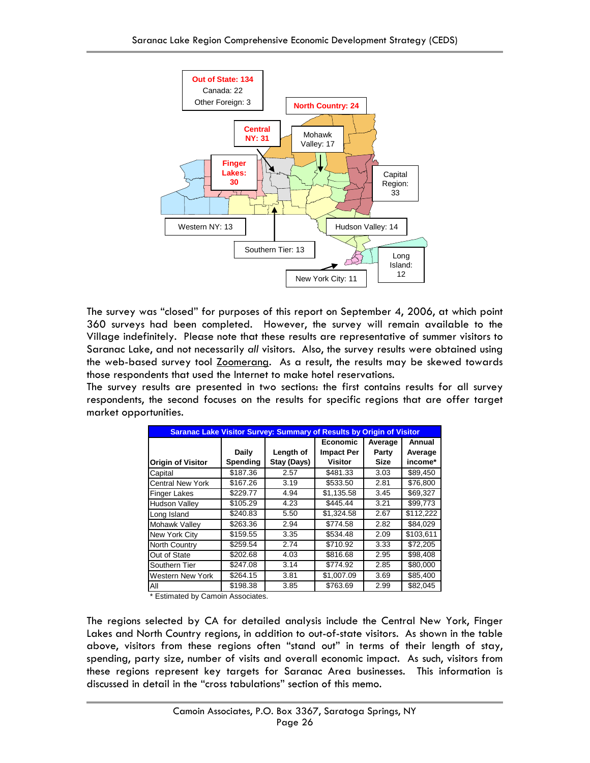

The survey was "closed" for purposes of this report on September 4, 2006, at which point 360 surveys had been completed. However, the survey will remain available to the Village indefinitely. Please note that these results are representative of summer visitors to Saranac Lake, and not necessarily *all* visitors. Also, the survey results were obtained using the web-based survey tool **Zoomerang.** As a result, the results may be skewed towards those respondents that used the Internet to make hotel reservations.

The survey results are presented in two sections: the first contains results for all survey respondents, the second focuses on the results for specific regions that are offer target market opportunities.

| Saranac Lake Visitor Survey: Summary of Results by Origin of Visitor |          |             |                   |             |           |
|----------------------------------------------------------------------|----------|-------------|-------------------|-------------|-----------|
|                                                                      |          |             | <b>Economic</b>   | Average     | Annual    |
|                                                                      | Daily    | Length of   | <b>Impact Per</b> | Party       | Average   |
| <b>Origin of Visitor</b>                                             | Spending | Stay (Days) | <b>Visitor</b>    | <b>Size</b> | income*   |
| Capital                                                              | \$187.36 | 2.57        | \$481.33          | 3.03        | \$89,450  |
| <b>Central New York</b>                                              | \$167.26 | 3.19        | \$533.50          | 2.81        | \$76.800  |
| <b>Finger Lakes</b>                                                  | \$229.77 | 4.94        | \$1,135.58        | 3.45        | \$69,327  |
| <b>Hudson Valley</b>                                                 | \$105.29 | 4.23        | \$445.44          | 3.21        | \$99,773  |
| Long Island                                                          | \$240.83 | 5.50        | \$1,324.58        | 2.67        | \$112,222 |
| Mohawk Valley                                                        | \$263.36 | 2.94        | \$774.58          | 2.82        | \$84,029  |
| New York City                                                        | \$159.55 | 3.35        | \$534.48          | 2.09        | \$103,611 |
| North Country                                                        | \$259.54 | 2.74        | \$710.92          | 3.33        | \$72,205  |
| Out of State                                                         | \$202.68 | 4.03        | \$816.68          | 2.95        | \$98,408  |
| Southern Tier                                                        | \$247.08 | 3.14        | \$774.92          | 2.85        | \$80,000  |
| <b>Western New York</b>                                              | \$264.15 | 3.81        | \$1,007.09        | 3.69        | \$85,400  |
| All                                                                  | \$198.38 | 3.85        | \$763.69          | 2.99        | \$82,045  |

\* Estimated by Camoin Associates.

The regions selected by CA for detailed analysis include the Central New York, Finger Lakes and North Country regions, in addition to out-of-state visitors. As shown in the table above, visitors from these regions often "stand out" in terms of their length of stay, spending, party size, number of visits and overall economic impact. As such, visitors from these regions represent key targets for Saranac Area businesses. This information is discussed in detail in the "cross tabulations" section of this memo.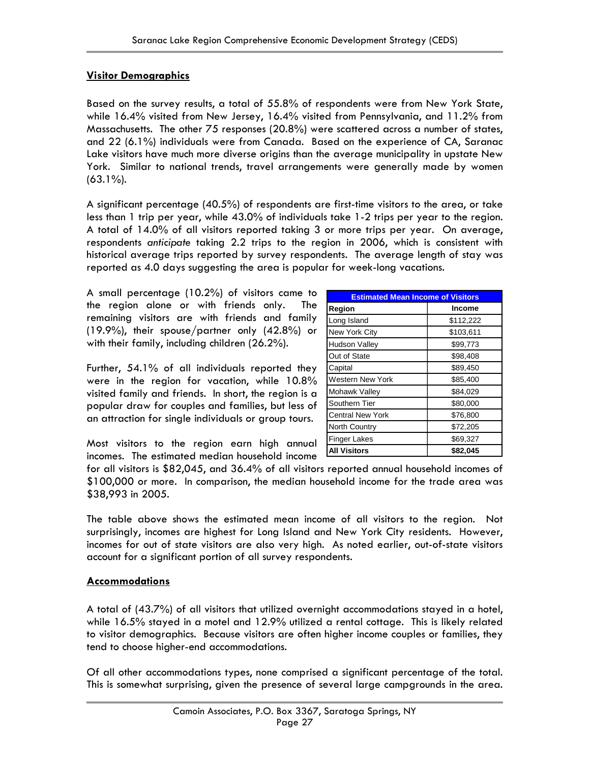### **Visitor Demographics**

Based on the survey results, a total of 55.8% of respondents were from New York State, while 16.4% visited from New Jersey, 16.4% visited from Pennsylvania, and 11.2% from Massachusetts. The other 75 responses (20.8%) were scattered across a number of states, and 22 (6.1%) individuals were from Canada. Based on the experience of CA, Saranac Lake visitors have much more diverse origins than the average municipality in upstate New York. Similar to national trends, travel arrangements were generally made by women (63.1%).

A significant percentage (40.5%) of respondents are first-time visitors to the area, or take less than 1 trip per year, while 43.0% of individuals take 1-2 trips per year to the region. A total of 14.0% of all visitors reported taking 3 or more trips per year. On average, respondents *anticipate* taking 2.2 trips to the region in 2006, which is consistent with historical average trips reported by survey respondents. The average length of stay was reported as 4.0 days suggesting the area is popular for week-long vacations.

A small percentage (10.2%) of visitors came to the region alone or with friends only. The remaining visitors are with friends and family (19.9%), their spouse/partner only (42.8%) or with their family, including children (26.2%).

Further, 54.1% of all individuals reported they were in the region for vacation, while 10.8% visited family and friends. In short, the region is a popular draw for couples and families, but less of an attraction for single individuals or group tours.

| <b>Estimated Mean Income of Visitors</b> |               |  |  |
|------------------------------------------|---------------|--|--|
| Region                                   | <b>Income</b> |  |  |
| Long Island                              | \$112,222     |  |  |
| New York City                            | \$103,611     |  |  |
| <b>Hudson Valley</b>                     | \$99,773      |  |  |
| Out of State                             | \$98,408      |  |  |
| Capital                                  | \$89,450      |  |  |
| <b>Western New York</b>                  | \$85,400      |  |  |
| Mohawk Valley                            | \$84,029      |  |  |
| Southern Tier                            | \$80,000      |  |  |
| <b>Central New York</b>                  | \$76,800      |  |  |
| North Country                            | \$72,205      |  |  |
| <b>Finger Lakes</b>                      | \$69,327      |  |  |
| <b>All Visitors</b>                      | \$82,045      |  |  |

Most visitors to the region earn high annual incomes. The estimated median household income

for all visitors is \$82,045, and 36.4% of all visitors reported annual household incomes of \$100,000 or more. In comparison, the median household income for the trade area was \$38,993 in 2005.

The table above shows the estimated mean income of all visitors to the region. Not surprisingly, incomes are highest for Long Island and New York City residents. However, incomes for out of state visitors are also very high. As noted earlier, out-of-state visitors account for a significant portion of all survey respondents.

### **Accommodations**

A total of (43.7%) of all visitors that utilized overnight accommodations stayed in a hotel, while 16.5% stayed in a motel and 12.9% utilized a rental cottage. This is likely related to visitor demographics. Because visitors are often higher income couples or families, they tend to choose higher-end accommodations.

Of all other accommodations types, none comprised a significant percentage of the total. This is somewhat surprising, given the presence of several large campgrounds in the area.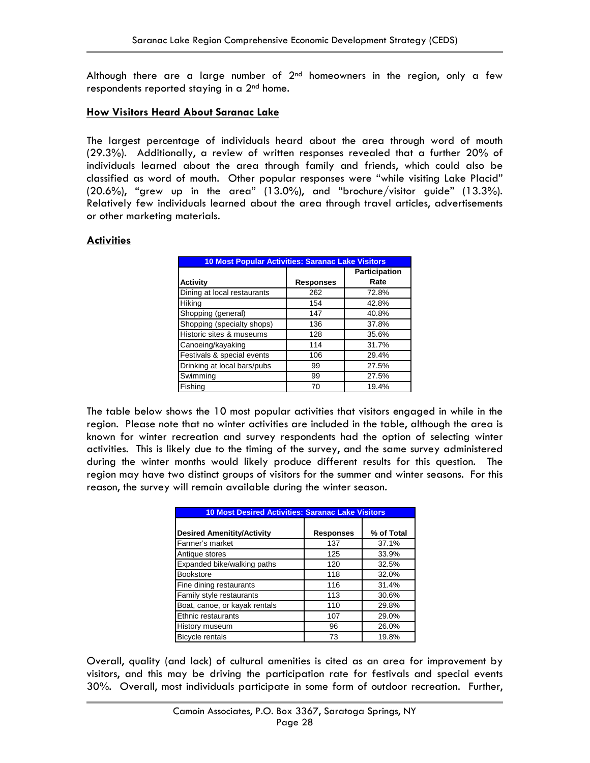Although there are a large number of  $2<sup>nd</sup>$  homeowners in the region, only a few respondents reported staying in a 2<sup>nd</sup> home.

### **How Visitors Heard About Saranac Lake**

The largest percentage of individuals heard about the area through word of mouth (29.3%). Additionally, a review of written responses revealed that a further 20% of individuals learned about the area through family and friends, which could also be classified as word of mouth. Other popular responses were "while visiting Lake Placid" (20.6%), "grew up in the area" (13.0%), and "brochure/visitor guide" (13.3%). Relatively few individuals learned about the area through travel articles, advertisements or other marketing materials.

### **Activities**

| <b>10 Most Popular Activities: Saranac Lake Visitors</b> |                  |               |  |  |
|----------------------------------------------------------|------------------|---------------|--|--|
|                                                          |                  | Participation |  |  |
| Activity                                                 | <b>Responses</b> | Rate          |  |  |
| Dining at local restaurants                              | 262              | 72.8%         |  |  |
| Hiking                                                   | 154              | 42.8%         |  |  |
| Shopping (general)                                       | 147              | 40.8%         |  |  |
| Shopping (specialty shops)                               | 136              | 37.8%         |  |  |
| Historic sites & museums                                 | 128              | 35.6%         |  |  |
| Canoeing/kayaking                                        | 114              | 31.7%         |  |  |
| Festivals & special events                               | 106              | 29.4%         |  |  |
| Drinking at local bars/pubs                              | 99               | 27.5%         |  |  |
| Swimming                                                 | 99               | 27.5%         |  |  |
| Fishing                                                  | 70               | 19.4%         |  |  |

The table below shows the 10 most popular activities that visitors engaged in while in the region. Please note that no winter activities are included in the table, although the area is known for winter recreation and survey respondents had the option of selecting winter activities. This is likely due to the timing of the survey, and the same survey administered during the winter months would likely produce different results for this question. The region may have two distinct groups of visitors for the summer and winter seasons. For this reason, the survey will remain available during the winter season.

| <b>10 Most Desired Activities: Saranac Lake Visitors</b> |                  |            |  |  |
|----------------------------------------------------------|------------------|------------|--|--|
| <b>Desired Amenitity/Activity</b>                        | <b>Responses</b> | % of Total |  |  |
| Farmer's market                                          | 137              | 37.1%      |  |  |
| Antique stores                                           | 125              | 33.9%      |  |  |
| Expanded bike/walking paths                              | 120              | 32.5%      |  |  |
| <b>Bookstore</b>                                         | 118              | 32.0%      |  |  |
| Fine dining restaurants                                  | 116              | 31.4%      |  |  |
| Family style restaurants                                 | 113              | 30.6%      |  |  |
| Boat, canoe, or kayak rentals                            | 110              | 29.8%      |  |  |
| Ethnic restaurants                                       | 107              | 29.0%      |  |  |
| <b>History museum</b>                                    | 96               | 26.0%      |  |  |
| <b>Bicycle rentals</b>                                   | 73               | 19.8%      |  |  |

Overall, quality (and lack) of cultural amenities is cited as an area for improvement by visitors, and this may be driving the participation rate for festivals and special events 30%. Overall, most individuals participate in some form of outdoor recreation. Further,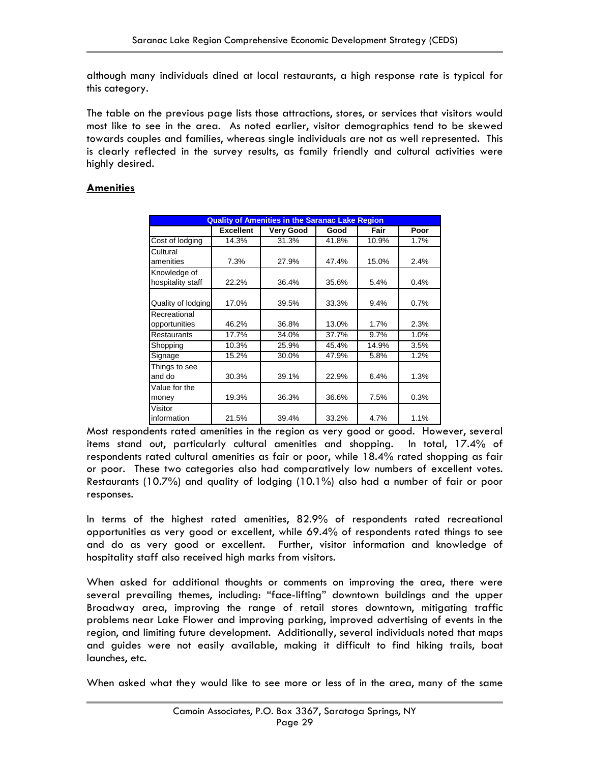although many individuals dined at local restaurants, a high response rate is typical for this category.

The table on the previous page lists those attractions, stores, or services that visitors would most like to see in the area. As noted earlier, visitor demographics tend to be skewed towards couples and families, whereas single individuals are not as well represented. This is clearly reflected in the survey results, as family friendly and cultural activities were highly desired.

### **Amenities**

| <b>Quality of Amenities in the Saranac Lake Region</b> |                  |                  |       |       |      |
|--------------------------------------------------------|------------------|------------------|-------|-------|------|
|                                                        | <b>Excellent</b> | <b>Very Good</b> | Good  | Fair  | Poor |
| Cost of lodging                                        | 14.3%            | 31.3%            | 41.8% | 10.9% | 1.7% |
| Cultural<br>amenities                                  | 7.3%             | 27.9%            | 47.4% | 15.0% | 2.4% |
| Knowledge of<br>hospitality staff                      | 22.2%            | 36.4%            | 35.6% | 5.4%  | 0.4% |
| Quality of lodging                                     | 17.0%            | 39.5%            | 33.3% | 9.4%  | 0.7% |
| Recreational<br>opportunities                          | 46.2%            | 36.8%            | 13.0% | 1.7%  | 2.3% |
| <b>Restaurants</b>                                     | 17.7%            | 34.0%            | 37.7% | 9.7%  | 1.0% |
| Shopping                                               | 10.3%            | 25.9%            | 45.4% | 14.9% | 3.5% |
| Signage                                                | 15.2%            | 30.0%            | 47.9% | 5.8%  | 1.2% |
| Things to see<br>and do                                | 30.3%            | 39.1%            | 22.9% | 6.4%  | 1.3% |
| Value for the<br>money                                 | 19.3%            | 36.3%            | 36.6% | 7.5%  | 0.3% |
| Visitor<br>information                                 | 21.5%            | 39.4%            | 33.2% | 4.7%  | 1.1% |

Most respondents rated amenities in the region as very good or good. However, several items stand out, particularly cultural amenities and shopping. In total, 17.4% of respondents rated cultural amenities as fair or poor, while 18.4% rated shopping as fair or poor. These two categories also had comparatively low numbers of excellent votes. Restaurants (10.7%) and quality of lodging (10.1%) also had a number of fair or poor responses.

In terms of the highest rated amenities, 82.9% of respondents rated recreational opportunities as very good or excellent, while 69.4% of respondents rated things to see and do as very good or excellent. Further, visitor information and knowledge of hospitality staff also received high marks from visitors.

When asked for additional thoughts or comments on improving the area, there were several prevailing themes, including: "face-lifting" downtown buildings and the upper Broadway area, improving the range of retail stores downtown, mitigating traffic problems near Lake Flower and improving parking, improved advertising of events in the region, and limiting future development. Additionally, several individuals noted that maps and guides were not easily available, making it difficult to find hiking trails, boat launches, etc.

When asked what they would like to see more or less of in the area, many of the same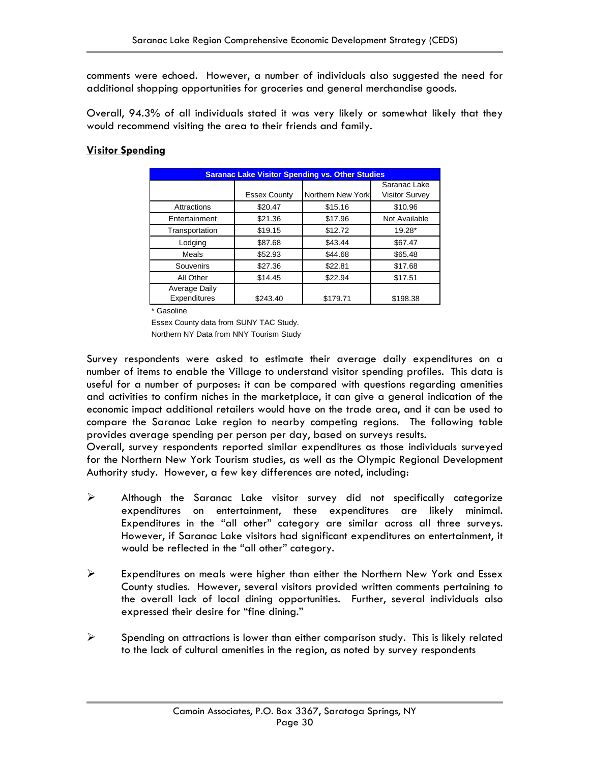comments were echoed. However, a number of individuals also suggested the need for additional shopping opportunities for groceries and general merchandise goods.

Overall, 94.3% of all individuals stated it was very likely or somewhat likely that they would recommend visiting the area to their friends and family.

### **Visitor Spending**

| <b>Saranac Lake Visitor Spending vs. Other Studies</b> |                     |                   |                                       |  |  |
|--------------------------------------------------------|---------------------|-------------------|---------------------------------------|--|--|
|                                                        | <b>Essex County</b> | Northern New York | Saranac Lake<br><b>Visitor Survey</b> |  |  |
| Attractions                                            | \$20.47             | \$15.16           | \$10.96                               |  |  |
| Entertainment                                          | \$21.36             | \$17.96           | Not Available                         |  |  |
| Transportation                                         | \$19.15             | \$12.72           | $19.28*$                              |  |  |
| Lodging                                                | \$87.68             | \$43.44           | \$67.47                               |  |  |
| Meals                                                  | \$52.93             | \$44.68           | \$65.48                               |  |  |
| Souvenirs                                              | \$27.36             | \$22.81           | \$17.68                               |  |  |
| All Other                                              | \$14.45             | \$22.94           | \$17.51                               |  |  |
| Average Daily<br>Expenditures                          | \$243.40            | \$179.71          | \$198.38                              |  |  |

\* Gasoline

Essex County data from SUNY TAC Study.

Northern NY Data from NNY Tourism Study

Survey respondents were asked to estimate their average daily expenditures on a number of items to enable the Village to understand visitor spending profiles. This data is useful for a number of purposes: it can be compared with questions regarding amenities and activities to confirm niches in the marketplace, it can give a general indication of the economic impact additional retailers would have on the trade area, and it can be used to compare the Saranac Lake region to nearby competing regions. The following table provides average spending per person per day, based on surveys results.

Overall, survey respondents reported similar expenditures as those individuals surveyed for the Northern New York Tourism studies, as well as the Olympic Regional Development Authority study. However, a few key differences are noted, including:

- ¾ Although the Saranac Lake visitor survey did not specifically categorize expenditures on entertainment, these expenditures are likely minimal. Expenditures in the "all other" category are similar across all three surveys. However, if Saranac Lake visitors had significant expenditures on entertainment, it would be reflected in the "all other" category.
- $\triangleright$  Expenditures on meals were higher than either the Northern New York and Essex County studies. However, several visitors provided written comments pertaining to the overall lack of local dining opportunities. Further, several individuals also expressed their desire for "fine dining."
- $\triangleright$  Spending on attractions is lower than either comparison study. This is likely related to the lack of cultural amenities in the region, as noted by survey respondents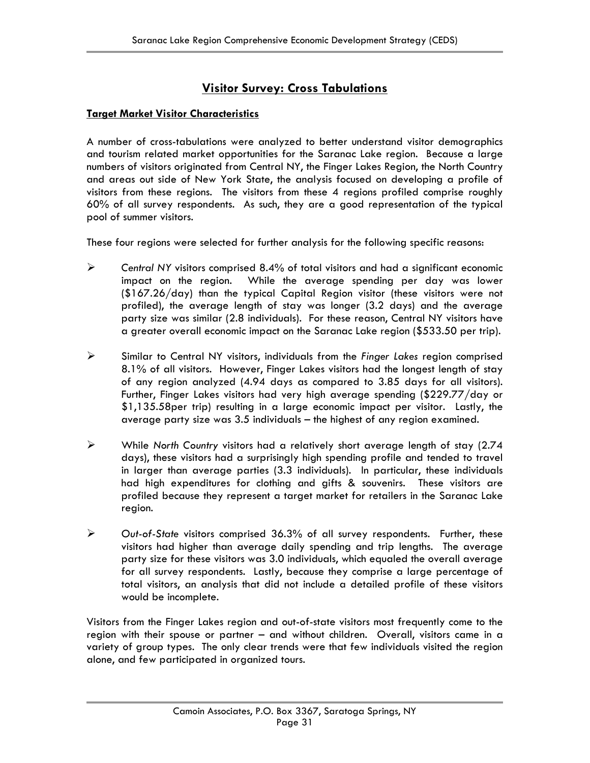### **Visitor Survey: Cross Tabulations**

### **Target Market Visitor Characteristics**

A number of cross-tabulations were analyzed to better understand visitor demographics and tourism related market opportunities for the Saranac Lake region. Because a large numbers of visitors originated from Central NY, the Finger Lakes Region, the North Country and areas out side of New York State, the analysis focused on developing a profile of visitors from these regions. The visitors from these 4 regions profiled comprise roughly 60% of all survey respondents. As such, they are a good representation of the typical pool of summer visitors.

These four regions were selected for further analysis for the following specific reasons:

- ¾ *Central NY* visitors comprised 8.4% of total visitors and had a significant economic impact on the region. While the average spending per day was lower (\$167.26/day) than the typical Capital Region visitor (these visitors were not profiled), the average length of stay was longer (3.2 days) and the average party size was similar (2.8 individuals). For these reason, Central NY visitors have a greater overall economic impact on the Saranac Lake region (\$533.50 per trip).
- ¾ Similar to Central NY visitors, individuals from the *Finger Lakes* region comprised 8.1% of all visitors. However, Finger Lakes visitors had the longest length of stay of any region analyzed (4.94 days as compared to 3.85 days for all visitors). Further, Finger Lakes visitors had very high average spending (\$229.77/day or \$1,135.58per trip) resulting in a large economic impact per visitor. Lastly, the average party size was 3.5 individuals – the highest of any region examined.
- ¾ While *North Country* visitors had a relatively short average length of stay (2.74 days), these visitors had a surprisingly high spending profile and tended to travel in larger than average parties (3.3 individuals). In particular, these individuals had high expenditures for clothing and gifts & souvenirs. These visitors are profiled because they represent a target market for retailers in the Saranac Lake region.
- ¾ *Out-of-State* visitors comprised 36.3% of all survey respondents. Further, these visitors had higher than average daily spending and trip lengths. The average party size for these visitors was 3.0 individuals, which equaled the overall average for all survey respondents. Lastly, because they comprise a large percentage of total visitors, an analysis that did not include a detailed profile of these visitors would be incomplete.

Visitors from the Finger Lakes region and out-of-state visitors most frequently come to the region with their spouse or partner – and without children. Overall, visitors came in a variety of group types. The only clear trends were that few individuals visited the region alone, and few participated in organized tours.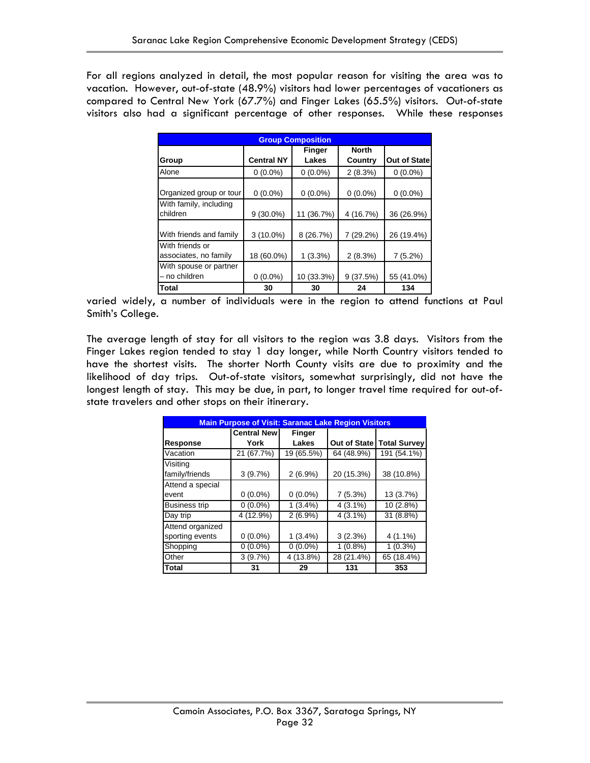For all regions analyzed in detail, the most popular reason for visiting the area was to vacation. However, out-of-state (48.9%) visitors had lower percentages of vacationers as compared to Central New York (67.7%) and Finger Lakes (65.5%) visitors. Out-of-state visitors also had a significant percentage of other responses. While these responses

| <b>Group Composition</b>                 |                   |            |              |                     |  |
|------------------------------------------|-------------------|------------|--------------|---------------------|--|
|                                          |                   | Finger     | <b>North</b> |                     |  |
| Group                                    | <b>Central NY</b> | Lakes      | Country      | <b>Out of State</b> |  |
| Alone                                    | $0(0.0\%)$        | $0(0.0\%)$ | 2(8.3%)      | $0(0.0\%)$          |  |
| Organized group or tour                  | $0(0.0\%)$        | $0(0.0\%)$ | $0(0.0\%)$   | $0(0.0\%)$          |  |
| With family, including<br>children       | $9(30.0\%)$       | 11 (36.7%) | 4 (16.7%)    | 36 (26.9%)          |  |
| With friends and family                  | $3(10.0\%)$       | 8 (26.7%)  | 7 (29.2%)    | 26 (19.4%)          |  |
| With friends or<br>associates, no family | 18 (60.0%)        | 1(3.3%)    | 2(8.3%)      | 7(5.2%)             |  |
| With spouse or partner<br>no children    | $0(0.0\%)$        | 10 (33.3%) | 9(37.5%)     | 55 (41.0%)          |  |
| <b>Total</b>                             | 30                | 30         | 24           | 134                 |  |

varied widely, a number of individuals were in the region to attend functions at Paul Smith's College.

The average length of stay for all visitors to the region was 3.8 days. Visitors from the Finger Lakes region tended to stay 1 day longer, while North Country visitors tended to have the shortest visits. The shorter North County visits are due to proximity and the likelihood of day trips. Out-of-state visitors, somewhat surprisingly, did not have the longest length of stay. This may be due, in part, to longer travel time required for out-ofstate travelers and other stops on their itinerary.

| <b>Main Purpose of Visit: Saranac Lake Region Visitors</b> |                     |               |              |                     |
|------------------------------------------------------------|---------------------|---------------|--------------|---------------------|
|                                                            | <b>Central Newl</b> | <b>Finger</b> |              |                     |
| <b>Response</b>                                            | York                | Lakes         | Out of State | <b>Total Survey</b> |
| Vacation                                                   | 21 (67.7%)          | 19 (65.5%)    | 64 (48.9%)   | 191 (54.1%)         |
| Visiting                                                   |                     |               |              |                     |
| family/friends                                             | 3(9.7%)             | $2(6.9\%)$    | 20 (15.3%)   | 38 (10.8%)          |
| Attend a special                                           |                     |               |              |                     |
| event                                                      | $0(0.0\%)$          | $0(0.0\%)$    | 7(5.3%)      | 13 (3.7%)           |
| <b>Business trip</b>                                       | $0(0.0\%)$          | $1(3.4\%)$    | $4(3.1\%)$   | 10 (2.8%)           |
| Day trip                                                   | 4 (12.9%)           | $2(6.9\%)$    | $4(3.1\%)$   | 31 (8.8%)           |
| Attend organized                                           |                     |               |              |                     |
| sporting events                                            | $0(0.0\%)$          | $1(3.4\%)$    | 3(2.3%)      | $4(1.1\%)$          |
| Shopping                                                   | $0(0.0\%)$          | $0(0.0\%)$    | $1(0.8\%)$   | $1(0.3\%)$          |
| Other                                                      | 3(9.7%)             | 4 (13.8%)     | 28 (21.4%)   | 65 (18.4%)          |
| <b>Total</b>                                               | 31                  | 29            | 131          | 353                 |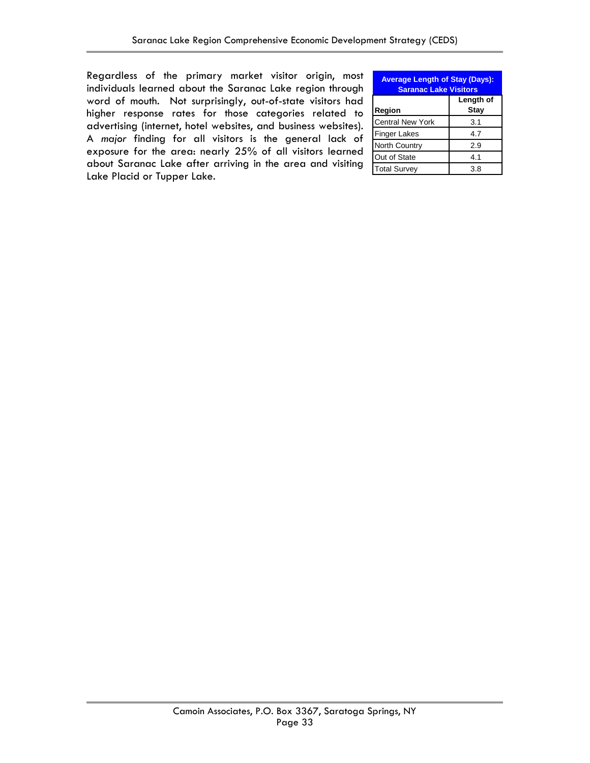Regardless of the primary market visitor origin, most individuals learned about the Saranac Lake region through word of mouth. Not surprisingly, out-of-state visitors had higher response rates for those categories related to advertising (internet, hotel websites, and business websites). A *major* finding for all visitors is the general lack of exposure for the area: nearly 25% of all visitors learned about Saranac Lake after arriving in the area and visiting Lake Placid or Tupper Lake.

| <b>Average Length of Stay (Days):</b><br><b>Saranac Lake Visitors</b> |                          |  |  |  |
|-----------------------------------------------------------------------|--------------------------|--|--|--|
| Region                                                                | Length of<br><b>Stay</b> |  |  |  |
| <b>Central New York</b>                                               | 3.1                      |  |  |  |
| <b>Finger Lakes</b>                                                   | 4.7                      |  |  |  |
| <b>North Country</b>                                                  | 2.9                      |  |  |  |
| Out of State                                                          | 4.1                      |  |  |  |
| <b>Total Survey</b>                                                   | 3.8                      |  |  |  |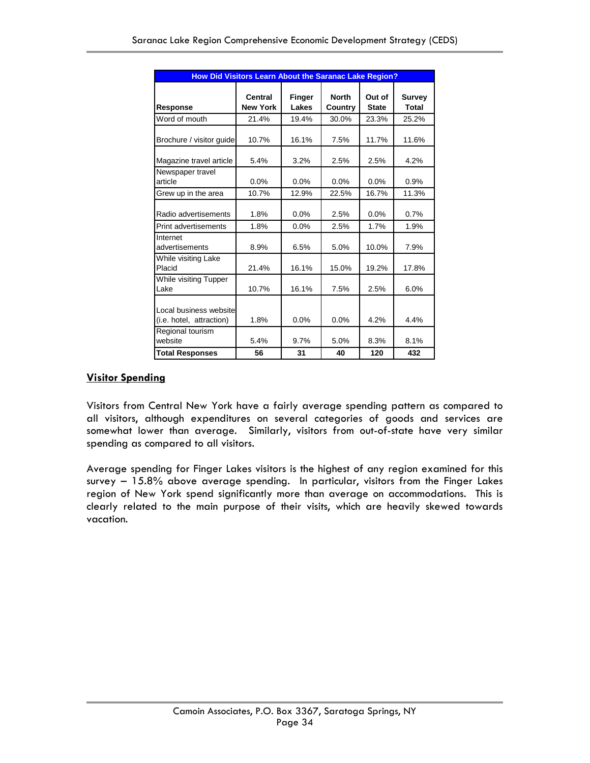| <b>How Did Visitors Learn About the Saranac Lake Region?</b> |                            |                 |                         |                        |                               |  |
|--------------------------------------------------------------|----------------------------|-----------------|-------------------------|------------------------|-------------------------------|--|
| <b>Response</b>                                              | Central<br><b>New York</b> | Finger<br>Lakes | <b>North</b><br>Country | Out of<br><b>State</b> | <b>Survey</b><br><b>Total</b> |  |
| Word of mouth                                                | 21.4%                      | 19.4%           | 30.0%                   | 23.3%                  | 25.2%                         |  |
| Brochure / visitor guide                                     | 10.7%                      | 16.1%           | 7.5%                    | 11.7%                  | 11.6%                         |  |
| Magazine travel article                                      | 5.4%                       | 3.2%            | 2.5%                    | 2.5%                   | 4.2%                          |  |
| Newspaper travel<br>article                                  | 0.0%                       | 0.0%            | 0.0%                    | 0.0%                   | 0.9%                          |  |
| Grew up in the area                                          | 10.7%                      | 12.9%           | 22.5%                   | 16.7%                  | 11.3%                         |  |
| Radio advertisements                                         | 1.8%                       | 0.0%            | 2.5%                    | 0.0%                   | 0.7%                          |  |
| Print advertisements                                         | 1.8%                       | 0.0%            | 2.5%                    | 1.7%                   | 1.9%                          |  |
| Internet<br>advertisements                                   | 8.9%                       | 6.5%            | 5.0%                    | 10.0%                  | 7.9%                          |  |
| While visiting Lake<br>Placid                                | 21.4%                      | 16.1%           | 15.0%                   | 19.2%                  | 17.8%                         |  |
| While visiting Tupper<br>Lake                                | 10.7%                      | 16.1%           | 7.5%                    | 2.5%                   | 6.0%                          |  |
| Local business website<br>(i.e. hotel, attraction)           | 1.8%                       | 0.0%            | 0.0%                    | 4.2%                   | 4.4%                          |  |
| Regional tourism<br>website                                  | 5.4%                       | 9.7%            | 5.0%                    | 8.3%                   | 8.1%                          |  |
| <b>Total Responses</b>                                       | 56                         | 31              | 40                      | 120                    | 432                           |  |

### **Visitor Spending**

Visitors from Central New York have a fairly average spending pattern as compared to all visitors, although expenditures on several categories of goods and services are somewhat lower than average. Similarly, visitors from out-of-state have very similar spending as compared to all visitors.

Average spending for Finger Lakes visitors is the highest of any region examined for this survey – 15.8% above average spending. In particular, visitors from the Finger Lakes region of New York spend significantly more than average on accommodations. This is clearly related to the main purpose of their visits, which are heavily skewed towards vacation.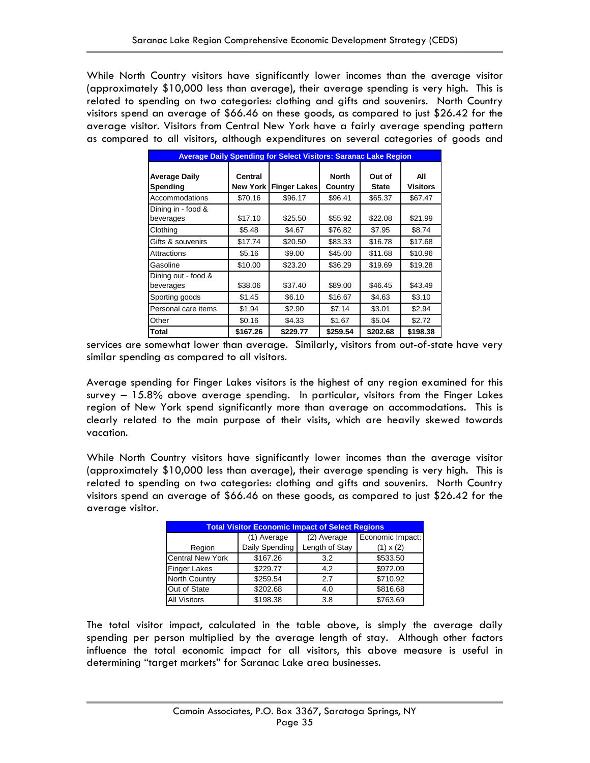While North Country visitors have significantly lower incomes than the average visitor (approximately \$10,000 less than average), their average spending is very high. This is related to spending on two categories: clothing and gifts and souvenirs. North Country visitors spend an average of \$66.46 on these goods, as compared to just \$26.42 for the average visitor. Visitors from Central New York have a fairly average spending pattern as compared to all visitors, although expenditures on several categories of goods and

| <b>Average Daily Spending for Select Visitors: Saranac Lake Region</b> |                            |                     |                         |                        |                        |  |
|------------------------------------------------------------------------|----------------------------|---------------------|-------------------------|------------------------|------------------------|--|
| <b>Average Daily</b><br>Spending                                       | Central<br><b>New York</b> | <b>Finger Lakes</b> | <b>North</b><br>Country | Out of<br><b>State</b> | All<br><b>Visitors</b> |  |
| Accommodations                                                         | \$70.16                    | \$96.17             | \$96.41                 | \$65.37                | \$67.47                |  |
| Dining in - food &<br>beverages                                        | \$17.10                    | \$25.50             | \$55.92                 | \$22.08                | \$21.99                |  |
| Clothing                                                               | \$5.48                     | \$4.67              | \$76.82                 | \$7.95                 | \$8.74                 |  |
| Gifts & souvenirs                                                      | \$17.74                    | \$20.50             | \$83.33                 | \$16.78                | \$17.68                |  |
| Attractions                                                            | \$5.16                     | \$9.00              | \$45.00                 | \$11.68                | \$10.96                |  |
| Gasoline                                                               | \$10.00                    | \$23.20             | \$36.29                 | \$19.69                | \$19.28                |  |
| Dining out - food &<br>beverages                                       | \$38.06                    | \$37.40             | \$89.00                 | \$46.45                | \$43.49                |  |
| Sporting goods                                                         | \$1.45                     | \$6.10              | \$16.67                 | \$4.63                 | \$3.10                 |  |
| Personal care items                                                    | \$1.94                     | \$2.90              | \$7.14                  | \$3.01                 | \$2.94                 |  |
| Other                                                                  | \$0.16                     | \$4.33              | \$1.67                  | \$5.04                 | \$2.72                 |  |
| <b>Total</b>                                                           | \$167.26                   | \$229.77            | \$259.54                | \$202.68               | \$198.38               |  |

services are somewhat lower than average. Similarly, visitors from out-of-state have very similar spending as compared to all visitors.

Average spending for Finger Lakes visitors is the highest of any region examined for this survey – 15.8% above average spending. In particular, visitors from the Finger Lakes region of New York spend significantly more than average on accommodations. This is clearly related to the main purpose of their visits, which are heavily skewed towards vacation.

While North Country visitors have significantly lower incomes than the average visitor (approximately \$10,000 less than average), their average spending is very high. This is related to spending on two categories: clothing and gifts and souvenirs. North Country visitors spend an average of \$66.46 on these goods, as compared to just \$26.42 for the average visitor.

| <b>Total Visitor Economic Impact of Select Regions</b> |                |                |                  |  |  |
|--------------------------------------------------------|----------------|----------------|------------------|--|--|
|                                                        | (1) Average    | (2) Average    | Economic Impact: |  |  |
| Region                                                 | Daily Spending | Length of Stay | $(1) \times (2)$ |  |  |
| <b>Central New York</b>                                | \$167.26       | 3.2            | \$533.50         |  |  |
| <b>Finger Lakes</b>                                    | \$229.77       | 4.2            | \$972.09         |  |  |
| <b>North Country</b>                                   | \$259.54       | 2.7            | \$710.92         |  |  |
| Out of State                                           | \$202.68       | 4.0            | \$816.68         |  |  |
| <b>All Visitors</b>                                    | \$198.38       | 3.8            | \$763.69         |  |  |

The total visitor impact, calculated in the table above, is simply the average daily spending per person multiplied by the average length of stay. Although other factors influence the total economic impact for all visitors, this above measure is useful in determining "target markets" for Saranac Lake area businesses.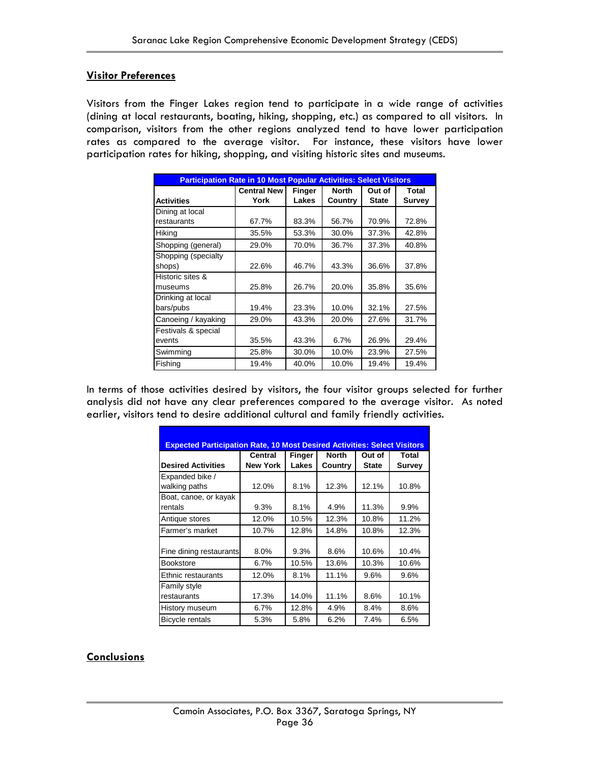### **Visitor Preferences**

Visitors from the Finger Lakes region tend to participate in a wide range of activities (dining at local restaurants, boating, hiking, shopping, etc.) as compared to all visitors. In comparison, visitors from the other regions analyzed tend to have lower participation rates as compared to the average visitor. For instance, these visitors have lower participation rates for hiking, shopping, and visiting historic sites and museums.

| <b>Participation Rate in 10 Most Popular Activities: Select Visitors</b> |                                                                 |       |         |              |               |  |
|--------------------------------------------------------------------------|-----------------------------------------------------------------|-------|---------|--------------|---------------|--|
|                                                                          | <b>Central New</b><br><b>North</b><br>Total<br>Finger<br>Out of |       |         |              |               |  |
| <b>Activities</b>                                                        | York                                                            | Lakes | Country | <b>State</b> | <b>Survey</b> |  |
| Dining at local                                                          |                                                                 |       |         |              |               |  |
| restaurants                                                              | 67.7%                                                           | 83.3% | 56.7%   | 70.9%        | 72.8%         |  |
| Hiking                                                                   | 35.5%                                                           | 53.3% | 30.0%   | 37.3%        | 42.8%         |  |
| Shopping (general)                                                       | 29.0%                                                           | 70.0% | 36.7%   | 37.3%        | 40.8%         |  |
| Shopping (specialty<br>shops)                                            | 22.6%                                                           | 46.7% | 43.3%   | 36.6%        | 37.8%         |  |
| Historic sites &                                                         | 25.8%                                                           | 26.7% | 20.0%   | 35.8%        | 35.6%         |  |
| museums                                                                  |                                                                 |       |         |              |               |  |
| Drinking at local<br>bars/pubs                                           | 19.4%                                                           | 23.3% | 10.0%   | 32.1%        | 27.5%         |  |
| Canoeing / kayaking                                                      | 29.0%                                                           | 43.3% | 20.0%   | 27.6%        | 31.7%         |  |
| Festivals & special                                                      |                                                                 |       |         |              |               |  |
| events                                                                   | 35.5%                                                           | 43.3% | 6.7%    | 26.9%        | 29.4%         |  |
| Swimming                                                                 | 25.8%                                                           | 30.0% | 10.0%   | 23.9%        | 27.5%         |  |
| Fishing                                                                  | 19.4%                                                           | 40.0% | 10.0%   | 19.4%        | 19.4%         |  |

In terms of those activities desired by visitors, the four visitor groups selected for further analysis did not have any clear preferences compared to the average visitor. As noted earlier, visitors tend to desire additional cultural and family friendly activities.

| <b>Expected Participation Rate, 10 Most Desired Activities: Select Visitors</b> |                            |                        |                         |                        |                        |  |  |
|---------------------------------------------------------------------------------|----------------------------|------------------------|-------------------------|------------------------|------------------------|--|--|
| <b>Desired Activities</b>                                                       | Central<br><b>New York</b> | <b>Finger</b><br>Lakes | <b>North</b><br>Country | Out of<br><b>State</b> | Total<br><b>Survey</b> |  |  |
| Expanded bike /<br>walking paths                                                | 12.0%                      | 8.1%                   | 12.3%                   | 12.1%                  | 10.8%                  |  |  |
| Boat, canoe, or kayak<br>rentals                                                | 9.3%                       | 8.1%                   | 4.9%                    | 11.3%                  | 9.9%                   |  |  |
| Antique stores                                                                  | 12.0%                      | 10.5%                  | 12.3%                   | 10.8%                  | 11.2%                  |  |  |
| Farmer's market                                                                 | 10.7%                      | 12.8%                  | 14.8%                   | 10.8%                  | 12.3%                  |  |  |
| Fine dining restaurants<br><b>Bookstore</b>                                     | 8.0%<br>6.7%               | 9.3%<br>10.5%          | 8.6%<br>13.6%           | 10.6%<br>10.3%         | 10.4%<br>10.6%         |  |  |
| Ethnic restaurants                                                              | 12.0%                      | 8.1%                   | 11.1%                   | 9.6%                   | 9.6%                   |  |  |
| Family style<br>restaurants                                                     | 17.3%                      | 14.0%                  | 11.1%                   | 8.6%                   | 10.1%                  |  |  |
| History museum                                                                  | 6.7%                       | 12.8%                  | 4.9%                    | 8.4%                   | 8.6%                   |  |  |
| <b>Bicycle rentals</b>                                                          | 5.3%                       | 5.8%                   | 6.2%                    | 7.4%                   | 6.5%                   |  |  |

### **Conclusions**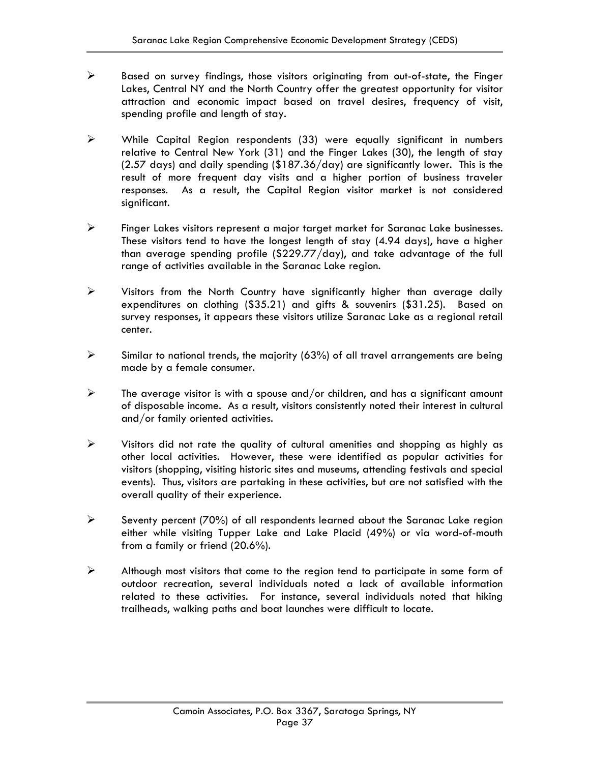- $\triangleright$  Based on survey findings, those visitors originating from out-of-state, the Finger Lakes, Central NY and the North Country offer the greatest opportunity for visitor attraction and economic impact based on travel desires, frequency of visit, spending profile and length of stay.
- ¾ While Capital Region respondents (33) were equally significant in numbers relative to Central New York (31) and the Finger Lakes (30), the length of stay (2.57 days) and daily spending (\$187.36/day) are significantly lower. This is the result of more frequent day visits and a higher portion of business traveler responses. As a result, the Capital Region visitor market is not considered significant.
- ¾ Finger Lakes visitors represent a major target market for Saranac Lake businesses. These visitors tend to have the longest length of stay (4.94 days), have a higher than average spending profile (\$229.77/day), and take advantage of the full range of activities available in the Saranac Lake region.
- $\triangleright$  Visitors from the North Country have significantly higher than average daily expenditures on clothing (\$35.21) and gifts & souvenirs (\$31.25). Based on survey responses, it appears these visitors utilize Saranac Lake as a regional retail center.
- $\triangleright$  Similar to national trends, the majority (63%) of all travel arrangements are being made by a female consumer.
- $\triangleright$  The average visitor is with a spouse and/or children, and has a significant amount of disposable income. As a result, visitors consistently noted their interest in cultural and/or family oriented activities.
- $\triangleright$  Visitors did not rate the quality of cultural amenities and shopping as highly as other local activities. However, these were identified as popular activities for visitors (shopping, visiting historic sites and museums, attending festivals and special events). Thus, visitors are partaking in these activities, but are not satisfied with the overall quality of their experience.
- $\triangleright$  Seventy percent (70%) of all respondents learned about the Saranac Lake region either while visiting Tupper Lake and Lake Placid (49%) or via word-of-mouth from a family or friend (20.6%).
- $\triangleright$  Although most visitors that come to the region tend to participate in some form of outdoor recreation, several individuals noted a lack of available information related to these activities. For instance, several individuals noted that hiking trailheads, walking paths and boat launches were difficult to locate.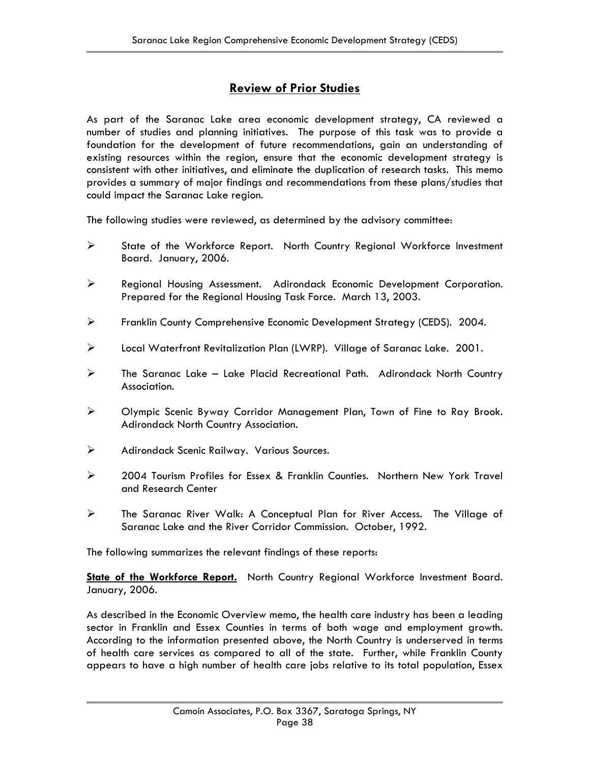### **Review of Prior Studies**

As part of the Saranac Lake area economic development strategy, CA reviewed a number of studies and planning initiatives. The purpose of this task was to provide a foundation for the development of future recommendations, gain an understanding of existing resources within the region, ensure that the economic development strategy is consistent with other initiatives, and eliminate the duplication of research tasks. This memo provides a summary of major findings and recommendations from these plans/studies that could impact the Saranac Lake region.

The following studies were reviewed, as determined by the advisory committee:

- ¾ State of the Workforce Report. North Country Regional Workforce Investment Board. January, 2006.
- ¾ Regional Housing Assessment. Adirondack Economic Development Corporation. Prepared for the Regional Housing Task Force. March 13, 2003.
- ¾ Franklin County Comprehensive Economic Development Strategy (CEDS). 2004.
- ¾ Local Waterfront Revitalization Plan (LWRP). Village of Saranac Lake. 2001.
- $\triangleright$  The Saranac Lake Lake Placid Recreational Path. Adirondack North Country Association.
- ¾ Olympic Scenic Byway Corridor Management Plan, Town of Fine to Ray Brook. Adirondack North Country Association.
- ¾ Adirondack Scenic Railway. Various Sources.
- ¾ 2004 Tourism Profiles for Essex & Franklin Counties. Northern New York Travel and Research Center
- ¾ The Saranac River Walk: A Conceptual Plan for River Access. The Village of Saranac Lake and the River Corridor Commission. October, 1992.

The following summarizes the relevant findings of these reports:

**State of the Workforce Report.** North Country Regional Workforce Investment Board. January, 2006.

As described in the Economic Overview memo, the health care industry has been a leading sector in Franklin and Essex Counties in terms of both wage and employment growth. According to the information presented above, the North Country is underserved in terms of health care services as compared to all of the state. Further, while Franklin County appears to have a high number of health care jobs relative to its total population, Essex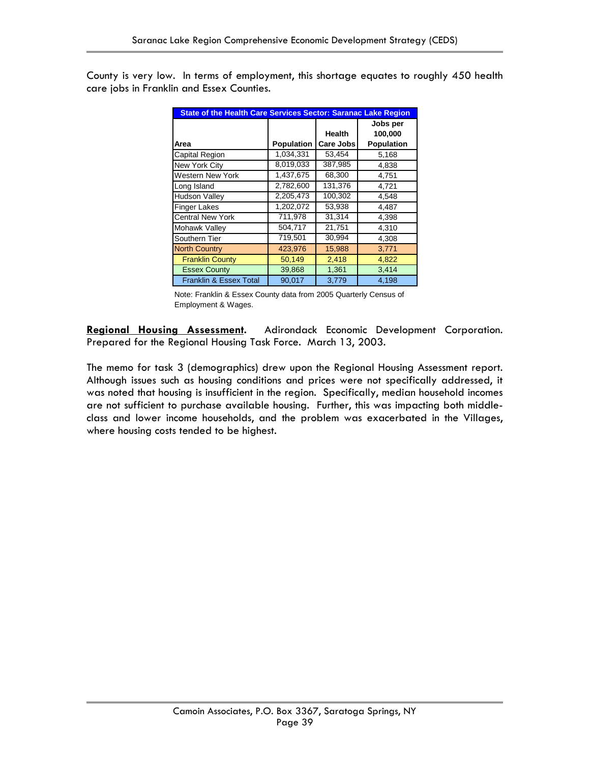County is very low. In terms of employment, this shortage equates to roughly 450 health care jobs in Franklin and Essex Counties.

| <b>State of the Health Care Services Sector: Saranac Lake Region</b> |            |                     |                                   |  |
|----------------------------------------------------------------------|------------|---------------------|-----------------------------------|--|
| Area                                                                 | Population | Health<br>Care Jobs | Jobs per<br>100,000<br>Population |  |
| Capital Region                                                       | 1,034,331  | 53,454              | 5,168                             |  |
| New York City                                                        | 8,019,033  | 387,985             | 4,838                             |  |
| <b>Western New York</b>                                              | 1,437,675  | 68,300              | 4,751                             |  |
| Long Island                                                          | 2,782,600  | 131,376             | 4,721                             |  |
| <b>Hudson Valley</b>                                                 | 2,205,473  | 100,302             | 4,548                             |  |
| <b>Finger Lakes</b>                                                  | 1,202,072  | 53,938              | 4,487                             |  |
| <b>Central New York</b>                                              | 711,978    | 31,314              | 4,398                             |  |
| Mohawk Valley                                                        | 504,717    | 21,751              | 4,310                             |  |
| Southern Tier                                                        | 719,501    | 30,994              | 4,308                             |  |
| <b>North Country</b>                                                 | 423,976    | 15,988              | 3,771                             |  |
| <b>Franklin County</b>                                               | 50,149     | 2,418               | 4,822                             |  |
| <b>Essex County</b>                                                  | 39,868     | 1,361               | 3,414                             |  |
| <b>Franklin &amp; Essex Total</b>                                    | 90.017     | 3,779               | 4,198                             |  |

Note: Franklin & Essex County data from 2005 Quarterly Census of Employment & Wages.

**Regional Housing Assessment.** Adirondack Economic Development Corporation. Prepared for the Regional Housing Task Force. March 13, 2003.

The memo for task 3 (demographics) drew upon the Regional Housing Assessment report. Although issues such as housing conditions and prices were not specifically addressed, it was noted that housing is insufficient in the region. Specifically, median household incomes are not sufficient to purchase available housing. Further, this was impacting both middleclass and lower income households, and the problem was exacerbated in the Villages, where housing costs tended to be highest.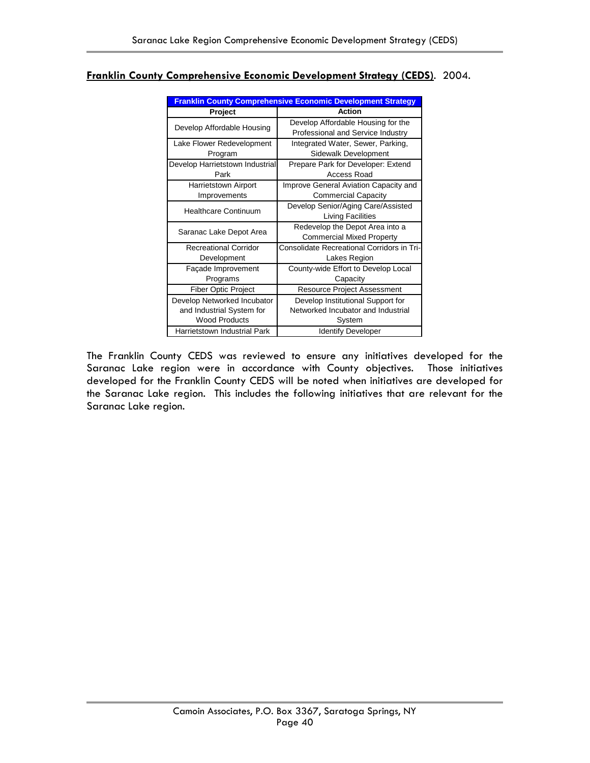| <b>Franklin County Comprehensive Economic Development Strategy</b>               |                                                                                   |  |  |
|----------------------------------------------------------------------------------|-----------------------------------------------------------------------------------|--|--|
| Project                                                                          | Action                                                                            |  |  |
| Develop Affordable Housing                                                       | Develop Affordable Housing for the<br>Professional and Service Industry           |  |  |
| Lake Flower Redevelopment<br>Program                                             | Integrated Water, Sewer, Parking,<br>Sidewalk Development                         |  |  |
| Develop Harrietstown Industrial<br>Park                                          | Prepare Park for Developer: Extend<br>Access Road                                 |  |  |
| Harrietstown Airport<br>Improvements                                             | Improve General Aviation Capacity and<br><b>Commercial Capacity</b>               |  |  |
| <b>Healthcare Continuum</b>                                                      | Develop Senior/Aging Care/Assisted<br>Living Facilities                           |  |  |
| Saranac Lake Depot Area                                                          | Redevelop the Depot Area into a<br><b>Commercial Mixed Property</b>               |  |  |
| <b>Recreational Corridor</b><br>Development                                      | Consolidate Recreational Corridors in Tri-<br>Lakes Region                        |  |  |
| Façade Improvement<br>Programs                                                   | County-wide Effort to Develop Local<br>Capacity                                   |  |  |
| <b>Fiber Optic Project</b>                                                       | <b>Resource Project Assessment</b>                                                |  |  |
| Develop Networked Incubator<br>and Industrial System for<br><b>Wood Products</b> | Develop Institutional Support for<br>Networked Incubator and Industrial<br>System |  |  |
| Harrietstown Industrial Park                                                     | <b>Identify Developer</b>                                                         |  |  |

### **Franklin County Comprehensive Economic Development Strategy (CEDS)**. 2004.

The Franklin County CEDS was reviewed to ensure any initiatives developed for the Saranac Lake region were in accordance with County objectives. Those initiatives developed for the Franklin County CEDS will be noted when initiatives are developed for the Saranac Lake region. This includes the following initiatives that are relevant for the Saranac Lake region.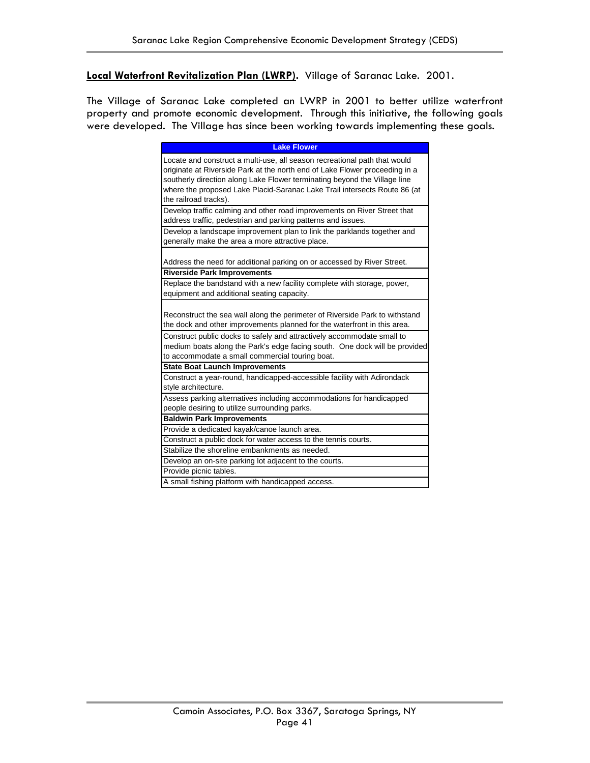**Local Waterfront Revitalization Plan (LWRP).** Village of Saranac Lake. 2001.

The Village of Saranac Lake completed an LWRP in 2001 to better utilize waterfront property and promote economic development. Through this initiative, the following goals were developed. The Village has since been working towards implementing these goals.

| <b>Lake Flower</b>                                                                                                                                                                                                                                                                                                                          |
|---------------------------------------------------------------------------------------------------------------------------------------------------------------------------------------------------------------------------------------------------------------------------------------------------------------------------------------------|
|                                                                                                                                                                                                                                                                                                                                             |
| Locate and construct a multi-use, all season recreational path that would<br>originate at Riverside Park at the north end of Lake Flower proceeding in a<br>southerly direction along Lake Flower terminating beyond the Village line<br>where the proposed Lake Placid-Saranac Lake Trail intersects Route 86 (at<br>the railroad tracks). |
| Develop traffic calming and other road improvements on River Street that<br>address traffic, pedestrian and parking patterns and issues.                                                                                                                                                                                                    |
| Develop a landscape improvement plan to link the parklands together and<br>generally make the area a more attractive place.                                                                                                                                                                                                                 |
| Address the need for additional parking on or accessed by River Street.                                                                                                                                                                                                                                                                     |
| <b>Riverside Park Improvements</b>                                                                                                                                                                                                                                                                                                          |
| Replace the bandstand with a new facility complete with storage, power,<br>equipment and additional seating capacity.                                                                                                                                                                                                                       |
| Reconstruct the sea wall along the perimeter of Riverside Park to withstand<br>the dock and other improvements planned for the waterfront in this area.                                                                                                                                                                                     |
| Construct public docks to safely and attractively accommodate small to<br>medium boats along the Park's edge facing south. One dock will be provided<br>to accommodate a small commercial touring boat.                                                                                                                                     |
| <b>State Boat Launch Improvements</b>                                                                                                                                                                                                                                                                                                       |
| Construct a year-round, handicapped-accessible facility with Adirondack<br>style architecture.                                                                                                                                                                                                                                              |
| Assess parking alternatives including accommodations for handicapped<br>people desiring to utilize surrounding parks.                                                                                                                                                                                                                       |
| <b>Baldwin Park Improvements</b>                                                                                                                                                                                                                                                                                                            |
| Provide a dedicated kayak/canoe launch area.                                                                                                                                                                                                                                                                                                |
| Construct a public dock for water access to the tennis courts.                                                                                                                                                                                                                                                                              |
| Stabilize the shoreline embankments as needed.                                                                                                                                                                                                                                                                                              |
| Develop an on-site parking lot adjacent to the courts.                                                                                                                                                                                                                                                                                      |
| Provide picnic tables.                                                                                                                                                                                                                                                                                                                      |
| A small fishing platform with handicapped access.                                                                                                                                                                                                                                                                                           |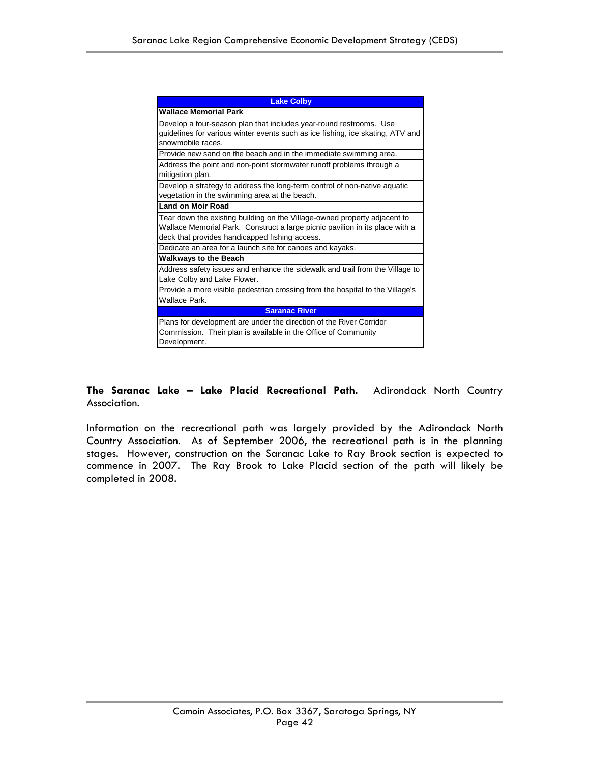| <b>Lake Colby</b>                                                              |
|--------------------------------------------------------------------------------|
| <b>Wallace Memorial Park</b>                                                   |
| Develop a four-season plan that includes year-round restrooms. Use             |
| guidelines for various winter events such as ice fishing, ice skating, ATV and |
| snowmobile races.                                                              |
| Provide new sand on the beach and in the immediate swimming area.              |
| Address the point and non-point stormwater runoff problems through a           |
| mitigation plan.                                                               |
| Develop a strategy to address the long-term control of non-native aquatic      |
| vegetation in the swimming area at the beach.                                  |
| <b>Land on Moir Road</b>                                                       |
| Tear down the existing building on the Village-owned property adjacent to      |
| Wallace Memorial Park. Construct a large picnic pavilion in its place with a   |
| deck that provides handicapped fishing access.                                 |
| Dedicate an area for a launch site for canoes and kayaks.                      |
| <b>Walkways to the Beach</b>                                                   |
| Address safety issues and enhance the sidewalk and trail from the Village to   |
| Lake Colby and Lake Flower.                                                    |
| Provide a more visible pedestrian crossing from the hospital to the Village's  |
| Wallace Park.                                                                  |
| <b>Saranac River</b>                                                           |
| Plans for development are under the direction of the River Corridor            |
| Commission. Their plan is available in the Office of Community                 |
| Development.                                                                   |

**The Saranac Lake – Lake Placid Recreational Path.** Adirondack North Country Association.

Information on the recreational path was largely provided by the Adirondack North Country Association. As of September 2006, the recreational path is in the planning stages. However, construction on the Saranac Lake to Ray Brook section is expected to commence in 2007. The Ray Brook to Lake Placid section of the path will likely be completed in 2008.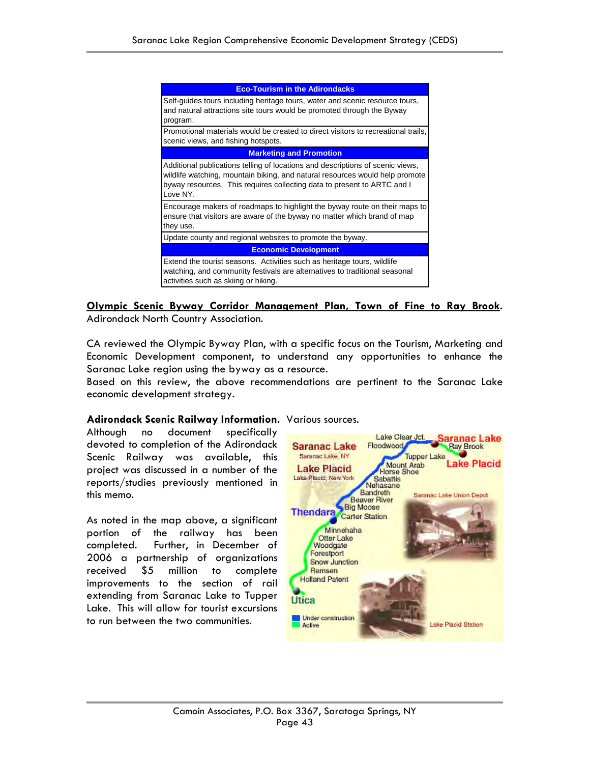| <b>Eco-Tourism in the Adirondacks</b>                                                                                                                                                                                                                 |
|-------------------------------------------------------------------------------------------------------------------------------------------------------------------------------------------------------------------------------------------------------|
| Self-guides tours including heritage tours, water and scenic resource tours,<br>and natural attractions site tours would be promoted through the Byway<br>program.                                                                                    |
| Promotional materials would be created to direct visitors to recreational trails,<br>scenic views, and fishing hotspots.                                                                                                                              |
| <b>Marketing and Promotion</b>                                                                                                                                                                                                                        |
| Additional publications telling of locations and descriptions of scenic views,<br>wildlife watching, mountain biking, and natural resources would help promote<br>byway resources. This requires collecting data to present to ARTC and I<br>Love NY. |
| Encourage makers of roadmaps to highlight the byway route on their maps to<br>ensure that visitors are aware of the byway no matter which brand of map<br>they use.                                                                                   |
| Update county and regional websites to promote the byway.                                                                                                                                                                                             |
| <b>Economic Development</b>                                                                                                                                                                                                                           |
| Extend the tourist seasons. Activities such as heritage tours, wildlife<br>watching, and community festivals are alternatives to traditional seasonal<br>activities such as skiing or hiking.                                                         |

**Olympic Scenic Byway Corridor Management Plan, Town of Fine to Ray Brook.** Adirondack North Country Association.

CA reviewed the Olympic Byway Plan, with a specific focus on the Tourism, Marketing and Economic Development component, to understand any opportunities to enhance the Saranac Lake region using the byway as a resource.

Based on this review, the above recommendations are pertinent to the Saranac Lake economic development strategy.

### **Adirondack Scenic Railway Information.** Various sources.

Although no document specifically devoted to completion of the Adirondack Scenic Railway was available, this project was discussed in a number of the reports/studies previously mentioned in this memo.

As noted in the map above, a significant portion of the railway has been completed. Further, in December of 2006 a partnership of organizations received \$5 million to complete improvements to the section of rail extending from Saranac Lake to Tupper Lake. This will allow for tourist excursions to run between the two communities.

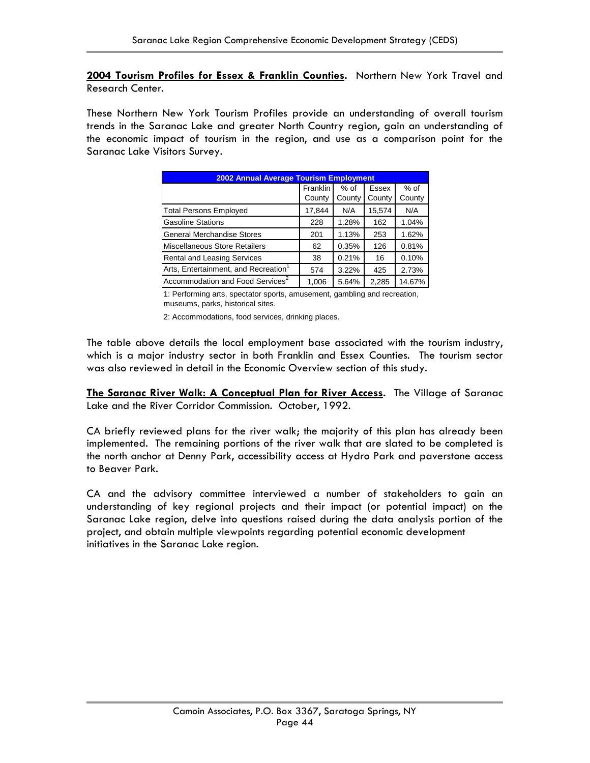**2004 Tourism Profiles for Essex & Franklin Counties.** Northern New York Travel and Research Center.

These Northern New York Tourism Profiles provide an understanding of overall tourism trends in the Saranac Lake and greater North Country region, gain an understanding of the economic impact of tourism in the region, and use as a comparison point for the Saranac Lake Visitors Survey.

| <b>2002 Annual Average Tourism Employment</b>    |          |        |              |        |  |
|--------------------------------------------------|----------|--------|--------------|--------|--|
|                                                  | Franklin | $%$ of | <b>Essex</b> | % of   |  |
|                                                  | County   | County | County       | County |  |
| <b>Total Persons Employed</b>                    | 17,844   | N/A    | 15,574       | N/A    |  |
| <b>Gasoline Stations</b>                         | 228      | 1.28%  | 162          | 1.04%  |  |
| <b>General Merchandise Stores</b>                | 201      | 1.13%  | 253          | 1.62%  |  |
| Miscellaneous Store Retailers                    | 62       | 0.35%  | 126          | 0.81%  |  |
| <b>Rental and Leasing Services</b>               | 38       | 0.21%  | 16           | 0.10%  |  |
| Arts, Entertainment, and Recreation <sup>1</sup> | 574      | 3.22%  | 425          | 2.73%  |  |
| Accommodation and Food Services <sup>2</sup>     | 1,006    | 5.64%  | 2,285        | 14.67% |  |

1: Performing arts, spectator sports, amusement, gambling and recreation, museums, parks, historical sites.

2: Accommodations, food services, drinking places.

The table above details the local employment base associated with the tourism industry, which is a major industry sector in both Franklin and Essex Counties. The tourism sector was also reviewed in detail in the Economic Overview section of this study.

**The Saranac River Walk: A Conceptual Plan for River Access.** The Village of Saranac Lake and the River Corridor Commission. October, 1992.

CA briefly reviewed plans for the river walk; the majority of this plan has already been implemented. The remaining portions of the river walk that are slated to be completed is the north anchor at Denny Park, accessibility access at Hydro Park and paverstone access to Beaver Park.

CA and the advisory committee interviewed a number of stakeholders to gain an understanding of key regional projects and their impact (or potential impact) on the Saranac Lake region, delve into questions raised during the data analysis portion of the project, and obtain multiple viewpoints regarding potential economic development initiatives in the Saranac Lake region.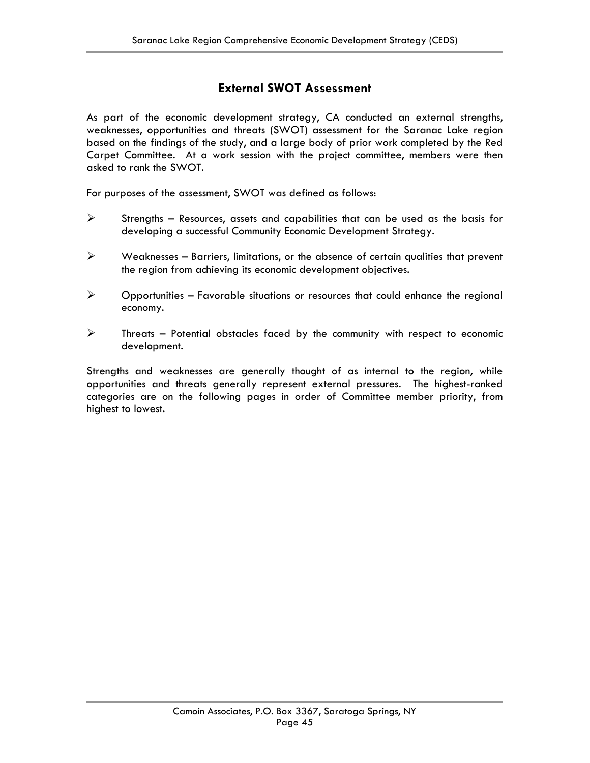### **External SWOT Assessment**

As part of the economic development strategy, CA conducted an external strengths, weaknesses, opportunities and threats (SWOT) assessment for the Saranac Lake region based on the findings of the study, and a large body of prior work completed by the Red Carpet Committee. At a work session with the project committee, members were then asked to rank the SWOT.

For purposes of the assessment, SWOT was defined as follows:

- $\triangleright$  Strengths Resources, assets and capabilities that can be used as the basis for developing a successful Community Economic Development Strategy.
- $\triangleright$  Weaknesses Barriers, limitations, or the absence of certain qualities that prevent the region from achieving its economic development objectives.
- $\triangleright$  Opportunities Favorable situations or resources that could enhance the regional economy.
- $\triangleright$  Threats Potential obstacles faced by the community with respect to economic development.

Strengths and weaknesses are generally thought of as internal to the region, while opportunities and threats generally represent external pressures. The highest-ranked categories are on the following pages in order of Committee member priority, from highest to lowest.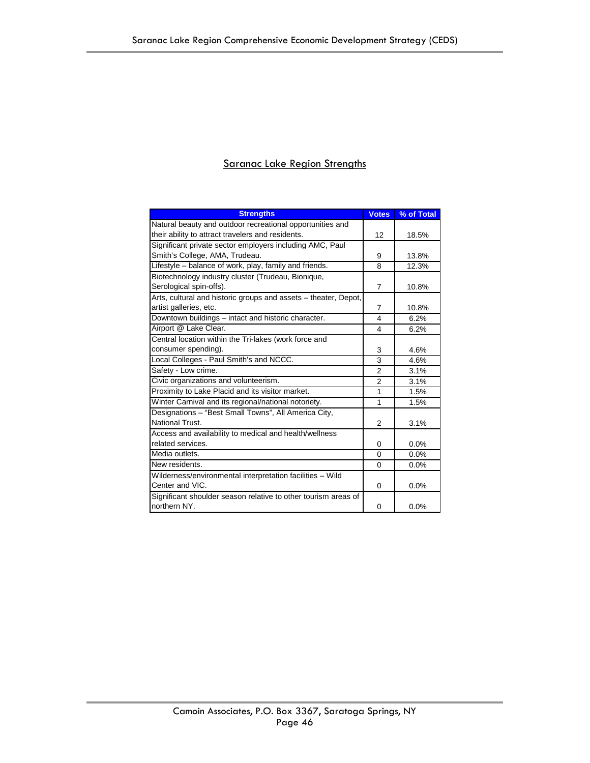### Saranac Lake Region Strengths

| <b>Strengths</b>                                                | <b>Votes</b>   | % of Total |
|-----------------------------------------------------------------|----------------|------------|
| Natural beauty and outdoor recreational opportunities and       |                |            |
| their ability to attract travelers and residents.               | 12             | 18.5%      |
| Significant private sector employers including AMC, Paul        |                |            |
| Smith's College, AMA, Trudeau.                                  | 9              | 13.8%      |
| Lifestyle - balance of work, play, family and friends.          | 8              | 12.3%      |
| Biotechnology industry cluster (Trudeau, Bionique,              |                |            |
| Serological spin-offs).                                         | $\overline{7}$ | 10.8%      |
| Arts, cultural and historic groups and assets - theater, Depot, |                |            |
| artist galleries, etc.                                          | $\overline{7}$ | 10.8%      |
| Downtown buildings - intact and historic character.             | 4              | 6.2%       |
| Airport @ Lake Clear.                                           | 4              | 6.2%       |
| Central location within the Tri-lakes (work force and           |                |            |
| consumer spending).                                             | 3              | 4.6%       |
| Local Colleges - Paul Smith's and NCCC.                         | 3              | 4.6%       |
| Safety - Low crime.                                             | $\overline{2}$ | 3.1%       |
| Civic organizations and volunteerism.                           | $\overline{2}$ | 3.1%       |
| Proximity to Lake Placid and its visitor market.                | 1              | 1.5%       |
| Winter Carnival and its regional/national notoriety.            | 1              | 1.5%       |
| Designations - "Best Small Towns", All America City,            |                |            |
| National Trust.                                                 | $\overline{2}$ | 3.1%       |
| Access and availability to medical and health/wellness          |                |            |
| related services.                                               | $\Omega$       | 0.0%       |
| Media outlets.                                                  | 0              | 0.0%       |
| New residents.                                                  | $\Omega$       | 0.0%       |
| Wilderness/environmental interpretation facilities - Wild       |                |            |
| Center and VIC.                                                 | 0              | 0.0%       |
| Significant shoulder season relative to other tourism areas of  |                |            |
| northern NY.                                                    | 0              | 0.0%       |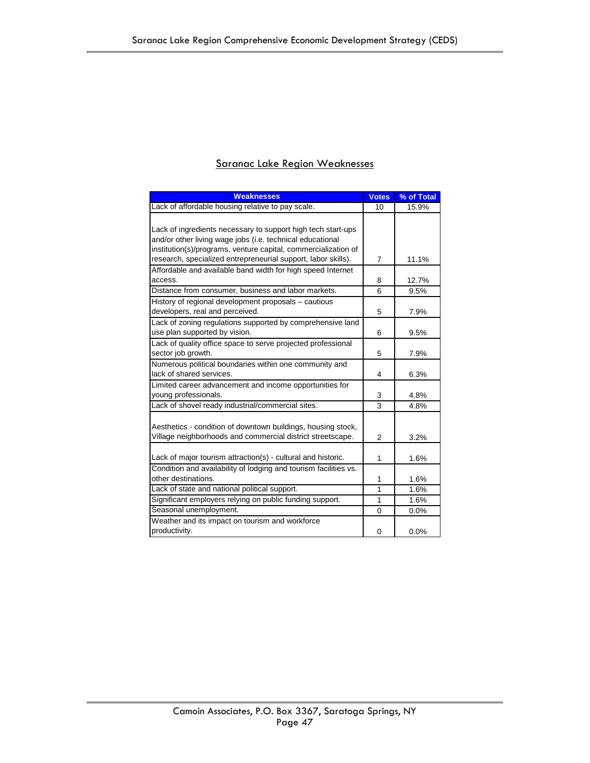| <b>Weaknesses</b>                                                | <b>Votes</b>   | % of Total |
|------------------------------------------------------------------|----------------|------------|
| Lack of affordable housing relative to pay scale.                | 10             | 15.9%      |
|                                                                  |                |            |
| Lack of ingredients necessary to support high tech start-ups     |                |            |
| and/or other living wage jobs (i.e. technical educational        |                |            |
| institution(s)/programs, venture capital, commercialization of   |                |            |
| research, specialized entrepreneurial support, labor skills).    | 7              | 11.1%      |
| Affordable and available band width for high speed Internet      |                |            |
| access.                                                          | 8              | 12.7%      |
| Distance from consumer, business and labor markets.              | 6              | 9.5%       |
| History of regional development proposals - cautious             |                |            |
| developers, real and perceived.                                  | 5              | 7.9%       |
| Lack of zoning regulations supported by comprehensive land       |                |            |
| use plan supported by vision.                                    | 6              | 9.5%       |
| Lack of quality office space to serve projected professional     |                |            |
| sector job growth.                                               | 5              | 7.9%       |
| Numerous political boundaries within one community and           |                |            |
| lack of shared services.                                         | 4              | 6.3%       |
| Limited career advancement and income opportunities for          |                |            |
| young professionals.                                             | 3              | 4.8%       |
| Lack of shovel ready industrial/commercial sites.                | 3              | 4.8%       |
|                                                                  |                |            |
| Aesthetics - condition of downtown buildings, housing stock,     |                |            |
| Village neighborhoods and commercial district streetscape.       | $\overline{2}$ | 3.2%       |
|                                                                  |                |            |
| Lack of major tourism attraction(s) - cultural and historic.     | 1              | 1.6%       |
| Condition and availability of lodging and tourism facilities vs. |                |            |
| other destinations.                                              | 1              | 1.6%       |
| Lack of state and national political support.                    | 1              | 1.6%       |
| Significant employers relying on public funding support.         | 1              | 1.6%       |
| Seasonal unemployment.                                           | 0              | 0.0%       |
| Weather and its impact on tourism and workforce                  |                |            |
| productivity.                                                    | 0              | 0.0%       |

### Saranac Lake Region Weaknesses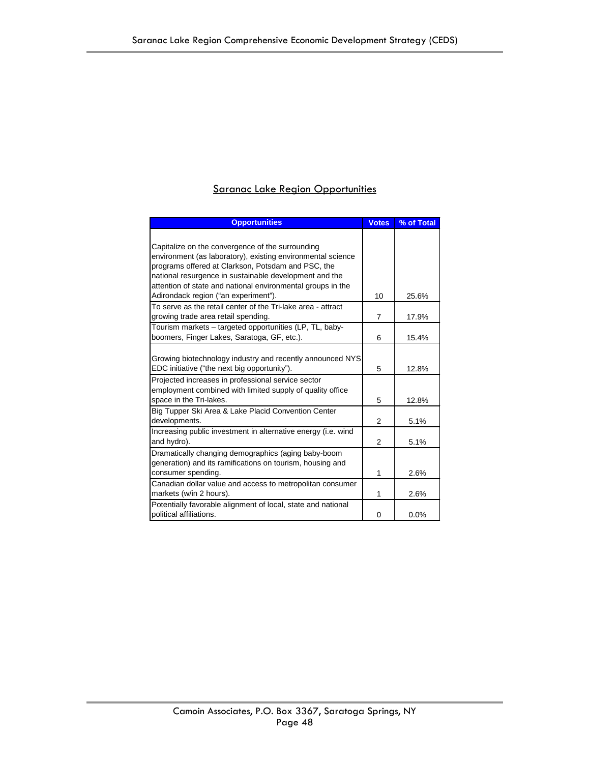### Saranac Lake Region Opportunities

| <b>Opportunities</b>                                                                                   | <b>Votes</b>   | % of Total |
|--------------------------------------------------------------------------------------------------------|----------------|------------|
|                                                                                                        |                |            |
| Capitalize on the convergence of the surrounding                                                       |                |            |
| environment (as laboratory), existing environmental science                                            |                |            |
| programs offered at Clarkson, Potsdam and PSC, the                                                     |                |            |
| national resurgence in sustainable development and the                                                 |                |            |
| attention of state and national environmental groups in the                                            |                |            |
| Adirondack region ("an experiment").                                                                   | 10             | 25.6%      |
| To serve as the retail center of the Tri-lake area - attract                                           |                |            |
| growing trade area retail spending.                                                                    | $\overline{7}$ | 17.9%      |
| Tourism markets - targeted opportunities (LP, TL, baby-<br>boomers, Finger Lakes, Saratoga, GF, etc.). | 6              | 15.4%      |
|                                                                                                        |                |            |
| Growing biotechnology industry and recently announced NYS                                              |                |            |
| EDC initiative ("the next big opportunity").                                                           | 5              | 12.8%      |
| Projected increases in professional service sector                                                     |                |            |
| employment combined with limited supply of quality office                                              |                |            |
| space in the Tri-lakes.                                                                                | 5              | 12.8%      |
| Big Tupper Ski Area & Lake Placid Convention Center                                                    |                |            |
| developments.                                                                                          | 2              | 5.1%       |
| Increasing public investment in alternative energy (i.e. wind                                          |                |            |
| and hydro).                                                                                            | $\mathcal{P}$  | 5.1%       |
| Dramatically changing demographics (aging baby-boom                                                    |                |            |
| generation) and its ramifications on tourism, housing and                                              |                |            |
| consumer spending.                                                                                     | 1              | 2.6%       |
| Canadian dollar value and access to metropolitan consumer                                              |                |            |
| markets (w/in 2 hours).                                                                                | 1              | 2.6%       |
| Potentially favorable alignment of local, state and national                                           |                |            |
| political affiliations.                                                                                | 0              | 0.0%       |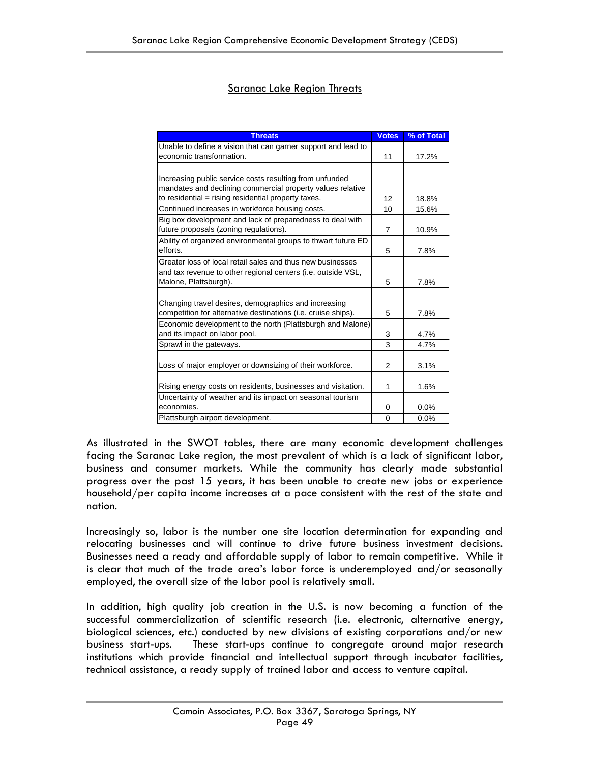### Saranac Lake Region Threats

| <b>Threats</b>                                                | <b>Votes</b>   | % of Total |
|---------------------------------------------------------------|----------------|------------|
| Unable to define a vision that can garner support and lead to |                |            |
| economic transformation.                                      | 11             | 17.2%      |
|                                                               |                |            |
| Increasing public service costs resulting from unfunded       |                |            |
| mandates and declining commercial property values relative    |                |            |
| to residential = rising residential property taxes.           | 12             | 18.8%      |
| Continued increases in workforce housing costs.               | 10             | 15.6%      |
| Big box development and lack of preparedness to deal with     |                |            |
| future proposals (zoning regulations).                        | $\overline{7}$ | 10.9%      |
| Ability of organized environmental groups to thwart future ED |                |            |
| efforts.                                                      | 5              | 7.8%       |
| Greater loss of local retail sales and thus new businesses    |                |            |
| and tax revenue to other regional centers (i.e. outside VSL,  |                |            |
| Malone, Plattsburgh).                                         | 5              | 7.8%       |
|                                                               |                |            |
| Changing travel desires, demographics and increasing          |                |            |
| competition for alternative destinations (i.e. cruise ships). | 5              | 7.8%       |
| Economic development to the north (Plattsburgh and Malone)    |                |            |
| and its impact on labor pool.                                 | 3              | 4.7%       |
| Sprawl in the gateways.                                       | 3              | 4.7%       |
|                                                               |                |            |
| Loss of major employer or downsizing of their workforce.      | 2              | 3.1%       |
|                                                               |                |            |
| Rising energy costs on residents, businesses and visitation.  | 1              | 1.6%       |
| Uncertainty of weather and its impact on seasonal tourism     |                |            |
| economies.                                                    | 0              | 0.0%       |
| Plattsburgh airport development.                              | $\mathbf 0$    | 0.0%       |

As illustrated in the SWOT tables, there are many economic development challenges facing the Saranac Lake region, the most prevalent of which is a lack of significant labor, business and consumer markets. While the community has clearly made substantial progress over the past 15 years, it has been unable to create new jobs or experience household/per capita income increases at a pace consistent with the rest of the state and nation.

Increasingly so, labor is the number one site location determination for expanding and relocating businesses and will continue to drive future business investment decisions. Businesses need a ready and affordable supply of labor to remain competitive. While it is clear that much of the trade area's labor force is underemployed and/or seasonally employed, the overall size of the labor pool is relatively small.

In addition, high quality job creation in the U.S. is now becoming a function of the successful commercialization of scientific research (i.e. electronic, alternative energy, biological sciences, etc.) conducted by new divisions of existing corporations and/or new business start-ups. These start-ups continue to congregate around major research institutions which provide financial and intellectual support through incubator facilities, technical assistance, a ready supply of trained labor and access to venture capital.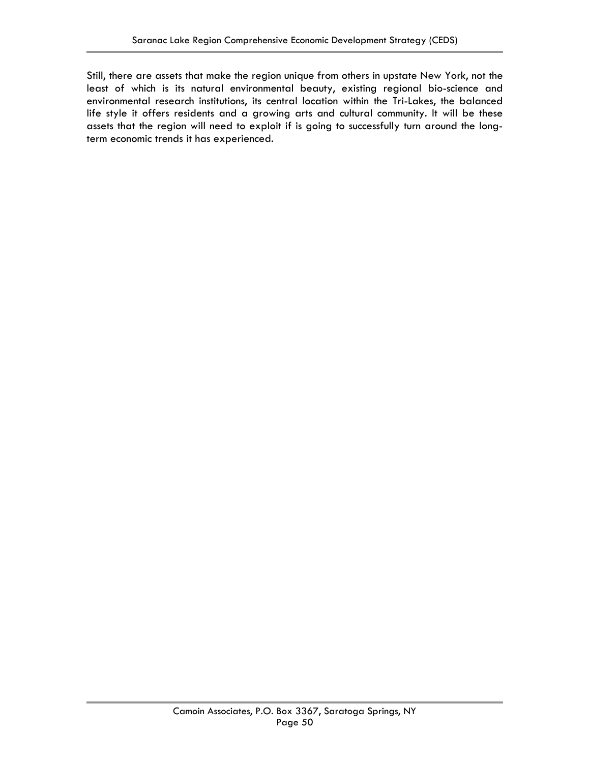Still, there are assets that make the region unique from others in upstate New York, not the least of which is its natural environmental beauty, existing regional bio-science and environmental research institutions, its central location within the Tri-Lakes, the balanced life style it offers residents and a growing arts and cultural community. It will be these assets that the region will need to exploit if is going to successfully turn around the longterm economic trends it has experienced.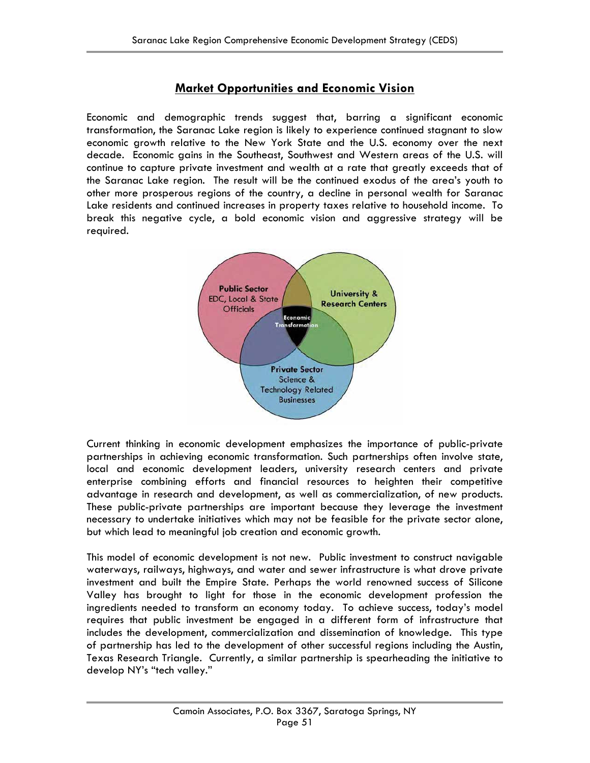### **Market Opportunities and Economic Vision**

Economic and demographic trends suggest that, barring a significant economic transformation, the Saranac Lake region is likely to experience continued stagnant to slow economic growth relative to the New York State and the U.S. economy over the next decade. Economic gains in the Southeast, Southwest and Western areas of the U.S. will continue to capture private investment and wealth at a rate that greatly exceeds that of the Saranac Lake region. The result will be the continued exodus of the area's youth to other more prosperous regions of the country, a decline in personal wealth for Saranac Lake residents and continued increases in property taxes relative to household income. To break this negative cycle, a bold economic vision and aggressive strategy will be required.



Current thinking in economic development emphasizes the importance of public-private partnerships in achieving economic transformation. Such partnerships often involve state, local and economic development leaders, university research centers and private enterprise combining efforts and financial resources to heighten their competitive advantage in research and development, as well as commercialization, of new products. These public-private partnerships are important because they leverage the investment necessary to undertake initiatives which may not be feasible for the private sector alone, but which lead to meaningful job creation and economic growth.

This model of economic development is not new. Public investment to construct navigable waterways, railways, highways, and water and sewer infrastructure is what drove private investment and built the Empire State. Perhaps the world renowned success of Silicone Valley has brought to light for those in the economic development profession the ingredients needed to transform an economy today. To achieve success, today's model requires that public investment be engaged in a different form of infrastructure that includes the development, commercialization and dissemination of knowledge. This type of partnership has led to the development of other successful regions including the Austin, Texas Research Triangle. Currently, a similar partnership is spearheading the initiative to develop NY's "tech valley."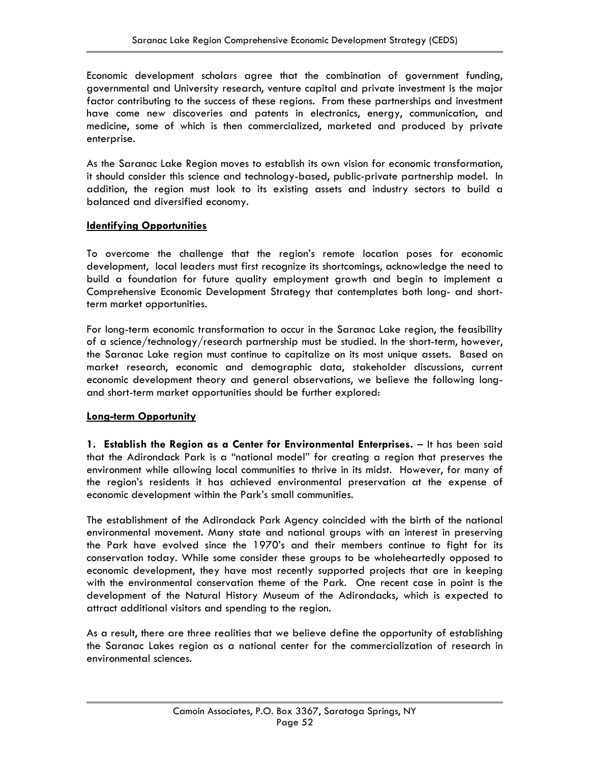Economic development scholars agree that the combination of government funding, governmental and University research, venture capital and private investment is the major factor contributing to the success of these regions. From these partnerships and investment have come new discoveries and patents in electronics, energy, communication, and medicine, some of which is then commercialized, marketed and produced by private enterprise.

As the Saranac Lake Region moves to establish its own vision for economic transformation, it should consider this science and technology-based, public-private partnership model. In addition, the region must look to its existing assets and industry sectors to build a balanced and diversified economy.

### **Identifying Opportunities**

To overcome the challenge that the region's remote location poses for economic development, local leaders must first recognize its shortcomings, acknowledge the need to build a foundation for future quality employment growth and begin to implement a Comprehensive Economic Development Strategy that contemplates both long- and shortterm market opportunities.

For long-term economic transformation to occur in the Saranac Lake region, the feasibility of a science/technology/research partnership must be studied. In the short-term, however, the Saranac Lake region must continue to capitalize on its most unique assets. Based on market research, economic and demographic data, stakeholder discussions, current economic development theory and general observations, we believe the following longand short-term market opportunities should be further explored:

### **Long-term Opportunity**

**1. Establish the Region as a Center for Environmental Enterprises.** – It has been said that the Adirondack Park is a "national model" for creating a region that preserves the environment while allowing local communities to thrive in its midst. However, for many of the region's residents it has achieved environmental preservation at the expense of economic development within the Park's small communities.

The establishment of the Adirondack Park Agency coincided with the birth of the national environmental movement. Many state and national groups with an interest in preserving the Park have evolved since the 1970's and their members continue to fight for its conservation today. While some consider these groups to be wholeheartedly opposed to economic development, they have most recently supported projects that are in keeping with the environmental conservation theme of the Park. One recent case in point is the development of the Natural History Museum of the Adirondacks, which is expected to attract additional visitors and spending to the region.

As a result, there are three realities that we believe define the opportunity of establishing the Saranac Lakes region as a national center for the commercialization of research in environmental sciences.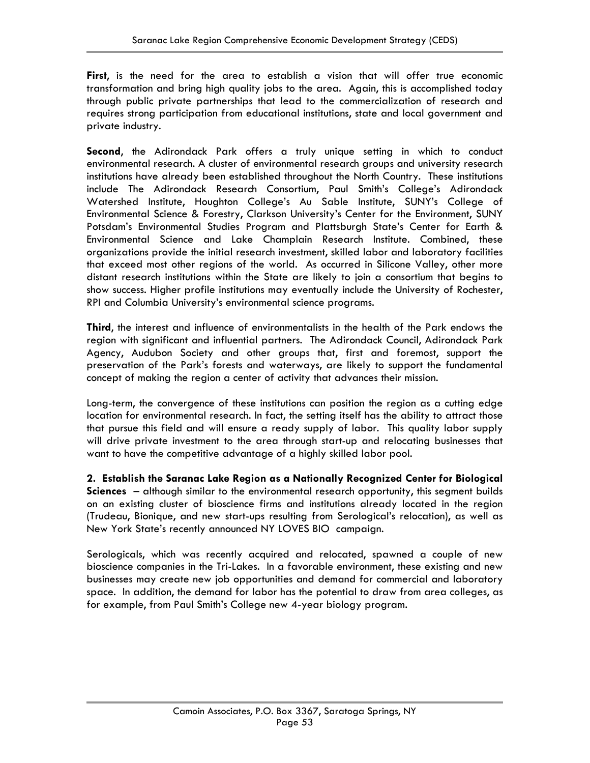**First**, is the need for the area to establish a vision that will offer true economic transformation and bring high quality jobs to the area. Again, this is accomplished today through public private partnerships that lead to the commercialization of research and requires strong participation from educational institutions, state and local government and private industry.

**Second**, the Adirondack Park offers a truly unique setting in which to conduct environmental research. A cluster of environmental research groups and university research institutions have already been established throughout the North Country. These institutions include The Adirondack Research Consortium, Paul Smith's College's Adirondack Watershed Institute, Houghton College's Au Sable Institute, SUNY's College of Environmental Science & Forestry, Clarkson University's Center for the Environment, SUNY Potsdam's Environmental Studies Program and Plattsburgh State's Center for Earth & Environmental Science and Lake Champlain Research Institute. Combined, these organizations provide the initial research investment, skilled labor and laboratory facilities that exceed most other regions of the world. As occurred in Silicone Valley, other more distant research institutions within the State are likely to join a consortium that begins to show success. Higher profile institutions may eventually include the University of Rochester, RPI and Columbia University's environmental science programs.

**Third**, the interest and influence of environmentalists in the health of the Park endows the region with significant and influential partners. The Adirondack Council, Adirondack Park Agency, Audubon Society and other groups that, first and foremost, support the preservation of the Park's forests and waterways, are likely to support the fundamental concept of making the region a center of activity that advances their mission.

Long-term, the convergence of these institutions can position the region as a cutting edge location for environmental research. In fact, the setting itself has the ability to attract those that pursue this field and will ensure a ready supply of labor. This quality labor supply will drive private investment to the area through start-up and relocating businesses that want to have the competitive advantage of a highly skilled labor pool.

**2. Establish the Saranac Lake Region as a Nationally Recognized Center for Biological Sciences** – although similar to the environmental research opportunity, this segment builds on an existing cluster of bioscience firms and institutions already located in the region (Trudeau, Bionique, and new start-ups resulting from Serological's relocation), as well as New York State's recently announced NY LOVES BIO campaign.

Serologicals, which was recently acquired and relocated, spawned a couple of new bioscience companies in the Tri-Lakes. In a favorable environment, these existing and new businesses may create new job opportunities and demand for commercial and laboratory space. In addition, the demand for labor has the potential to draw from area colleges, as for example, from Paul Smith's College new 4-year biology program.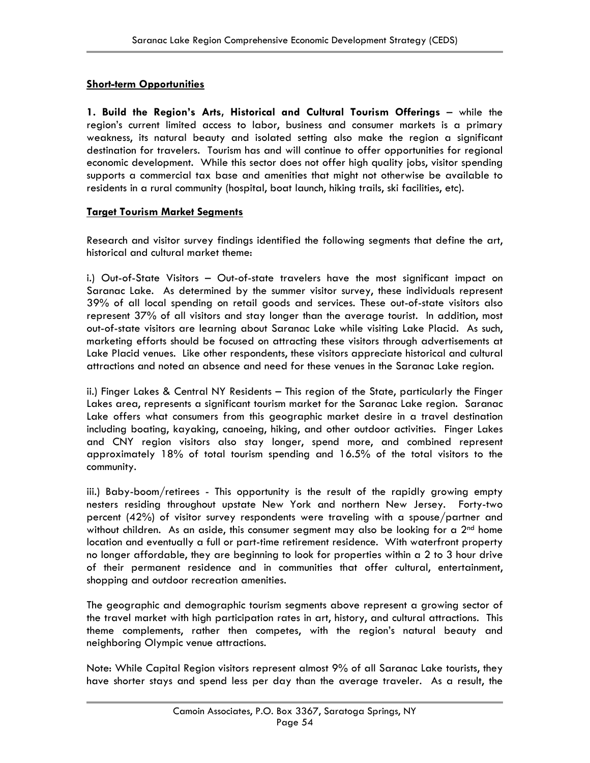### **Short-term Opportunities**

**1. Build the Region's Arts, Historical and Cultural Tourism Offerings** – while the region's current limited access to labor, business and consumer markets is a primary weakness, its natural beauty and isolated setting also make the region a significant destination for travelers. Tourism has and will continue to offer opportunities for regional economic development. While this sector does not offer high quality jobs, visitor spending supports a commercial tax base and amenities that might not otherwise be available to residents in a rural community (hospital, boat launch, hiking trails, ski facilities, etc).

### **Target Tourism Market Segments**

Research and visitor survey findings identified the following segments that define the art, historical and cultural market theme:

i.) Out-of-State Visitors – Out-of-state travelers have the most significant impact on Saranac Lake. As determined by the summer visitor survey, these individuals represent 39% of all local spending on retail goods and services. These out-of-state visitors also represent 37% of all visitors and stay longer than the average tourist. In addition, most out-of-state visitors are learning about Saranac Lake while visiting Lake Placid. As such, marketing efforts should be focused on attracting these visitors through advertisements at Lake Placid venues. Like other respondents, these visitors appreciate historical and cultural attractions and noted an absence and need for these venues in the Saranac Lake region.

ii.) Finger Lakes & Central NY Residents – This region of the State, particularly the Finger Lakes area, represents a significant tourism market for the Saranac Lake region. Saranac Lake offers what consumers from this geographic market desire in a travel destination including boating, kayaking, canoeing, hiking, and other outdoor activities. Finger Lakes and CNY region visitors also stay longer, spend more, and combined represent approximately 18% of total tourism spending and 16.5% of the total visitors to the community.

iii.) Baby-boom/retirees - This opportunity is the result of the rapidly growing empty nesters residing throughout upstate New York and northern New Jersey. Forty-two percent (42%) of visitor survey respondents were traveling with a spouse/partner and without children. As an aside, this consumer segment may also be looking for a  $2<sup>nd</sup>$  home location and eventually a full or part-time retirement residence. With waterfront property no longer affordable, they are beginning to look for properties within a 2 to 3 hour drive of their permanent residence and in communities that offer cultural, entertainment, shopping and outdoor recreation amenities.

The geographic and demographic tourism segments above represent a growing sector of the travel market with high participation rates in art, history, and cultural attractions. This theme complements, rather then competes, with the region's natural beauty and neighboring Olympic venue attractions.

Note: While Capital Region visitors represent almost 9% of all Saranac Lake tourists, they have shorter stays and spend less per day than the average traveler. As a result, the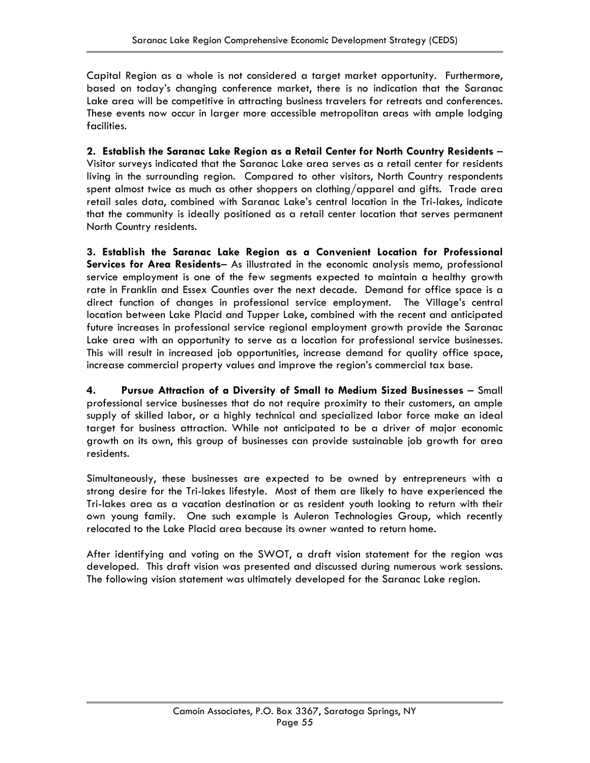Capital Region as a whole is not considered a target market opportunity. Furthermore, based on today's changing conference market, there is no indication that the Saranac Lake area will be competitive in attracting business travelers for retreats and conferences. These events now occur in larger more accessible metropolitan areas with ample lodging facilities.

**2. Establish the Saranac Lake Region as a Retail Center for North Country Residents** – Visitor surveys indicated that the Saranac Lake area serves as a retail center for residents living in the surrounding region. Compared to other visitors, North Country respondents spent almost twice as much as other shoppers on clothing/apparel and gifts. Trade area retail sales data, combined with Saranac Lake's central location in the Tri-lakes, indicate that the community is ideally positioned as a retail center location that serves permanent North Country residents.

**3. Establish the Saranac Lake Region as a Convenient Location for Professional Services for Area Residents**– As illustrated in the economic analysis memo, professional service employment is one of the few segments expected to maintain a healthy growth rate in Franklin and Essex Counties over the next decade. Demand for office space is a direct function of changes in professional service employment. The Village's central location between Lake Placid and Tupper Lake, combined with the recent and anticipated future increases in professional service regional employment growth provide the Saranac Lake area with an opportunity to serve as a location for professional service businesses. This will result in increased job opportunities, increase demand for quality office space, increase commercial property values and improve the region's commercial tax base.

**4. Pursue Attraction of a Diversity of Small to Medium Sized Businesses** – Small professional service businesses that do not require proximity to their customers, an ample supply of skilled labor, or a highly technical and specialized labor force make an ideal target for business attraction. While not anticipated to be a driver of major economic growth on its own, this group of businesses can provide sustainable job growth for area residents.

Simultaneously, these businesses are expected to be owned by entrepreneurs with a strong desire for the Tri-lakes lifestyle. Most of them are likely to have experienced the Tri-lakes area as a vacation destination or as resident youth looking to return with their own young family. One such example is Auleron Technologies Group, which recently relocated to the Lake Placid area because its owner wanted to return home.

After identifying and voting on the SWOT, a draft vision statement for the region was developed. This draft vision was presented and discussed during numerous work sessions. The following vision statement was ultimately developed for the Saranac Lake region.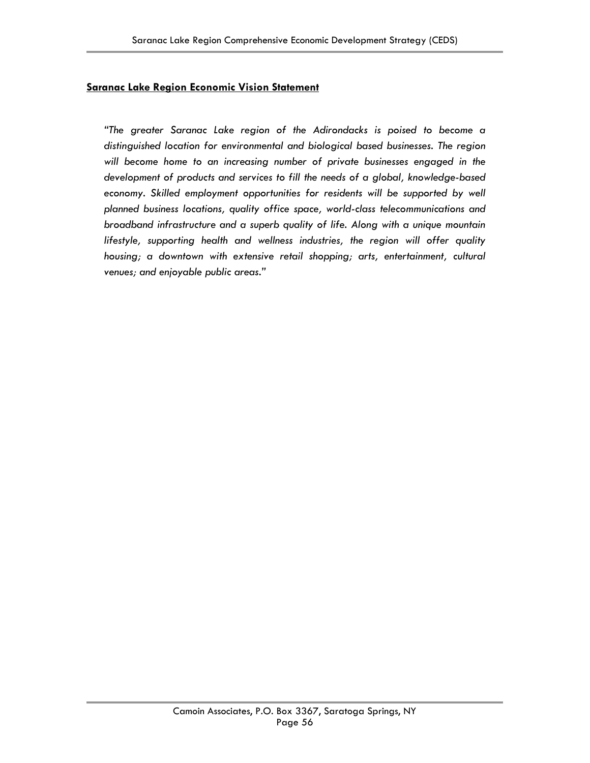### **Saranac Lake Region Economic Vision Statement**

*"The greater Saranac Lake region of the Adirondacks is poised to become a distinguished location for environmental and biological based businesses. The region will become home to an increasing number of private businesses engaged in the development of products and services to fill the needs of a global, knowledge-based*  economy. Skilled employment opportunities for residents will be supported by well *planned business locations, quality office space, world-class telecommunications and broadband infrastructure and a superb quality of life. Along with a unique mountain lifestyle, supporting health and wellness industries, the region will offer quality housing; a downtown with extensive retail shopping; arts, entertainment, cultural venues; and enjoyable public areas."*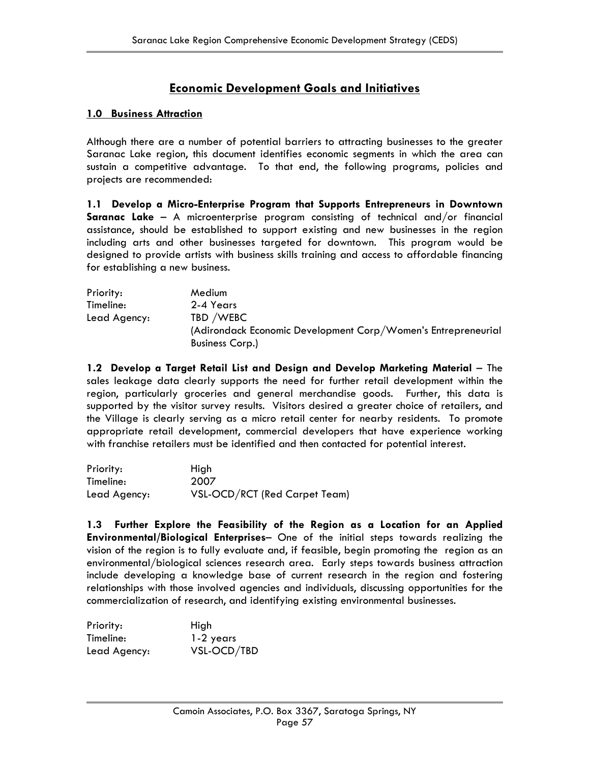### **Economic Development Goals and Initiatives**

### **1.0 Business Attraction**

Although there are a number of potential barriers to attracting businesses to the greater Saranac Lake region, this document identifies economic segments in which the area can sustain a competitive advantage. To that end, the following programs, policies and projects are recommended:

**1.1 Develop a Micro-Enterprise Program that Supports Entrepreneurs in Downtown Saranac Lake** – A microenterprise program consisting of technical and/or financial assistance, should be established to support existing and new businesses in the region including arts and other businesses targeted for downtown. This program would be designed to provide artists with business skills training and access to affordable financing for establishing a new business.

| Priority:    | Medium                                                        |
|--------------|---------------------------------------------------------------|
| Timeline:    | 2-4 Years                                                     |
| Lead Agency: | TBD /WEBC                                                     |
|              | (Adirondack Economic Development Corp/Women's Entrepreneurial |
|              | <b>Business Corp.)</b>                                        |

**1.2 Develop a Target Retail List and Design and Develop Marketing Material** – The sales leakage data clearly supports the need for further retail development within the region, particularly groceries and general merchandise goods. Further, this data is supported by the visitor survey results. Visitors desired a greater choice of retailers, and the Village is clearly serving as a micro retail center for nearby residents. To promote appropriate retail development, commercial developers that have experience working with franchise retailers must be identified and then contacted for potential interest.

| Priority:    | High                          |
|--------------|-------------------------------|
| Timeline:    | 2007                          |
| Lead Agency: | VSL-OCD/RCT (Red Carpet Team) |

**1.3 Further Explore the Feasibility of the Region as a Location for an Applied Environmental/Biological Enterprises**– One of the initial steps towards realizing the vision of the region is to fully evaluate and, if feasible, begin promoting the region as an environmental/biological sciences research area. Early steps towards business attraction include developing a knowledge base of current research in the region and fostering relationships with those involved agencies and individuals, discussing opportunities for the commercialization of research, and identifying existing environmental businesses.

| Priority:    | High        |
|--------------|-------------|
| Timeline:    | 1-2 years   |
| Lead Agency: | VSL-OCD/TBD |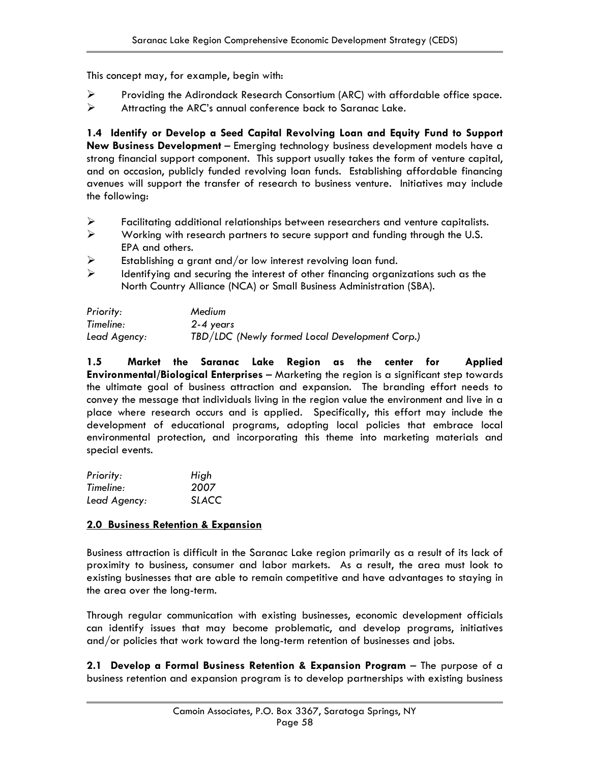This concept may, for example, begin with:

- ¾ Providing the Adirondack Research Consortium (ARC) with affordable office space.
- $\triangleright$  Attracting the ARC's annual conference back to Saranac Lake.

**1.4 Identify or Develop a Seed Capital Revolving Loan and Equity Fund to Support New Business Development** – Emerging technology business development models have a strong financial support component. This support usually takes the form of venture capital, and on occasion, publicly funded revolving loan funds. Establishing affordable financing avenues will support the transfer of research to business venture. Initiatives may include the following:

- $\triangleright$  Facilitating additional relationships between researchers and venture capitalists.
- ¾ Working with research partners to secure support and funding through the U.S. EPA and others.
- $\triangleright$  Establishing a grant and/or low interest revolving loan fund.
- $\triangleright$  Identifying and securing the interest of other financing organizations such as the North Country Alliance (NCA) or Small Business Administration (SBA).

| Priority:    | Medium                                         |
|--------------|------------------------------------------------|
| Timeline:    | 2-4 years                                      |
| Lead Agency: | TBD/LDC (Newly formed Local Development Corp.) |

**1.5 Market the Saranac Lake Region as the center for Applied Environmental/Biological Enterprises** – Marketing the region is a significant step towards the ultimate goal of business attraction and expansion. The branding effort needs to convey the message that individuals living in the region value the environment and live in a place where research occurs and is applied. Specifically, this effort may include the development of educational programs, adopting local policies that embrace local environmental protection, and incorporating this theme into marketing materials and special events.

| Priority:    | High         |
|--------------|--------------|
| Timeline:    | 2007         |
| Lead Agency: | <b>SLACC</b> |

### **2.0 Business Retention & Expansion**

Business attraction is difficult in the Saranac Lake region primarily as a result of its lack of proximity to business, consumer and labor markets. As a result, the area must look to existing businesses that are able to remain competitive and have advantages to staying in the area over the long-term.

Through regular communication with existing businesses, economic development officials can identify issues that may become problematic, and develop programs, initiatives and/or policies that work toward the long-term retention of businesses and jobs.

**2.1 Develop a Formal Business Retention & Expansion Program** – The purpose of a business retention and expansion program is to develop partnerships with existing business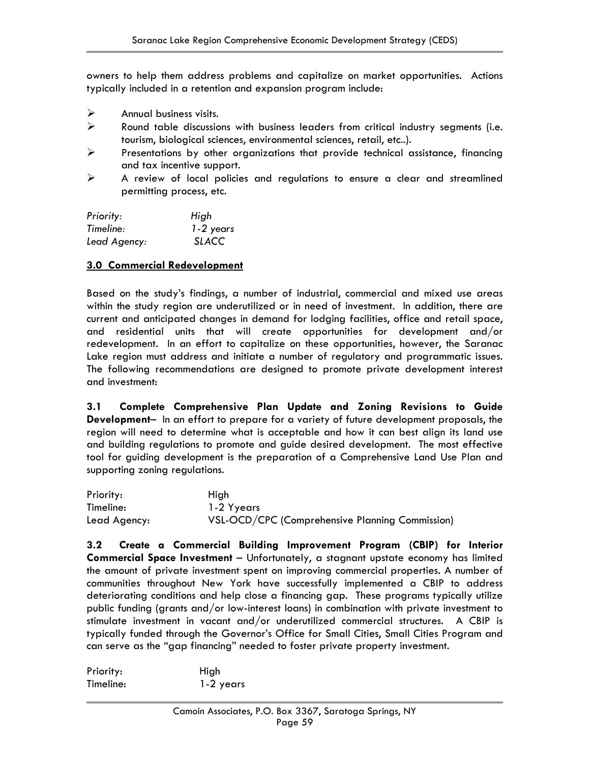owners to help them address problems and capitalize on market opportunities. Actions typically included in a retention and expansion program include:

- $\triangleright$  Annual business visits.
- $\triangleright$  Round table discussions with business leaders from critical industry segments (i.e. tourism, biological sciences, environmental sciences, retail, etc..).
- $\triangleright$  Presentations by other organizations that provide technical assistance, financing and tax incentive support.
- $\triangleright$  A review of local policies and regulations to ensure a clear and streamlined permitting process, etc.

| Priority:    | High         |
|--------------|--------------|
| Timeline:    | 1-2 years    |
| Lead Agency: | <b>SLACC</b> |

### **3.0 Commercial Redevelopment**

Based on the study's findings, a number of industrial, commercial and mixed use areas within the study region are underutilized or in need of investment. In addition, there are current and anticipated changes in demand for lodging facilities, office and retail space, and residential units that will create opportunities for development and/or redevelopment. In an effort to capitalize on these opportunities, however, the Saranac Lake region must address and initiate a number of regulatory and programmatic issues. The following recommendations are designed to promote private development interest and investment:

**3.1 Complete Comprehensive Plan Update and Zoning Revisions to Guide Development**– In an effort to prepare for a variety of future development proposals, the region will need to determine what is acceptable and how it can best align its land use and building regulations to promote and guide desired development. The most effective tool for guiding development is the preparation of a Comprehensive Land Use Plan and supporting zoning regulations.

| Priority:    | High                                            |
|--------------|-------------------------------------------------|
| Timeline:    | 1-2 Yyears                                      |
| Lead Agency: | VSL-OCD/CPC (Comprehensive Planning Commission) |

**3.2 Create a Commercial Building Improvement Program (CBIP) for Interior Commercial Space Investment** – Unfortunately, a stagnant upstate economy has limited the amount of private investment spent on improving commercial properties. A number of communities throughout New York have successfully implemented a CBIP to address deteriorating conditions and help close a financing gap. These programs typically utilize public funding (grants and/or low-interest loans) in combination with private investment to stimulate investment in vacant and/or underutilized commercial structures. A CBIP is typically funded through the Governor's Office for Small Cities, Small Cities Program and can serve as the "gap financing" needed to foster private property investment.

| Priority: | High      |
|-----------|-----------|
| Timeline: | 1-2 years |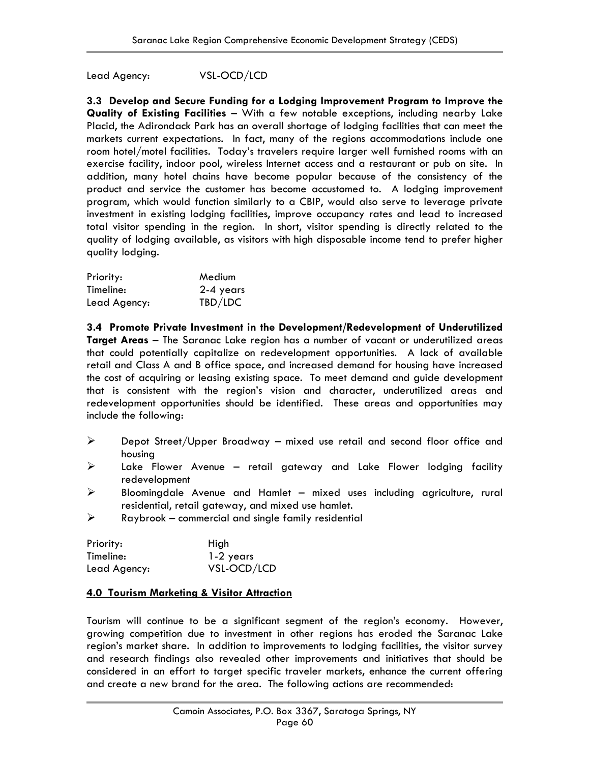Lead Agency: VSL-OCD/LCD

**3.3 Develop and Secure Funding for a Lodging Improvement Program to Improve the Quality of Existing Facilities** – With a few notable exceptions, including nearby Lake Placid, the Adirondack Park has an overall shortage of lodging facilities that can meet the markets current expectations. In fact, many of the regions accommodations include one room hotel/motel facilities. Today's travelers require larger well furnished rooms with an exercise facility, indoor pool, wireless Internet access and a restaurant or pub on site. In addition, many hotel chains have become popular because of the consistency of the product and service the customer has become accustomed to. A lodging improvement program, which would function similarly to a CBIP, would also serve to leverage private investment in existing lodging facilities, improve occupancy rates and lead to increased total visitor spending in the region. In short, visitor spending is directly related to the quality of lodging available, as visitors with high disposable income tend to prefer higher quality lodging.

| Priority:    | Medium    |
|--------------|-----------|
| Timeline:    | 2-4 years |
| Lead Agency: | TBD/LDC   |

**3.4 Promote Private Investment in the Development/Redevelopment of Underutilized Target Areas** – The Saranac Lake region has a number of vacant or underutilized areas that could potentially capitalize on redevelopment opportunities. A lack of available retail and Class A and B office space, and increased demand for housing have increased the cost of acquiring or leasing existing space. To meet demand and guide development that is consistent with the region's vision and character, underutilized areas and redevelopment opportunities should be identified. These areas and opportunities may include the following:

- $\triangleright$  Depot Street/Upper Broadway mixed use retail and second floor office and housing
- $\triangleright$  Lake Flower Avenue retail gateway and Lake Flower lodging facility redevelopment
- ¾ Bloomingdale Avenue and Hamlet mixed uses including agriculture, rural residential, retail gateway, and mixed use hamlet.
- $\triangleright$  Raybrook commercial and single family residential

| Priority:    | High        |
|--------------|-------------|
| Timeline:    | 1-2 years   |
| Lead Agency: | VSL-OCD/LCD |

### **4.0 Tourism Marketing & Visitor Attraction**

Tourism will continue to be a significant segment of the region's economy. However, growing competition due to investment in other regions has eroded the Saranac Lake region's market share. In addition to improvements to lodging facilities, the visitor survey and research findings also revealed other improvements and initiatives that should be considered in an effort to target specific traveler markets, enhance the current offering and create a new brand for the area. The following actions are recommended: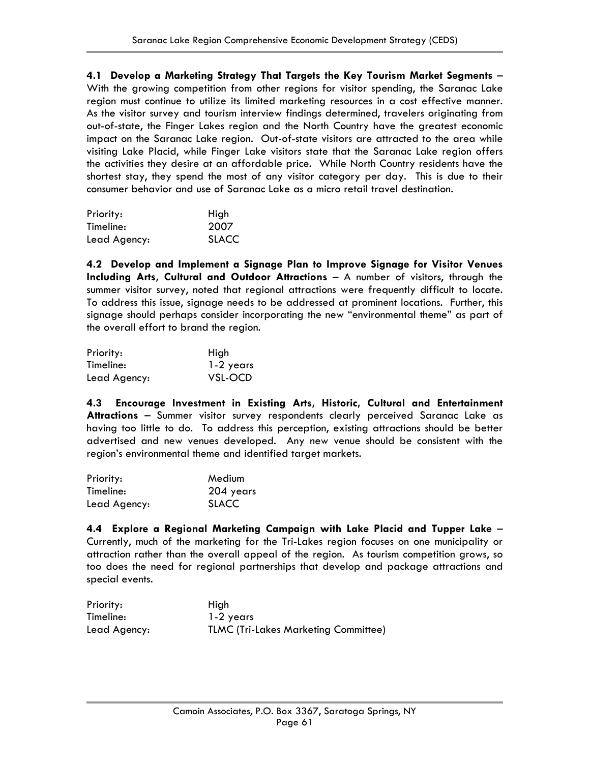**4.1 Develop a Marketing Strategy That Targets the Key Tourism Market Segments** – With the growing competition from other regions for visitor spending, the Saranac Lake region must continue to utilize its limited marketing resources in a cost effective manner. As the visitor survey and tourism interview findings determined, travelers originating from out-of-state, the Finger Lakes region and the North Country have the greatest economic impact on the Saranac Lake region. Out-of-state visitors are attracted to the area while visiting Lake Placid, while Finger Lake visitors state that the Saranac Lake region offers the activities they desire at an affordable price. While North Country residents have the shortest stay, they spend the most of any visitor category per day. This is due to their consumer behavior and use of Saranac Lake as a micro retail travel destination.

| Priority:    | High         |
|--------------|--------------|
| Timeline:    | 2007         |
| Lead Agency: | <b>SLACC</b> |

**4.2 Develop and Implement a Signage Plan to Improve Signage for Visitor Venues Including Arts, Cultural and Outdoor Attractions** – A number of visitors, through the summer visitor survey, noted that regional attractions were frequently difficult to locate. To address this issue, signage needs to be addressed at prominent locations. Further, this signage should perhaps consider incorporating the new "environmental theme" as part of the overall effort to brand the region.

| Priority:    | High      |
|--------------|-----------|
| Timeline:    | 1-2 years |
| Lead Agency: | VSL-OCD   |

**4.3 Encourage Investment in Existing Arts, Historic, Cultural and Entertainment Attractions** – Summer visitor survey respondents clearly perceived Saranac Lake as having too little to do. To address this perception, existing attractions should be better advertised and new venues developed. Any new venue should be consistent with the region's environmental theme and identified target markets.

| Priority:    | Medium       |
|--------------|--------------|
| Timeline:    | 204 years    |
| Lead Agency: | <b>SLACC</b> |

**4.4 Explore a Regional Marketing Campaign with Lake Placid and Tupper Lake** – Currently, much of the marketing for the Tri-Lakes region focuses on one municipality or attraction rather than the overall appeal of the region. As tourism competition grows, so too does the need for regional partnerships that develop and package attractions and special events.

| Priority:    | Hiah                                        |
|--------------|---------------------------------------------|
| Timeline:    | 1-2 years                                   |
| Lead Agency: | <b>TLMC (Tri-Lakes Marketing Committee)</b> |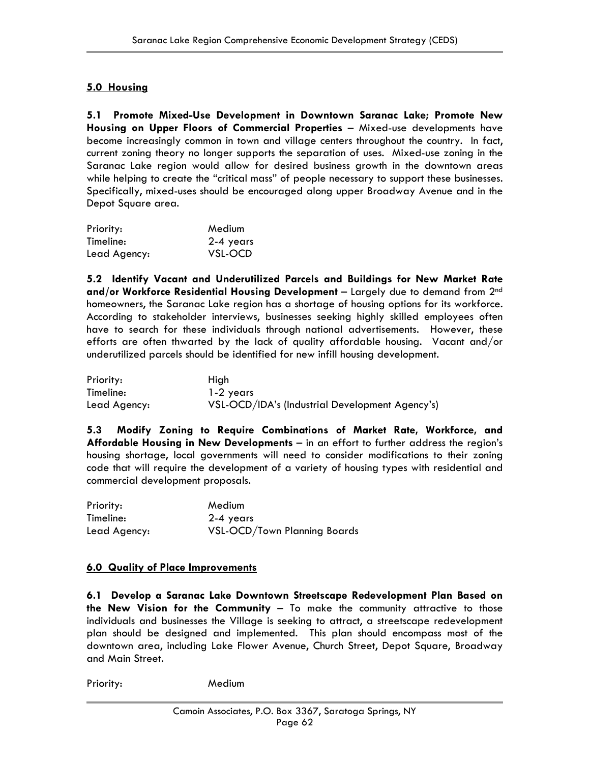### **5.0 Housing**

**5.1 Promote Mixed-Use Development in Downtown Saranac Lake; Promote New Housing on Upper Floors of Commercial Properties** – Mixed-use developments have become increasingly common in town and village centers throughout the country. In fact, current zoning theory no longer supports the separation of uses. Mixed-use zoning in the Saranac Lake region would allow for desired business growth in the downtown areas while helping to create the "critical mass" of people necessary to support these businesses. Specifically, mixed-uses should be encouraged along upper Broadway Avenue and in the Depot Square area.

| Priority:    | Medium    |
|--------------|-----------|
| Timeline:    | 2-4 years |
| Lead Agency: | VSL-OCD   |

**5.2 Identify Vacant and Underutilized Parcels and Buildings for New Market Rate and/or Workforce Residential Housing Development** – Largely due to demand from 2nd homeowners, the Saranac Lake region has a shortage of housing options for its workforce. According to stakeholder interviews, businesses seeking highly skilled employees often have to search for these individuals through national advertisements. However, these efforts are often thwarted by the lack of quality affordable housing. Vacant and/or underutilized parcels should be identified for new infill housing development.

| Priority:    | Hiah                                            |
|--------------|-------------------------------------------------|
| Timeline:    | 1-2 years                                       |
| Lead Agency: | VSL-OCD/IDA's (Industrial Development Agency's) |

**5.3 Modify Zoning to Require Combinations of Market Rate, Workforce, and Affordable Housing in New Developments** – in an effort to further address the region's housing shortage, local governments will need to consider modifications to their zoning code that will require the development of a variety of housing types with residential and commercial development proposals.

| Priority:    | Medium                       |
|--------------|------------------------------|
| Timeline:    | 2-4 years                    |
| Lead Agency: | VSL-OCD/Town Planning Boards |

### **6.0 Quality of Place Improvements**

**6.1 Develop a Saranac Lake Downtown Streetscape Redevelopment Plan Based on the New Vision for the Community** – To make the community attractive to those individuals and businesses the Village is seeking to attract, a streetscape redevelopment plan should be designed and implemented. This plan should encompass most of the downtown area, including Lake Flower Avenue, Church Street, Depot Square, Broadway and Main Street.

Priority: Medium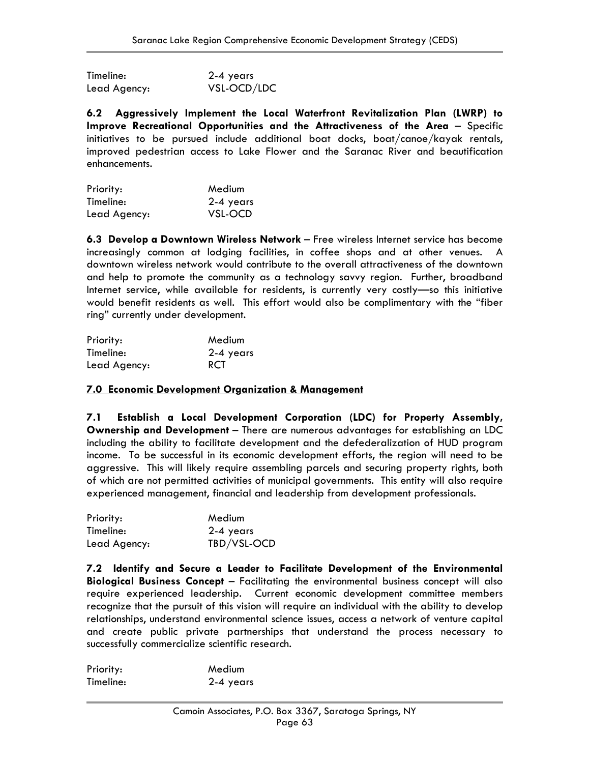| Timeline:    | 2-4 years   |
|--------------|-------------|
| Lead Agency: | VSL-OCD/LDC |

**6.2 Aggressively Implement the Local Waterfront Revitalization Plan (LWRP) to Improve Recreational Opportunities and the Attractiveness of the Area** – Specific initiatives to be pursued include additional boat docks, boat/canoe/kayak rentals, improved pedestrian access to Lake Flower and the Saranac River and beautification enhancements.

| Priority:    | Medium    |
|--------------|-----------|
| Timeline:    | 2-4 years |
| Lead Agency: | VSL-OCD   |

**6.3 Develop a Downtown Wireless Network** – Free wireless Internet service has become increasingly common at lodging facilities, in coffee shops and at other venues. A downtown wireless network would contribute to the overall attractiveness of the downtown and help to promote the community as a technology savvy region. Further, broadband Internet service, while available for residents, is currently very costly—so this initiative would benefit residents as well. This effort would also be complimentary with the "fiber ring" currently under development.

| Priority:    | Medium     |
|--------------|------------|
| Timeline:    | 2-4 years  |
| Lead Agency: | <b>RCT</b> |

### **7.0 Economic Development Organization & Management**

**7.1 Establish a Local Development Corporation (LDC) for Property Assembly, Ownership and Development** – There are numerous advantages for establishing an LDC including the ability to facilitate development and the defederalization of HUD program income. To be successful in its economic development efforts, the region will need to be aggressive. This will likely require assembling parcels and securing property rights, both of which are not permitted activities of municipal governments. This entity will also require experienced management, financial and leadership from development professionals.

| Priority:    | Medium      |
|--------------|-------------|
| Timeline:    | 2-4 years   |
| Lead Agency: | TBD/VSL-OCD |

**7.2 Identify and Secure a Leader to Facilitate Development of the Environmental Biological Business Concept** – Facilitating the environmental business concept will also require experienced leadership. Current economic development committee members recognize that the pursuit of this vision will require an individual with the ability to develop relationships, understand environmental science issues, access a network of venture capital and create public private partnerships that understand the process necessary to successfully commercialize scientific research.

| Priority: | Medium    |
|-----------|-----------|
| Timeline: | 2-4 years |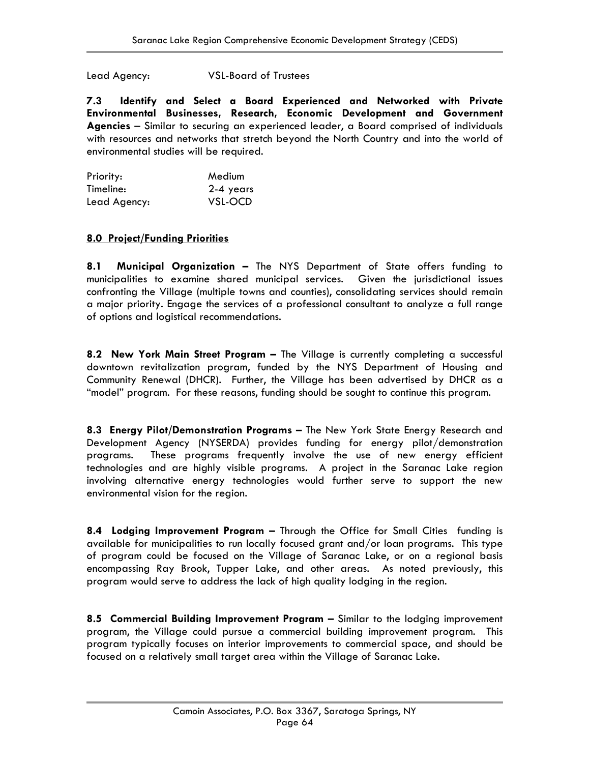Lead Agency: VSL-Board of Trustees

**7.3 Identify and Select a Board Experienced and Networked with Private Environmental Businesses, Research, Economic Development and Government Agencies** – Similar to securing an experienced leader, a Board comprised of individuals with resources and networks that stretch beyond the North Country and into the world of environmental studies will be required.

| Priority:    | Medium    |
|--------------|-----------|
| Timeline:    | 2-4 years |
| Lead Agency: | VSL-OCD   |

### **8.0 Project/Funding Priorities**

**8.1 Municipal Organization –** The NYS Department of State offers funding to municipalities to examine shared municipal services. Given the jurisdictional issues confronting the Village (multiple towns and counties), consolidating services should remain a major priority. Engage the services of a professional consultant to analyze a full range of options and logistical recommendations.

**8.2 New York Main Street Program –** The Village is currently completing a successful downtown revitalization program, funded by the NYS Department of Housing and Community Renewal (DHCR). Further, the Village has been advertised by DHCR as a "model" program. For these reasons, funding should be sought to continue this program.

**8.3 Energy Pilot/Demonstration Programs –** The New York State Energy Research and Development Agency (NYSERDA) provides funding for energy pilot/demonstration programs. These programs frequently involve the use of new energy efficient technologies and are highly visible programs. A project in the Saranac Lake region involving alternative energy technologies would further serve to support the new environmental vision for the region.

**8.4 Lodging Improvement Program –** Through the Office for Small Cities funding is available for municipalities to run locally focused grant and/or loan programs. This type of program could be focused on the Village of Saranac Lake, or on a regional basis encompassing Ray Brook, Tupper Lake, and other areas. As noted previously, this program would serve to address the lack of high quality lodging in the region.

**8.5 Commercial Building Improvement Program –** Similar to the lodging improvement program, the Village could pursue a commercial building improvement program. This program typically focuses on interior improvements to commercial space, and should be focused on a relatively small target area within the Village of Saranac Lake.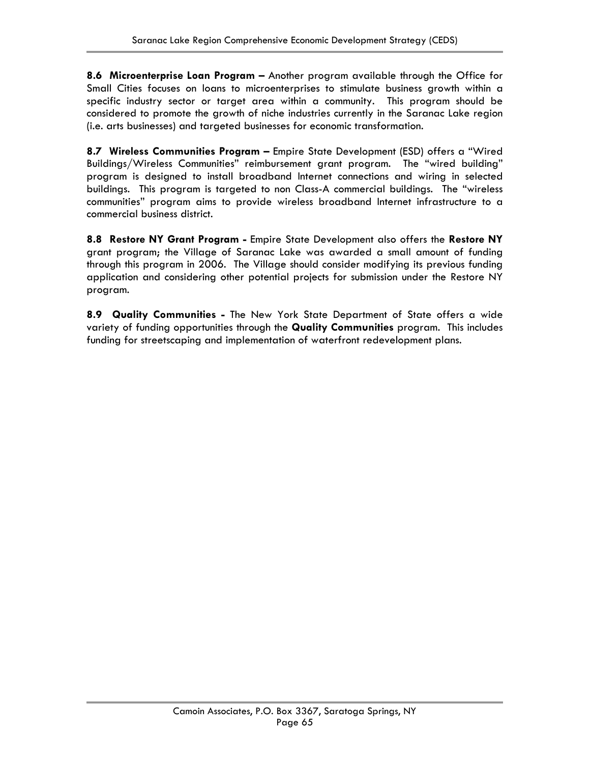**8.6 Microenterprise Loan Program –** Another program available through the Office for Small Cities focuses on loans to microenterprises to stimulate business growth within a specific industry sector or target area within a community. This program should be considered to promote the growth of niche industries currently in the Saranac Lake region (i.e. arts businesses) and targeted businesses for economic transformation.

**8.7 Wireless Communities Program –** Empire State Development (ESD) offers a "Wired Buildings/Wireless Communities" reimbursement grant program. The "wired building" program is designed to install broadband Internet connections and wiring in selected buildings. This program is targeted to non Class-A commercial buildings. The "wireless communities" program aims to provide wireless broadband Internet infrastructure to a commercial business district.

**8.8 Restore NY Grant Program -** Empire State Development also offers the **Restore NY** grant program; the Village of Saranac Lake was awarded a small amount of funding through this program in 2006. The Village should consider modifying its previous funding application and considering other potential projects for submission under the Restore NY program.

**8.9 Quality Communities -** The New York State Department of State offers a wide variety of funding opportunities through the **Quality Communities** program. This includes funding for streetscaping and implementation of waterfront redevelopment plans.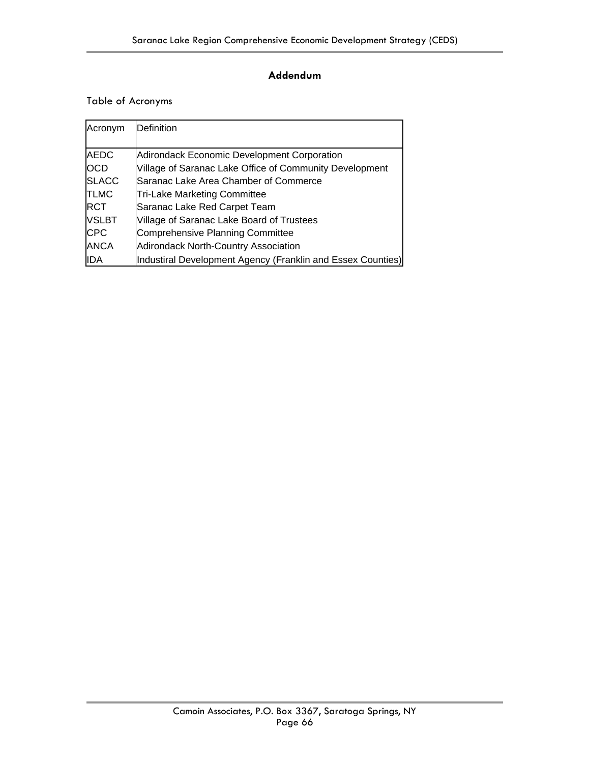### **Addendum**

### Table of Acronyms

| Acronym      | Definition                                                  |
|--------------|-------------------------------------------------------------|
|              |                                                             |
| <b>AEDC</b>  | <b>Adirondack Economic Development Corporation</b>          |
| <b>IOCD</b>  | Village of Saranac Lake Office of Community Development     |
| <b>SLACC</b> | Saranac Lake Area Chamber of Commerce                       |
| <b>TLMC</b>  | <b>Tri-Lake Marketing Committee</b>                         |
| <b>IRCT</b>  | Saranac Lake Red Carpet Team                                |
| <b>VSLBT</b> | Village of Saranac Lake Board of Trustees                   |
| <b>CPC</b>   | Comprehensive Planning Committee                            |
| <b>ANCA</b>  | <b>Adirondack North-Country Association</b>                 |
| IIDA         | Industiral Development Agency (Franklin and Essex Counties) |